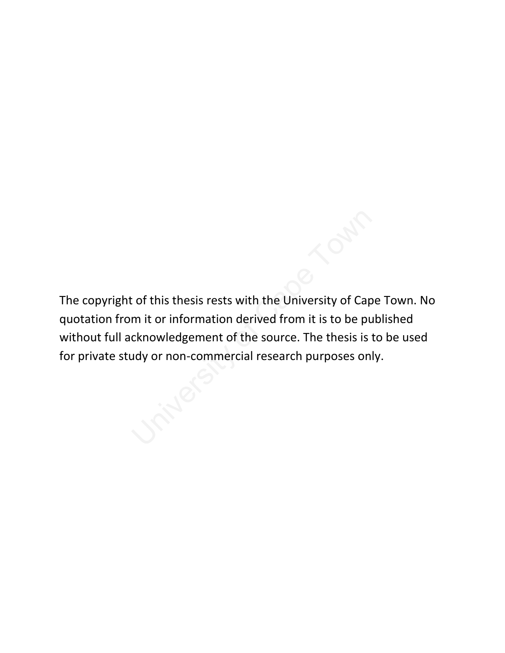The copyright of this thesis rests with the University of Cape Town. No quotation from it or information derived from it is to be published without full acknowledgement of the source. The thesis is to be used for private study or non-commercial research purposes only. University of Cape Townships in the University of Cape Townships in the University of Cape Townships in the source. The thesis is study or non-commercial research purposes on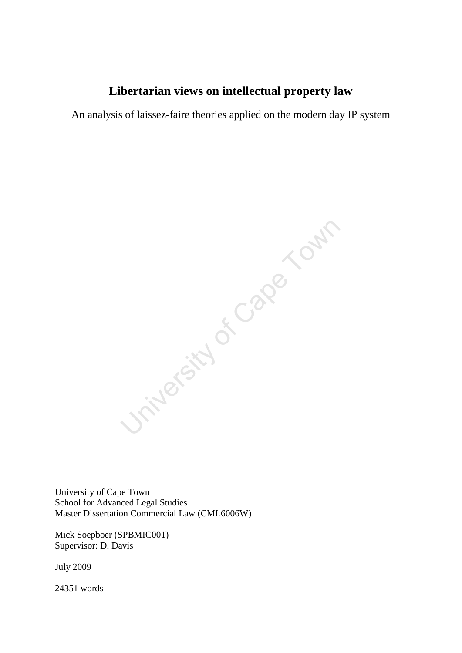# **Libertarian views on intellectual property law**

An analysis of laissez-faire theories applied on the modern day IP system

University of Cape Town

University of Cape Town School for Advanced Legal Studies Master Dissertation Commercial Law (CML6006W)

Mick Soepboer (SPBMIC001) Supervisor: D. Davis

July 2009

24351 words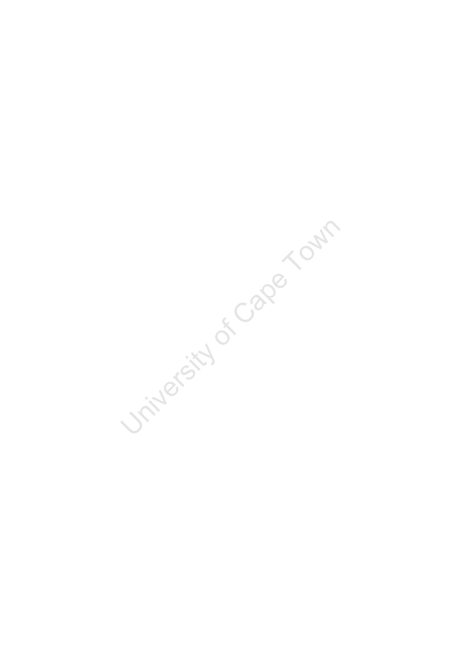University of Cape Town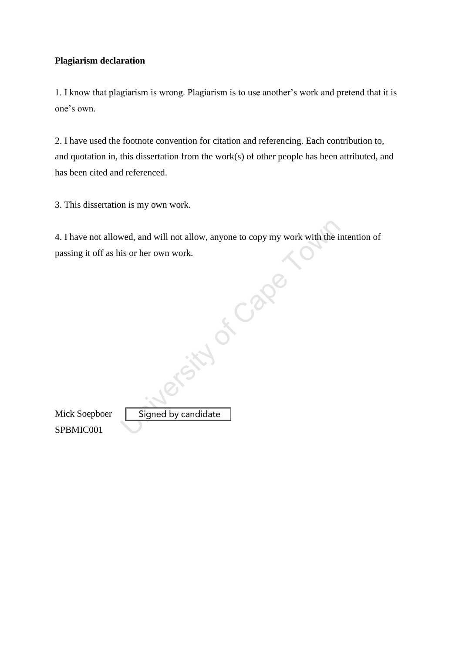## **Plagiarism declaration**

1. I know that plagiarism is wrong. Plagiarism is to use another's work and pretend that it is one's own.

2. I have used the footnote convention for citation and referencing. Each contribution to, and quotation in, this dissertation from the work(s) of other people has been attributed, and has been cited and referenced.

3. This dissertation is my own work.

4. I have not allowed, and will not allow, anyone to copy my work with the intention of passing it off as his or her own work.

Mick Soepboer SPBMIC001

University of Cape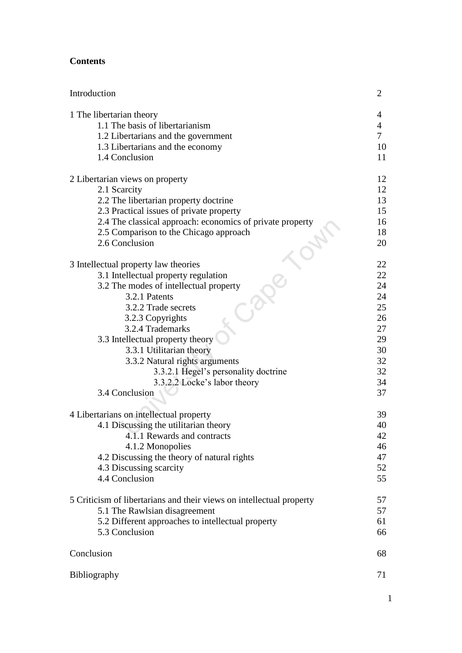## **Contents**

| Introduction                                                         | $\overline{2}$ |
|----------------------------------------------------------------------|----------------|
| 1 The libertarian theory                                             | 4              |
| 1.1 The basis of libertarianism                                      | $\overline{4}$ |
| 1.2 Libertarians and the government                                  | 7              |
| 1.3 Libertarians and the economy                                     | 10             |
| 1.4 Conclusion                                                       | 11             |
| 2 Libertarian views on property                                      | 12             |
| 2.1 Scarcity                                                         | 12             |
| 2.2 The libertarian property doctrine                                | 13             |
| 2.3 Practical issues of private property                             | 15             |
| 2.4 The classical approach: economics of private property            | 16             |
| 2.5 Comparison to the Chicago approach                               | 18             |
| 2.6 Conclusion                                                       | 20             |
| 3 Intellectual property law theories                                 | 22             |
| 3.1 Intellectual property regulation                                 | 22             |
| 3.2 The modes of intellectual property                               | 24             |
| 3.2.1 Patents                                                        | 24             |
| 3.2.2 Trade secrets                                                  | 25             |
| 3.2.3 Copyrights                                                     | 26             |
| 3.2.4 Trademarks                                                     | 27             |
| 3.3 Intellectual property theory                                     | 29             |
| 3.3.1 Utilitarian theory                                             | 30             |
| 3.3.2 Natural rights arguments                                       | 32             |
| 3.3.2.1 Hegel's personality doctrine                                 | 32             |
| 3.3.2.2 Locke's labor theory                                         | 34             |
| 3.4 Conclusion                                                       | 37             |
| 4 Libertarians on intellectual property                              | 39             |
| 4.1 Discussing the utilitarian theory                                | 40             |
| 4.1.1 Rewards and contracts                                          | 42             |
| 4.1.2 Monopolies                                                     | 46             |
| 4.2 Discussing the theory of natural rights                          | 47             |
| 4.3 Discussing scarcity                                              | 52             |
| 4.4 Conclusion                                                       | 55             |
| 5 Criticism of libertarians and their views on intellectual property | 57             |
| 5.1 The Rawlsian disagreement                                        | 57             |
| 5.2 Different approaches to intellectual property                    | 61             |
| 5.3 Conclusion                                                       | 66             |
| Conclusion                                                           | 68             |
| Bibliography                                                         | 71             |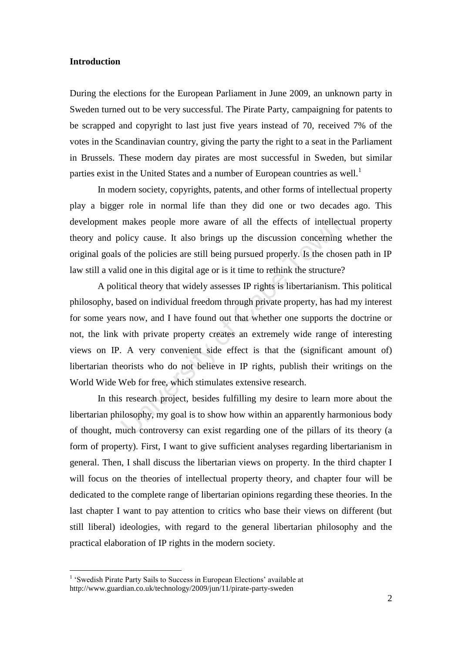#### **Introduction**

During the elections for the European Parliament in June 2009, an unknown party in Sweden turned out to be very successful. The Pirate Party, campaigning for patents to be scrapped and copyright to last just five years instead of 70, received 7% of the votes in the Scandinavian country, giving the party the right to a seat in the Parliament in Brussels. These modern day pirates are most successful in Sweden, but similar parties exist in the United States and a number of European countries as well.<sup>1</sup>

 In modern society, copyrights, patents, and other forms of intellectual property play a bigger role in normal life than they did one or two decades ago. This development makes people more aware of all the effects of intellectual property theory and policy cause. It also brings up the discussion concerning whether the original goals of the policies are still being pursued properly. Is the chosen path in IP law still a valid one in this digital age or is it time to rethink the structure?

 A political theory that widely assesses IP rights is libertarianism. This political philosophy, based on individual freedom through private property, has had my interest for some years now, and I have found out that whether one supports the doctrine or not, the link with private property creates an extremely wide range of interesting views on IP. A very convenient side effect is that the (significant amount of) libertarian theorists who do not believe in IP rights, publish their writings on the World Wide Web for free, which stimulates extensive research. makes people more aware of all the effects of intellectolicy cause. It also brings up the discussion concerning of the policies are still being pursued properly. Is the choid one in this digital age or is it time to rethin

 In this research project, besides fulfilling my desire to learn more about the libertarian philosophy, my goal is to show how within an apparently harmonious body of thought, much controversy can exist regarding one of the pillars of its theory (a form of property). First, I want to give sufficient analyses regarding libertarianism in general. Then, I shall discuss the libertarian views on property. In the third chapter I will focus on the theories of intellectual property theory, and chapter four will be dedicated to the complete range of libertarian opinions regarding these theories. In the last chapter I want to pay attention to critics who base their views on different (but still liberal) ideologies, with regard to the general libertarian philosophy and the practical elaboration of IP rights in the modern society.

<sup>&</sup>lt;sup>1</sup> 'Swedish Pirate Party Sails to Success in European Elections' available at http://www.guardian.co.uk/technology/2009/jun/11/pirate-party-sweden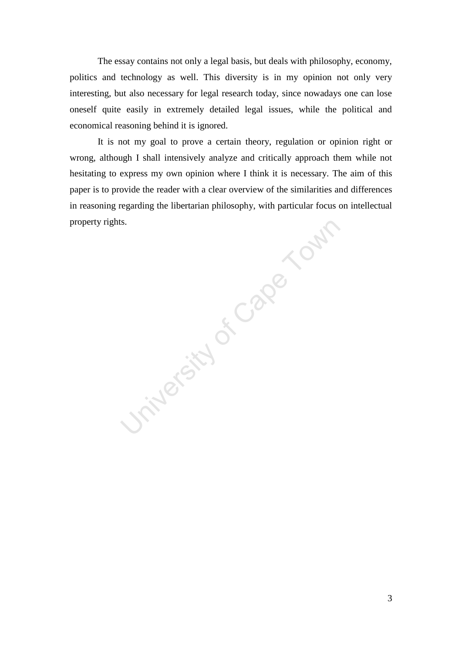The essay contains not only a legal basis, but deals with philosophy, economy, politics and technology as well. This diversity is in my opinion not only very interesting, but also necessary for legal research today, since nowadays one can lose oneself quite easily in extremely detailed legal issues, while the political and economical reasoning behind it is ignored.

It is not my goal to prove a certain theory, regulation or opinion right or wrong, although I shall intensively analyze and critically approach them while not hesitating to express my own opinion where I think it is necessary. The aim of this paper is to provide the reader with a clear overview of the similarities and differences in reasoning regarding the libertarian philosophy, with particular focus on intellectual property rights.

Construction of Cape Town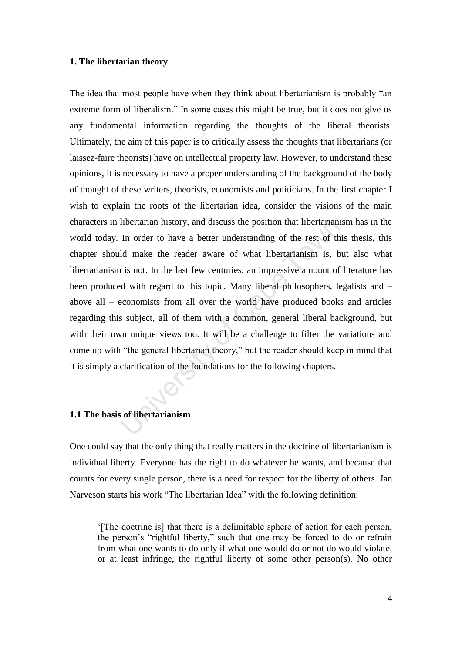#### **1. The libertarian theory**

The idea that most people have when they think about libertarianism is probably "an extreme form of liberalism." In some cases this might be true, but it does not give us any fundamental information regarding the thoughts of the liberal theorists. Ultimately, the aim of this paper is to critically assess the thoughts that libertarians (or laissez-faire theorists) have on intellectual property law. However, to understand these opinions, it is necessary to have a proper understanding of the background of the body of thought of these writers, theorists, economists and politicians. In the first chapter I wish to explain the roots of the libertarian idea, consider the visions of the main characters in libertarian history, and discuss the position that libertarianism has in the world today. In order to have a better understanding of the rest of this thesis, this chapter should make the reader aware of what libertarianism is, but also what libertarianism is not. In the last few centuries, an impressive amount of literature has been produced with regard to this topic. Many liberal philosophers, legalists and – above all – economists from all over the world have produced books and articles regarding this subject, all of them with a common, general liberal background, but with their own unique views too. It will be a challenge to filter the variations and come up with "the general libertarian theory," but the reader should keep in mind that it is simply a clarification of the foundations for the following chapters. libertarian history, and discuss the position that libertarian<br>In order to have a better understanding of the rest of th<br>Id make the reader aware of what libertarianism is, b<br>is not. In the last few centuries, an impressiv

## **1.1 The basis of libertarianism**

One could say that the only thing that really matters in the doctrine of libertarianism is individual liberty. Everyone has the right to do whatever he wants, and because that counts for every single person, there is a need for respect for the liberty of others. Jan Narveson starts his work "The libertarian Idea" with the following definition:

"[The doctrine is] that there is a delimitable sphere of action for each person, the person"s "rightful liberty," such that one may be forced to do or refrain from what one wants to do only if what one would do or not do would violate, or at least infringe, the rightful liberty of some other person(s). No other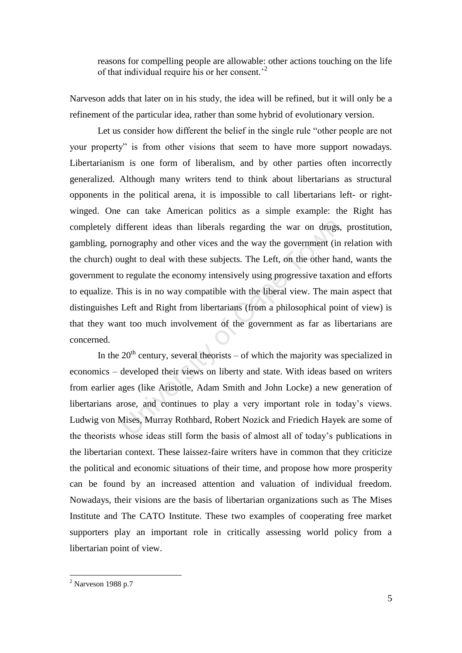reasons for compelling people are allowable: other actions touching on the life of that individual require his or her consent."<sup>2</sup>

Narveson adds that later on in his study, the idea will be refined, but it will only be a refinement of the particular idea, rather than some hybrid of evolutionary version.

Let us consider how different the belief in the single rule "other people are not your property" is from other visions that seem to have more support nowadays. Libertarianism is one form of liberalism, and by other parties often incorrectly generalized. Although many writers tend to think about libertarians as structural opponents in the political arena, it is impossible to call libertarians left- or rightwinged. One can take American politics as a simple example: the Right has completely different ideas than liberals regarding the war on drugs, prostitution, gambling, pornography and other vices and the way the government (in relation with the church) ought to deal with these subjects. The Left, on the other hand, wants the government to regulate the economy intensively using progressive taxation and efforts to equalize. This is in no way compatible with the liberal view. The main aspect that distinguishes Left and Right from libertarians (from a philosophical point of view) is that they want too much involvement of the government as far as libertarians are concerned. ifferent ideas than liberals regarding the war on drugs<br>rnography and other vices and the way the government (in<br>ught to deal with these subjects. The Left, on the other ha<br>o regulate the economy intensively using progress

In the  $20<sup>th</sup>$  century, several theorists – of which the majority was specialized in economics – developed their views on liberty and state. With ideas based on writers from earlier ages (like Aristotle, Adam Smith and John Locke) a new generation of libertarians arose, and continues to play a very important role in today"s views. Ludwig von Mises, Murray Rothbard, Robert Nozick and Friedich Hayek are some of the theorists whose ideas still form the basis of almost all of today"s publications in the libertarian context. These laissez-faire writers have in common that they criticize the political and economic situations of their time, and propose how more prosperity can be found by an increased attention and valuation of individual freedom. Nowadays, their visions are the basis of libertarian organizations such as The Mises Institute and The CATO Institute. These two examples of cooperating free market supporters play an important role in critically assessing world policy from a libertarian point of view.

<sup>&</sup>lt;sup>2</sup> Narveson 1988 p.7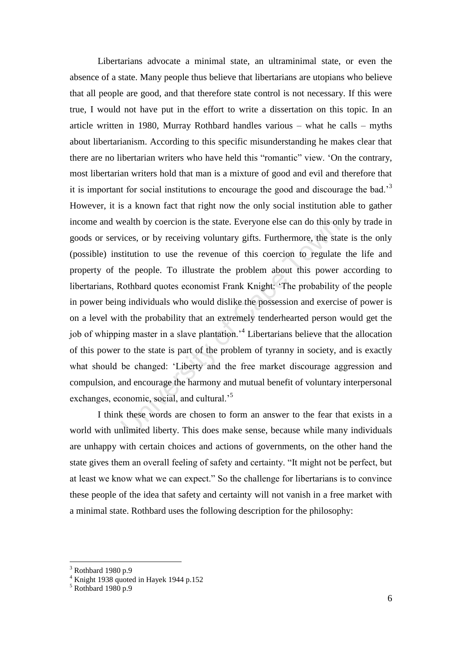Libertarians advocate a minimal state, an ultraminimal state, or even the absence of a state. Many people thus believe that libertarians are utopians who believe that all people are good, and that therefore state control is not necessary. If this were true, I would not have put in the effort to write a dissertation on this topic. In an article written in 1980, Murray Rothbard handles various – what he calls – myths about libertarianism. According to this specific misunderstanding he makes clear that there are no libertarian writers who have held this "romantic" view. "On the contrary, most libertarian writers hold that man is a mixture of good and evil and therefore that it is important for social institutions to encourage the good and discourage the bad."<sup>3</sup> However, it is a known fact that right now the only social institution able to gather income and wealth by coercion is the state. Everyone else can do this only by trade in goods or services, or by receiving voluntary gifts. Furthermore, the state is the only (possible) institution to use the revenue of this coercion to regulate the life and property of the people. To illustrate the problem about this power according to libertarians, Rothbard quotes economist Frank Knight: "The probability of the people in power being individuals who would dislike the possession and exercise of power is on a level with the probability that an extremely tenderhearted person would get the job of whipping master in a slave plantation.<sup>4</sup> Libertarians believe that the allocation of this power to the state is part of the problem of tyranny in society, and is exactly what should be changed: "Liberty and the free market discourage aggression and compulsion, and encourage the harmony and mutual benefit of voluntary interpersonal exchanges, economic, social, and cultural.<sup>5</sup> between the state. Everyone else can do this or<br>vices, or by receiving voluntary gifts. Furthermore, the statitution to use the revenue of this coercion to regulate<br>the people. To illustrate the problem about this power<br>Ro

I think these words are chosen to form an answer to the fear that exists in a world with unlimited liberty. This does make sense, because while many individuals are unhappy with certain choices and actions of governments, on the other hand the state gives them an overall feeling of safety and certainty. "It might not be perfect, but at least we know what we can expect." So the challenge for libertarians is to convince these people of the idea that safety and certainty will not vanish in a free market with a minimal state. Rothbard uses the following description for the philosophy:

 3 Rothbard 1980 p.9 4 Knight 1938 quoted in Hayek 1944 p.152 5 Rothbard 1980 p.9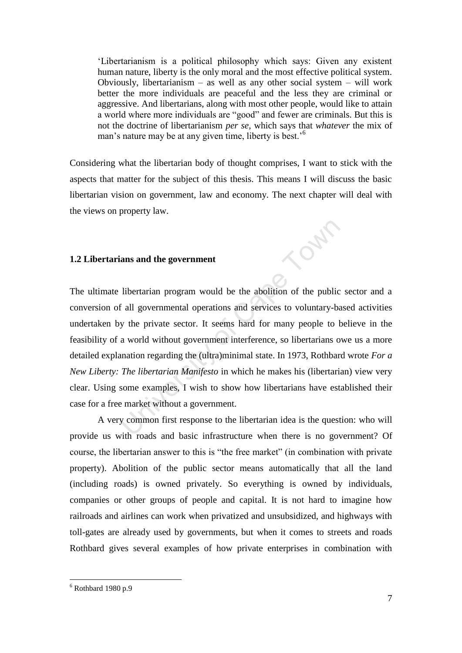"Libertarianism is a political philosophy which says: Given any existent human nature, liberty is the only moral and the most effective political system. Obviously, libertarianism – as well as any other social system – will work better the more individuals are peaceful and the less they are criminal or aggressive. And libertarians, along with most other people, would like to attain a world where more individuals are "good" and fewer are criminals. But this is not the doctrine of libertarianism *per se,* which says that *whatever* the mix of man's nature may be at any given time, liberty is best.<sup>56</sup>

Considering what the libertarian body of thought comprises, I want to stick with the aspects that matter for the subject of this thesis. This means I will discuss the basic libertarian vision on government, law and economy. The next chapter will deal with the views on property law.

## **1.2 Libertarians and the government**

The ultimate libertarian program would be the abolition of the public sector and a conversion of all governmental operations and services to voluntary-based activities undertaken by the private sector. It seems hard for many people to believe in the feasibility of a world without government interference, so libertarians owe us a more detailed explanation regarding the (ultra)minimal state. In 1973, Rothbard wrote *For a New Liberty: The libertarian Manifesto* in which he makes his (libertarian) view very clear. Using some examples, I wish to show how libertarians have established their case for a free market without a government. ans and the government<br>libertarian program would be the abolition of the public<br>f all governmental operations and services to voluntary-bay<br>the private sector. It seems hard for many people to la<br>a world without government

A very common first response to the libertarian idea is the question: who will provide us with roads and basic infrastructure when there is no government? Of course, the libertarian answer to this is "the free market" (in combination with private property). Abolition of the public sector means automatically that all the land (including roads) is owned privately. So everything is owned by individuals, companies or other groups of people and capital. It is not hard to imagine how railroads and airlines can work when privatized and unsubsidized, and highways with toll-gates are already used by governments, but when it comes to streets and roads Rothbard gives several examples of how private enterprises in combination with

<sup>6</sup> Rothbard 1980 p.9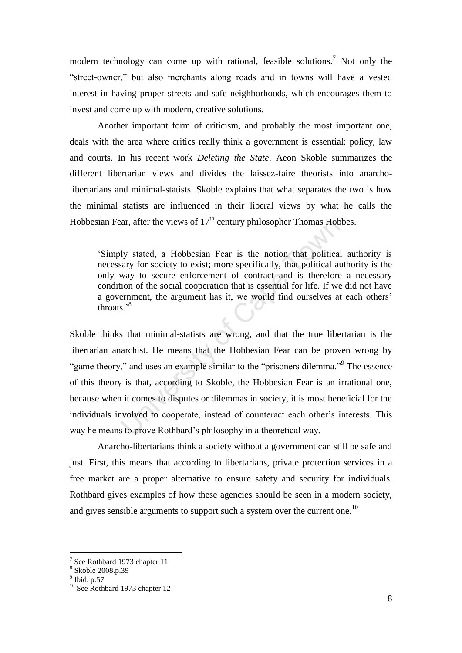modern technology can come up with rational, feasible solutions.<sup>7</sup> Not only the "street-owner," but also merchants along roads and in towns will have a vested interest in having proper streets and safe neighborhoods, which encourages them to invest and come up with modern, creative solutions.

Another important form of criticism, and probably the most important one, deals with the area where critics really think a government is essential: policy, law and courts. In his recent work *Deleting the State,* Aeon Skoble summarizes the different libertarian views and divides the laissez-faire theorists into anarcholibertarians and minimal-statists. Skoble explains that what separates the two is how the minimal statists are influenced in their liberal views by what he calls the Hobbesian Fear, after the views of  $17<sup>th</sup>$  century philosopher Thomas Hobbes.

"Simply stated, a Hobbesian Fear is the notion that political authority is necessary for society to exist; more specifically, that political authority is the only way to secure enforcement of contract and is therefore a necessary condition of the social cooperation that is essential for life. If we did not have a government, the argument has it, we would find ourselves at each others" throats<sup>3</sup>

Skoble thinks that minimal-statists are wrong, and that the true libertarian is the libertarian anarchist. He means that the Hobbesian Fear can be proven wrong by "game theory," and uses an example similar to the "prisoners dilemma."<sup>9</sup> The essence of this theory is that, according to Skoble, the Hobbesian Fear is an irrational one, because when it comes to disputes or dilemmas in society, it is most beneficial for the individuals involved to cooperate, instead of counteract each other"s interests. This way he means to prove Rothbard"s philosophy in a theoretical way. ar, after the views of  $17^{\omega}$  century philosopher Thomas Hob<br>ly stated, a Hobbesian Fear is the notion that politica and<br>ary for society to exist; more specifically, that political and<br>way to secure enforcement of contr

Anarcho-libertarians think a society without a government can still be safe and just. First, this means that according to libertarians, private protection services in a free market are a proper alternative to ensure safety and security for individuals. Rothbard gives examples of how these agencies should be seen in a modern society, and gives sensible arguments to support such a system over the current one.<sup>10</sup>

<sup>&</sup>lt;sup>7</sup> See Rothbard 1973 chapter 11

<sup>8</sup> Skoble 2008.p.39

<sup>&</sup>lt;sup>9</sup> Ibid. p.57

 $^{10}$  See Rothbard 1973 chapter 12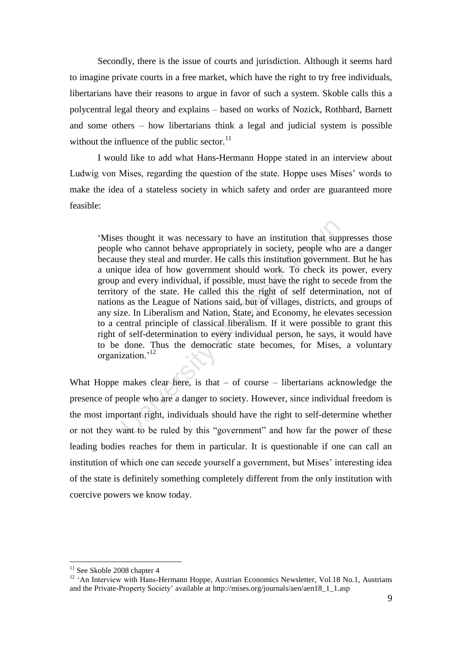Secondly, there is the issue of courts and jurisdiction. Although it seems hard to imagine private courts in a free market, which have the right to try free individuals, libertarians have their reasons to argue in favor of such a system. Skoble calls this a polycentral legal theory and explains – based on works of Nozick, Rothbard, Barnett and some others – how libertarians think a legal and judicial system is possible without the influence of the public sector. $11$ 

I would like to add what Hans-Hermann Hoppe stated in an interview about Ludwig von Mises, regarding the question of the state. Hoppe uses Mises" words to make the idea of a stateless society in which safety and order are guaranteed more feasible:

"Mises thought it was necessary to have an institution that suppresses those people who cannot behave appropriately in society, people who are a danger because they steal and murder. He calls this institution government. But he has a unique idea of how government should work. To check its power, every group and every individual, if possible, must have the right to secede from the territory of the state. He called this the right of self determination, not of nations as the League of Nations said, but of villages, districts, and groups of any size. In Liberalism and Nation, State, and Economy, he elevates secession to a central principle of classical liberalism. If it were possible to grant this right of self-determination to every individual person, he says, it would have to be done. Thus the democratic state becomes, for Mises, a voluntary organization.<sup>'12</sup> s thought it was necessary to have an institution that sup<br>e who cannot behave appropriately in society, people who<br>se they steal and murder. He calls this institution governme<br>que idea of how government should work. To c

What Hoppe makes clear here, is that  $-$  of course  $-$  libertarians acknowledge the presence of people who are a danger to society. However, since individual freedom is the most important right, individuals should have the right to self-determine whether or not they want to be ruled by this "government" and how far the power of these leading bodies reaches for them in particular. It is questionable if one can call an institution of which one can secede yourself a government, but Mises' interesting idea of the state is definitely something completely different from the only institution with coercive powers we know today.

 $11$  See Skoble 2008 chapter 4

<sup>&</sup>lt;sup>12</sup> 'An Interview with Hans-Hermann Hoppe, Austrian Economics Newsletter, Vol.18 No.1, Austrians and the Private-Property Society' available at http://mises.org/journals/aen/aen18\_1\_1.asp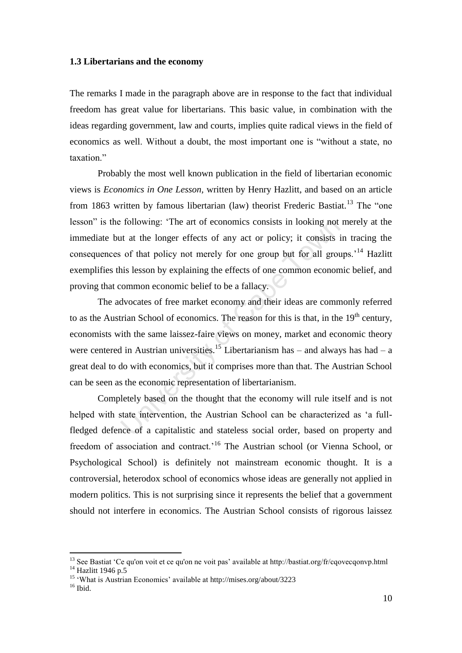#### **1.3 Libertarians and the economy**

The remarks I made in the paragraph above are in response to the fact that individual freedom has great value for libertarians. This basic value, in combination with the ideas regarding government, law and courts, implies quite radical views in the field of economics as well. Without a doubt, the most important one is "without a state, no taxation"

Probably the most well known publication in the field of libertarian economic views is *Economics in One Lesson,* written by Henry Hazlitt, and based on an article from 1863 written by famous libertarian (law) theorist Frederic Bastiat.<sup>13</sup> The "one lesson" is the following: "The art of economics consists in looking not merely at the immediate but at the longer effects of any act or policy; it consists in tracing the consequences of that policy not merely for one group but for all groups.<sup>14</sup> Hazlitt exemplifies this lesson by explaining the effects of one common economic belief, and proving that common economic belief to be a fallacy.

 The advocates of free market economy and their ideas are commonly referred to as the Austrian School of economics. The reason for this is that, in the  $19<sup>th</sup>$  century, economists with the same laissez-faire views on money, market and economic theory were centered in Austrian universities.<sup>15</sup> Libertarianism has – and always has had – a great deal to do with economics, but it comprises more than that. The Austrian School can be seen as the economic representation of libertarianism. following: "The art of economics consists in looking not<br>that at the longer effects of any act or policy; it consists<br>of that policy not merely for one group but for all grous<br>is lesson by explaining the effects of one com

Completely based on the thought that the economy will rule itself and is not helped with state intervention, the Austrian School can be characterized as "a fullfledged defence of a capitalistic and stateless social order, based on property and freedom of association and contract.<sup>16</sup> The Austrian school (or Vienna School, or Psychological School) is definitely not mainstream economic thought. It is a controversial, heterodox school of economics whose ideas are generally not applied in modern politics. This is not surprising since it represents the belief that a government should not interfere in economics. The Austrian School consists of rigorous laissez

<sup>&</sup>lt;sup>13</sup> See Bastiat 'Ce qu'on voit et ce qu'on ne voit pas' available at http://bastiat.org/fr/cqovecqonvp.html  $14$  Hazlitt 1946 p.5

<sup>&</sup>lt;sup>15</sup> 'What is Austrian Economics' available at http://mises.org/about/3223

 $16$  Ibid.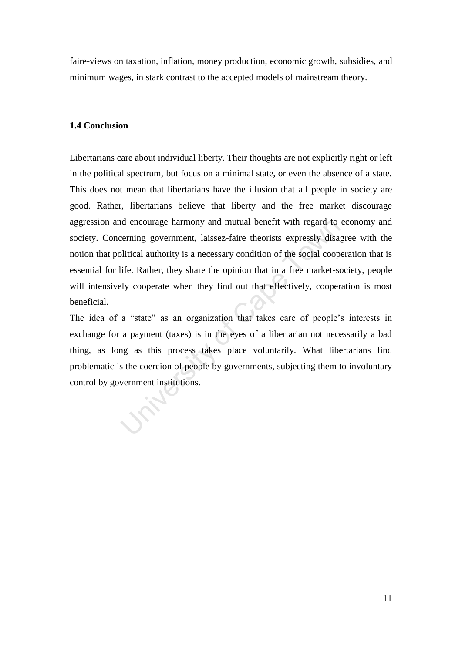faire-views on taxation, inflation, money production, economic growth, subsidies, and minimum wages, in stark contrast to the accepted models of mainstream theory.

## **1.4 Conclusion**

Libertarians care about individual liberty. Their thoughts are not explicitly right or left in the political spectrum, but focus on a minimal state, or even the absence of a state. This does not mean that libertarians have the illusion that all people in society are good. Rather, libertarians believe that liberty and the free market discourage aggression and encourage harmony and mutual benefit with regard to economy and society. Concerning government, laissez-faire theorists expressly disagree with the notion that political authority is a necessary condition of the social cooperation that is essential for life. Rather, they share the opinion that in a free market-society, people will intensively cooperate when they find out that effectively, cooperation is most beneficial. denourage harmony and mutual benefit with regard to<br>verning government, laissez-faire theorists expressly disa<br>ilitical authority is a necessary condition of the social coop<br>life. Rather, they share the opinion that in a f

The idea of a "state" as an organization that takes care of people"s interests in exchange for a payment (taxes) is in the eyes of a libertarian not necessarily a bad thing, as long as this process takes place voluntarily. What libertarians find problematic is the coercion of people by governments, subjecting them to involuntary control by government institutions.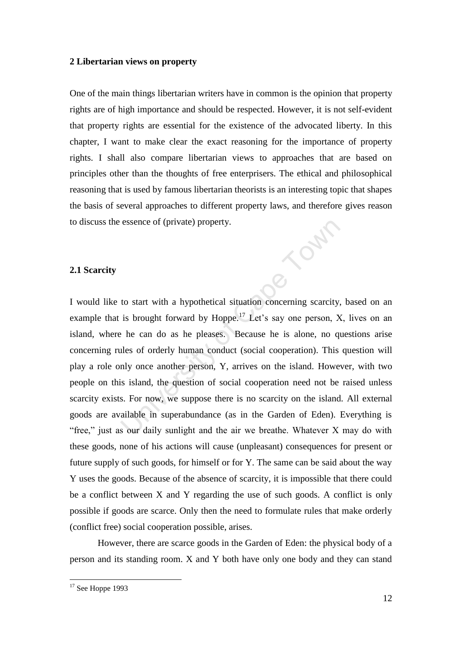#### **2 Libertarian views on property**

One of the main things libertarian writers have in common is the opinion that property rights are of high importance and should be respected. However, it is not self-evident that property rights are essential for the existence of the advocated liberty. In this chapter, I want to make clear the exact reasoning for the importance of property rights. I shall also compare libertarian views to approaches that are based on principles other than the thoughts of free enterprisers. The ethical and philosophical reasoning that is used by famous libertarian theorists is an interesting topic that shapes the basis of several approaches to different property laws, and therefore gives reason to discuss the essence of (private) property. P Town

#### **2.1 Scarcity**

I would like to start with a hypothetical situation concerning scarcity, based on an example that is brought forward by Hoppe.<sup>17</sup> Let's say one person, X, lives on an island, where he can do as he pleases. Because he is alone, no questions arise concerning rules of orderly human conduct (social cooperation). This question will play a role only once another person, Y, arrives on the island. However, with two people on this island, the question of social cooperation need not be raised unless scarcity exists. For now, we suppose there is no scarcity on the island. All external goods are available in superabundance (as in the Garden of Eden). Everything is "free," just as our daily sunlight and the air we breathe. Whatever X may do with these goods, none of his actions will cause (unpleasant) consequences for present or future supply of such goods, for himself or for Y. The same can be said about the way Y uses the goods. Because of the absence of scarcity, it is impossible that there could be a conflict between X and Y regarding the use of such goods. A conflict is only possible if goods are scarce. Only then the need to formulate rules that make orderly (conflict free) social cooperation possible, arises.

However, there are scarce goods in the Garden of Eden: the physical body of a person and its standing room. X and Y both have only one body and they can stand

 $17$  See Hoppe 1993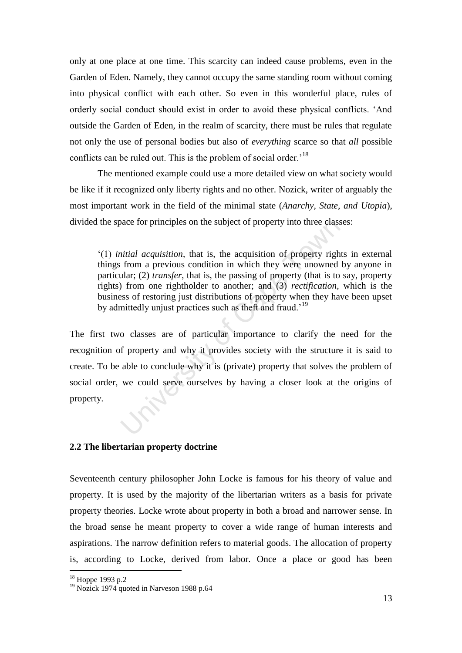only at one place at one time. This scarcity can indeed cause problems, even in the Garden of Eden. Namely, they cannot occupy the same standing room without coming into physical conflict with each other. So even in this wonderful place, rules of orderly social conduct should exist in order to avoid these physical conflicts. "And outside the Garden of Eden, in the realm of scarcity, there must be rules that regulate not only the use of personal bodies but also of *everything* scarce so that *all* possible conflicts can be ruled out. This is the problem of social order.<sup>18</sup>

The mentioned example could use a more detailed view on what society would be like if it recognized only liberty rights and no other. Nozick, writer of arguably the most important work in the field of the minimal state (*Anarchy, State, and Utopia*), divided the space for principles on the subject of property into three classes:

"(1) *initial acquisition*, that is, the acquisition of property rights in external things from a previous condition in which they were unowned by anyone in particular; (2) *transfer*, that is, the passing of property (that is to say, property rights) from one rightholder to another; and (3) *rectification*, which is the business of restoring just distributions of property when they have been upset by admittedly unjust practices such as theft and fraud.<sup>19</sup>

The first two classes are of particular importance to clarify the need for the recognition of property and why it provides society with the structure it is said to create. To be able to conclude why it is (private) property that solves the problem of social order, we could serve ourselves by having a closer look at the origins of property. basis are for principles on the subject of property into three class<br>
uitial acquisition, that is, the acquisition of property righ<br>
from a previous condition in which they were unowned<br>
ular; (2) *transfer*, that is, the

## **2.2 The libertarian property doctrine**

Seventeenth century philosopher John Locke is famous for his theory of value and property. It is used by the majority of the libertarian writers as a basis for private property theories. Locke wrote about property in both a broad and narrower sense. In the broad sense he meant property to cover a wide range of human interests and aspirations. The narrow definition refers to material goods. The allocation of property is, according to Locke, derived from labor. Once a place or good has been  $\overline{a}$ 

<sup>&</sup>lt;sup>18</sup> Hoppe 1993 p.2

<sup>&</sup>lt;sup>19</sup> Nozick 1974 quoted in Narveson 1988 p.64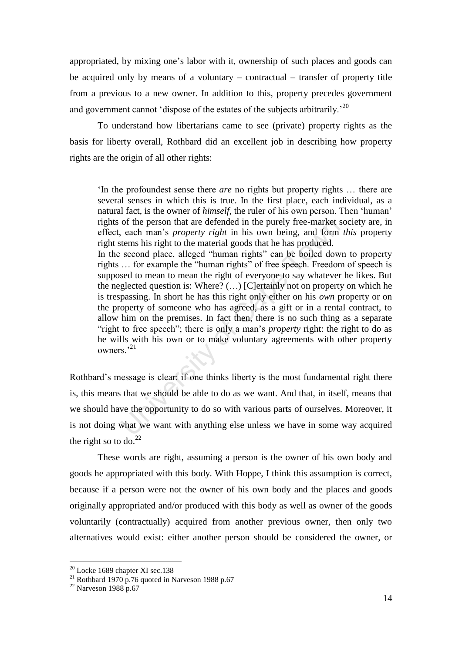appropriated, by mixing one's labor with it, ownership of such places and goods can be acquired only by means of a voluntary – contractual – transfer of property title from a previous to a new owner. In addition to this, property precedes government and government cannot 'dispose of the estates of the subjects arbitrarily.<sup>20</sup>

To understand how libertarians came to see (private) property rights as the basis for liberty overall, Rothbard did an excellent job in describing how property rights are the origin of all other rights:

"In the profoundest sense there *are* no rights but property rights … there are several senses in which this is true. In the first place, each individual, as a natural fact, is the owner of *himself*, the ruler of his own person. Then "human" rights of the person that are defended in the purely free-market society are, in effect, each man"s *property right* in his own being, and form *this* property right stems his right to the material goods that he has produced. In the second place, alleged "human rights" can be boiled down to property rights … for example the "human rights" of free speech. Freedom of speech is supposed to mean to mean the right of everyone to say whatever he likes. But the neglected question is: Where? (…) [C]ertainly not on property on which he is trespassing. In short he has this right only either on his *own* property or on the property of someone who has agreed, as a gift or in a rental contract, to allow him on the premises. In fact then, there is no such thing as a separate "right to free speech"; there is only a man"s *property* right: the right to do as he wills with his own or to make voluntary agreements with other property owners.<sup>21</sup> of the person that are defended in the purely free-market and control and the purely free market and control terms his right to the material goods that he has produced. Second place, alleged "human rights" can be boiled d

Rothbard"s message is clear: if one thinks liberty is the most fundamental right there is, this means that we should be able to do as we want. And that, in itself, means that we should have the opportunity to do so with various parts of ourselves. Moreover, it is not doing what we want with anything else unless we have in some way acquired the right so to do. $^{22}$ 

These words are right, assuming a person is the owner of his own body and goods he appropriated with this body. With Hoppe, I think this assumption is correct, because if a person were not the owner of his own body and the places and goods originally appropriated and/or produced with this body as well as owner of the goods voluntarily (contractually) acquired from another previous owner, then only two alternatives would exist: either another person should be considered the owner, or

 $20$  Locke 1689 chapter XI sec.138

 $^{21}$  Rothbard 1970 p.76 quoted in Narveson 1988 p.67

 $22$  Narveson 1988 p.67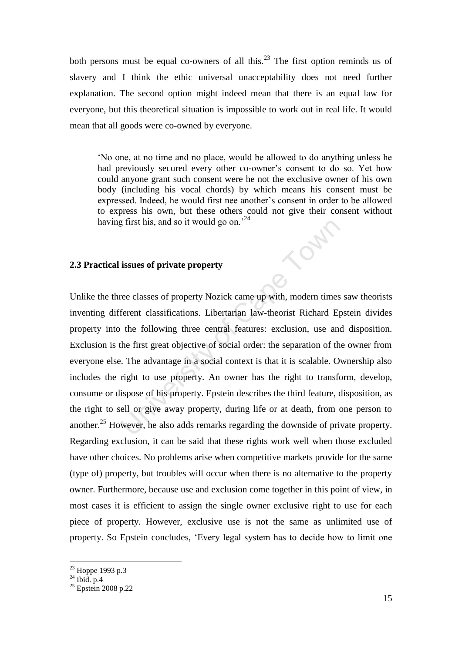both persons must be equal co-owners of all this.<sup>23</sup> The first option reminds us of slavery and I think the ethic universal unacceptability does not need further explanation. The second option might indeed mean that there is an equal law for everyone, but this theoretical situation is impossible to work out in real life. It would mean that all goods were co-owned by everyone.

"No one, at no time and no place, would be allowed to do anything unless he had previously secured every other co-owner's consent to do so. Yet how could anyone grant such consent were he not the exclusive owner of his own body (including his vocal chords) by which means his consent must be expressed. Indeed, he would first nee another"s consent in order to be allowed to express his own, but these others could not give their consent without having first his, and so it would go on.<sup>24</sup>

#### **2.3 Practical issues of private property**

Unlike the three classes of property Nozick came up with, modern times saw theorists inventing different classifications. Libertarian law-theorist Richard Epstein divides property into the following three central features: exclusion, use and disposition. Exclusion is the first great objective of social order: the separation of the owner from everyone else. The advantage in a social context is that it is scalable. Ownership also includes the right to use property. An owner has the right to transform, develop, consume or dispose of his property. Epstein describes the third feature, disposition, as the right to sell or give away property, during life or at death, from one person to another.<sup>25</sup> However, he also adds remarks regarding the downside of private property. Regarding exclusion, it can be said that these rights work well when those excluded have other choices. No problems arise when competitive markets provide for the same (type of) property, but troubles will occur when there is no alternative to the property owner. Furthermore, because use and exclusion come together in this point of view, in most cases it is efficient to assign the single owner exclusive right to use for each piece of property. However, exclusive use is not the same as unlimited use of property. So Epstein concludes, "Every legal system has to decide how to limit one Example 1 Instituted a solution of the also and solution of private property<br>
issues of private property<br>
Ferent classifications. Libertarian law-theorist Richard E<sub>1</sub><br>
the following three central features: exclusion, use

 $^{23}$  Hoppe 1993 p.3

 $^{24}$  Ibid. p.4

<sup>&</sup>lt;sup>25</sup> Epstein 2008 p.22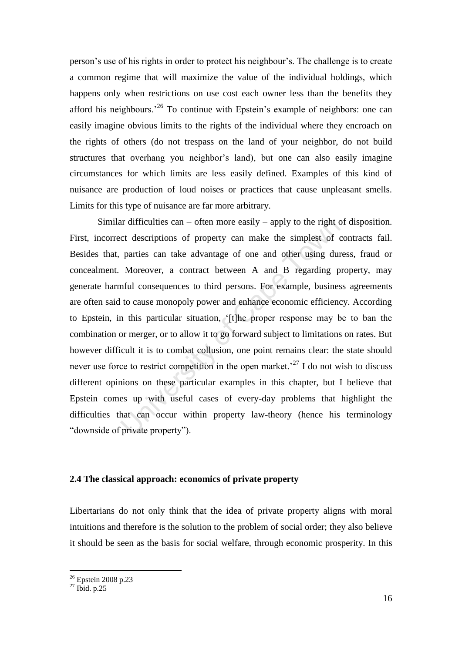person"s use of his rights in order to protect his neighbour"s. The challenge is to create a common regime that will maximize the value of the individual holdings, which happens only when restrictions on use cost each owner less than the benefits they afford his neighbours.<sup> $26$ </sup> To continue with Epstein's example of neighbors: one can easily imagine obvious limits to the rights of the individual where they encroach on the rights of others (do not trespass on the land of your neighbor, do not build structures that overhang you neighbor"s land), but one can also easily imagine circumstances for which limits are less easily defined. Examples of this kind of nuisance are production of loud noises or practices that cause unpleasant smells. Limits for this type of nuisance are far more arbitrary.

Similar difficulties can – often more easily – apply to the right of disposition. First, incorrect descriptions of property can make the simplest of contracts fail. Besides that, parties can take advantage of one and other using duress, fraud or concealment. Moreover, a contract between A and B regarding property, may generate harmful consequences to third persons. For example, business agreements are often said to cause monopoly power and enhance economic efficiency. According to Epstein, in this particular situation, "[t]he proper response may be to ban the combination or merger, or to allow it to go forward subject to limitations on rates. But however difficult it is to combat collusion, one point remains clear: the state should never use force to restrict competition in the open market.<sup>27</sup> I do not wish to discuss different opinions on these particular examples in this chapter, but I believe that Epstein comes up with useful cases of every-day problems that highlight the difficulties that can occur within property law-theory (hence his terminology "downside of private property"). ar difficulties can – often more easily – apply to the right of exercutions of property can make the simplest of  $\alpha$  parties can take advantage of one and other using due Moreover, a contract between A and B regarding p

## **2.4 The classical approach: economics of private property**

Libertarians do not only think that the idea of private property aligns with moral intuitions and therefore is the solution to the problem of social order; they also believe it should be seen as the basis for social welfare, through economic prosperity. In this

<sup>&</sup>lt;sup>26</sup> Epstein 2008 p.23

 $^{27}$  Ibid. p.25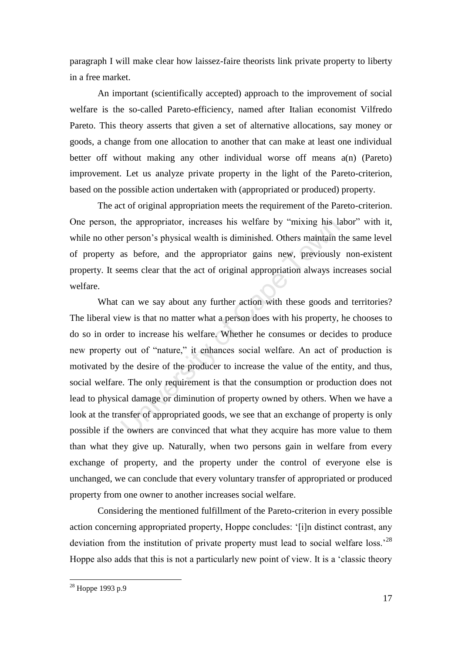paragraph I will make clear how laissez-faire theorists link private property to liberty in a free market.

An important (scientifically accepted) approach to the improvement of social welfare is the so-called Pareto-efficiency, named after Italian economist Vilfredo Pareto. This theory asserts that given a set of alternative allocations, say money or goods, a change from one allocation to another that can make at least one individual better off without making any other individual worse off means a(n) (Pareto) improvement. Let us analyze private property in the light of the Pareto-criterion, based on the possible action undertaken with (appropriated or produced) property.

The act of original appropriation meets the requirement of the Pareto-criterion. One person, the appropriator, increases his welfare by "mixing his labor" with it, while no other person's physical wealth is diminished. Others maintain the same level of property as before, and the appropriator gains new, previously non-existent property. It seems clear that the act of original appropriation always increases social welfare.

What can we say about any further action with these goods and territories? The liberal view is that no matter what a person does with his property, he chooses to do so in order to increase his welfare. Whether he consumes or decides to produce new property out of "nature," it enhances social welfare. An act of production is motivated by the desire of the producer to increase the value of the entity, and thus, social welfare. The only requirement is that the consumption or production does not lead to physical damage or diminution of property owned by others. When we have a look at the transfer of appropriated goods, we see that an exchange of property is only possible if the owners are convinced that what they acquire has more value to them than what they give up. Naturally, when two persons gain in welfare from every exchange of property, and the property under the control of everyone else is unchanged, we can conclude that every voluntary transfer of appropriated or produced property from one owner to another increases social welfare. the appropriator, increases his welfare by "mixing his livent person's physical wealth is diminished. Others maintain tas before, and the appropriator gains new, previously eems clear that the act of original appropriation

Considering the mentioned fulfillment of the Pareto-criterion in every possible action concerning appropriated property, Hoppe concludes: "[i]n distinct contrast, any deviation from the institution of private property must lead to social welfare loss.<sup>28</sup> Hoppe also adds that this is not a particularly new point of view. It is a "classic theory

 $^{28}$  Hoppe 1993 p.9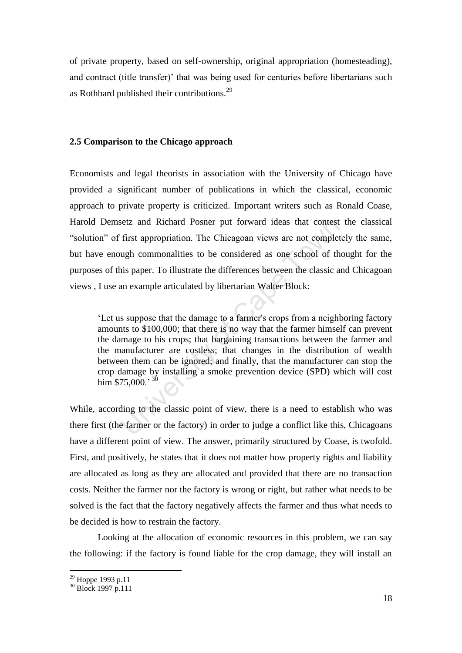of private property, based on self-ownership, original appropriation (homesteading), and contract (title transfer)' that was being used for centuries before libertarians such as Rothbard published their contributions.<sup>29</sup>

#### **2.5 Comparison to the Chicago approach**

Economists and legal theorists in association with the University of Chicago have provided a significant number of publications in which the classical, economic approach to private property is criticized. Important writers such as Ronald Coase, Harold Demsetz and Richard Posner put forward ideas that contest the classical "solution" of first appropriation. The Chicagoan views are not completely the same, but have enough commonalities to be considered as one school of thought for the purposes of this paper. To illustrate the differences between the classic and Chicagoan views , I use an example articulated by libertarian Walter Block:

"Let us suppose that the damage to a farmer's crops from a neighboring factory amounts to \$100,000; that there is no way that the farmer himself can prevent the damage to his crops; that bargaining transactions between the farmer and the manufacturer are costless; that changes in the distribution of wealth between them can be ignored; and finally, that the manufacturer can stop the crop damage by installing a smoke prevention device (SPD) which will cost him  $$75,000$ .  $^{30}$ setz and Richard Posner put forward ideas that contest<br>first appropriation. The Chicagoan views are not complet<br>ugh commonalities to be considered as one school of th<br>his paper. To illustrate the differences between the cl

While, according to the classic point of view, there is a need to establish who was there first (the farmer or the factory) in order to judge a conflict like this, Chicagoans have a different point of view. The answer, primarily structured by Coase, is twofold. First, and positively, he states that it does not matter how property rights and liability are allocated as long as they are allocated and provided that there are no transaction costs. Neither the farmer nor the factory is wrong or right, but rather what needs to be solved is the fact that the factory negatively affects the farmer and thus what needs to be decided is how to restrain the factory.

Looking at the allocation of economic resources in this problem, we can say the following: if the factory is found liable for the crop damage, they will install an

 $29$  Hoppe 1993 p.11

<sup>&</sup>lt;sup>30</sup> Block 1997 p.111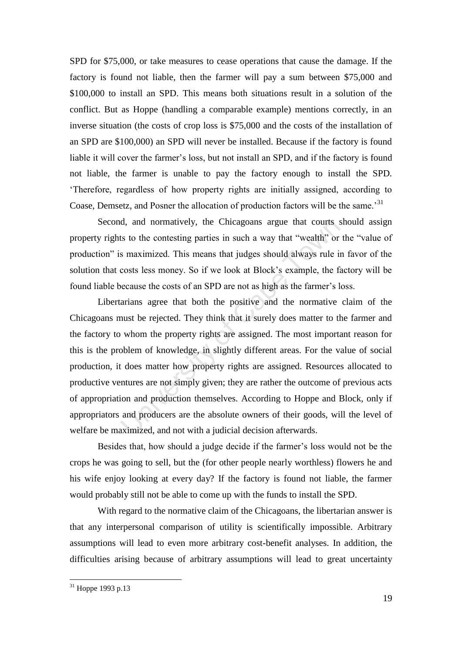SPD for \$75,000, or take measures to cease operations that cause the damage. If the factory is found not liable, then the farmer will pay a sum between \$75,000 and \$100,000 to install an SPD. This means both situations result in a solution of the conflict. But as Hoppe (handling a comparable example) mentions correctly, in an inverse situation (the costs of crop loss is \$75,000 and the costs of the installation of an SPD are \$100,000) an SPD will never be installed. Because if the factory is found liable it will cover the farmer"s loss, but not install an SPD, and if the factory is found not liable, the farmer is unable to pay the factory enough to install the SPD. "Therefore, regardless of how property rights are initially assigned, according to Coase, Demsetz, and Posner the allocation of production factors will be the same.<sup>31</sup>

Second, and normatively, the Chicagoans argue that courts should assign property rights to the contesting parties in such a way that "wealth" or the "value of production" is maximized. This means that judges should always rule in favor of the solution that costs less money. So if we look at Block"s example, the factory will be found liable because the costs of an SPD are not as high as the farmer"s loss.

Libertarians agree that both the positive and the normative claim of the Chicagoans must be rejected. They think that it surely does matter to the farmer and the factory to whom the property rights are assigned. The most important reason for this is the problem of knowledge, in slightly different areas. For the value of social production, it does matter how property rights are assigned. Resources allocated to productive ventures are not simply given; they are rather the outcome of previous acts of appropriation and production themselves. According to Hoppe and Block, only if appropriators and producers are the absolute owners of their goods, will the level of welfare be maximized, and not with a judicial decision afterwards. d, and normatively, the Chicagoans argue that courts is<br>ts to the contesting parties in such a way that "wealth" or<br>s maximized. This means that judges should always rule i<br>costs less money. So if we look at Block's exampl

Besides that, how should a judge decide if the farmer"s loss would not be the crops he was going to sell, but the (for other people nearly worthless) flowers he and his wife enjoy looking at every day? If the factory is found not liable, the farmer would probably still not be able to come up with the funds to install the SPD.

With regard to the normative claim of the Chicagoans, the libertarian answer is that any interpersonal comparison of utility is scientifically impossible. Arbitrary assumptions will lead to even more arbitrary cost-benefit analyses. In addition, the difficulties arising because of arbitrary assumptions will lead to great uncertainty

 $31$  Hoppe 1993 p.13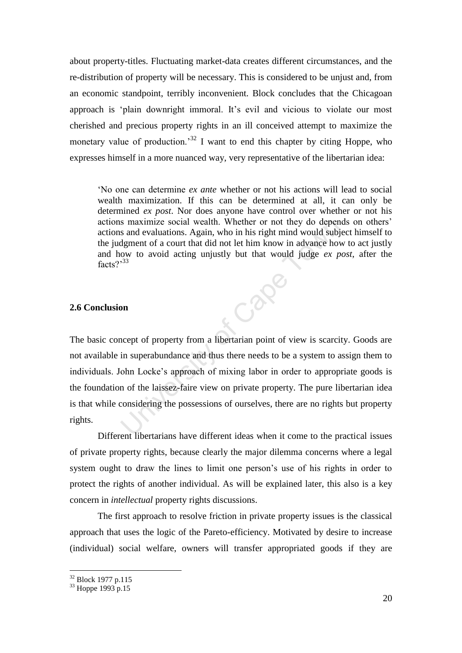about property-titles. Fluctuating market-data creates different circumstances, and the re-distribution of property will be necessary. This is considered to be unjust and, from an economic standpoint, terribly inconvenient. Block concludes that the Chicagoan approach is 'plain downright immoral. It's evil and vicious to violate our most cherished and precious property rights in an ill conceived attempt to maximize the monetary value of production.<sup>32</sup> I want to end this chapter by citing Hoppe, who expresses himself in a more nuanced way, very representative of the libertarian idea:

"No one can determine *ex ante* whether or not his actions will lead to social wealth maximization. If this can be determined at all, it can only be determined *ex post*. Nor does anyone have control over whether or not his actions maximize social wealth. Whether or not they do depends on others" actions and evaluations. Again, who in his right mind would subject himself to the judgment of a court that did not let him know in advance how to act justly and how to avoid acting unjustly but that would judge *ex post*, after the facts $2^{33}$ 

#### **2.6 Conclusion**

The basic concept of property from a libertarian point of view is scarcity. Goods are not available in superabundance and thus there needs to be a system to assign them to individuals. John Locke"s approach of mixing labor in order to appropriate goods is the foundation of the laissez-faire view on private property. The pure libertarian idea is that while considering the possessions of ourselves, there are no rights but property rights. S maximize social wealth. Whether or not they do depends and evaluations. Again, who in his right mind would subjement of a court that did not let him know in advance how to avoid acting unjustly but that would judge *ex p* 

 Different libertarians have different ideas when it come to the practical issues of private property rights, because clearly the major dilemma concerns where a legal system ought to draw the lines to limit one person's use of his rights in order to protect the rights of another individual. As will be explained later, this also is a key concern in *intellectual* property rights discussions.

 The first approach to resolve friction in private property issues is the classical approach that uses the logic of the Pareto-efficiency. Motivated by desire to increase (individual) social welfare, owners will transfer appropriated goods if they are

<sup>&</sup>lt;sup>32</sup> Block 1977 p.115

<sup>&</sup>lt;sup>33</sup> Hoppe 1993 p.15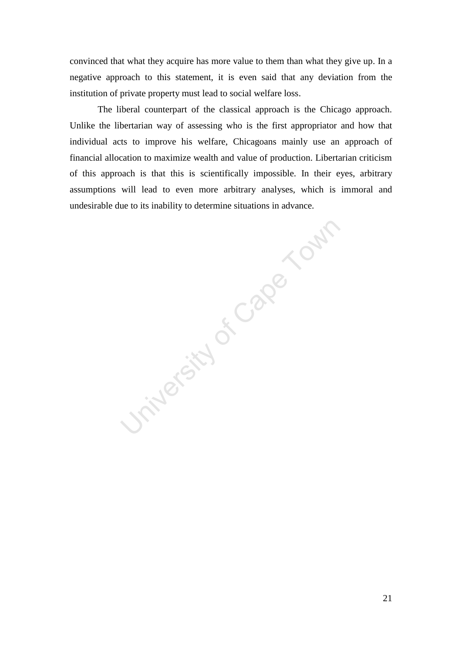convinced that what they acquire has more value to them than what they give up. In a negative approach to this statement, it is even said that any deviation from the institution of private property must lead to social welfare loss.

 The liberal counterpart of the classical approach is the Chicago approach. Unlike the libertarian way of assessing who is the first appropriator and how that individual acts to improve his welfare, Chicagoans mainly use an approach of financial allocation to maximize wealth and value of production. Libertarian criticism of this approach is that this is scientifically impossible. In their eyes, arbitrary assumptions will lead to even more arbitrary analyses, which is immoral and undesirable due to its inability to determine situations in advance.

Aristopher Cape Town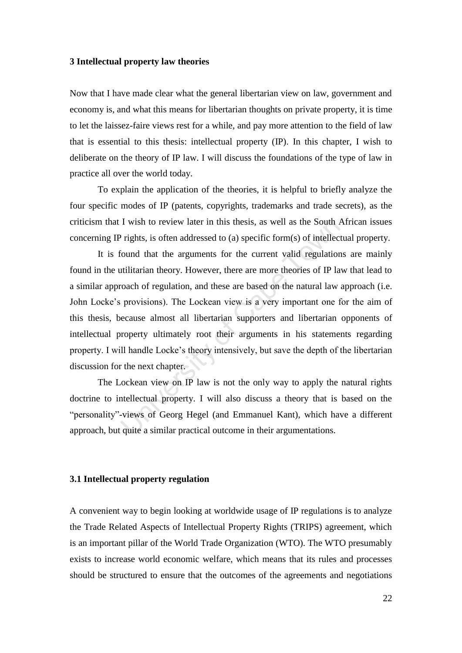#### **3 Intellectual property law theories**

Now that I have made clear what the general libertarian view on law, government and economy is, and what this means for libertarian thoughts on private property, it is time to let the laissez-faire views rest for a while, and pay more attention to the field of law that is essential to this thesis: intellectual property (IP). In this chapter, I wish to deliberate on the theory of IP law. I will discuss the foundations of the type of law in practice all over the world today.

To explain the application of the theories, it is helpful to briefly analyze the four specific modes of IP (patents, copyrights, trademarks and trade secrets), as the criticism that I wish to review later in this thesis, as well as the South African issues concerning IP rights, is often addressed to (a) specific form(s) of intellectual property.

It is found that the arguments for the current valid regulations are mainly found in the utilitarian theory. However, there are more theories of IP law that lead to a similar approach of regulation, and these are based on the natural law approach (i.e. John Locke"s provisions). The Lockean view is a very important one for the aim of this thesis, because almost all libertarian supporters and libertarian opponents of intellectual property ultimately root their arguments in his statements regarding property. I will handle Locke"s theory intensively, but save the depth of the libertarian discussion for the next chapter. I wish to review later in this thesis, as well as the South  $\lambda$  rights, is often addressed to (a) specific form(s) of intellection of that the arguments for the current valid regulation trilitarian theory. However, there

The Lockean view on IP law is not the only way to apply the natural rights doctrine to intellectual property. I will also discuss a theory that is based on the "personality"-views of Georg Hegel (and Emmanuel Kant), which have a different approach, but quite a similar practical outcome in their argumentations.

## **3.1 Intellectual property regulation**

A convenient way to begin looking at worldwide usage of IP regulations is to analyze the Trade Related Aspects of Intellectual Property Rights (TRIPS) agreement, which is an important pillar of the World Trade Organization (WTO). The WTO presumably exists to increase world economic welfare, which means that its rules and processes should be structured to ensure that the outcomes of the agreements and negotiations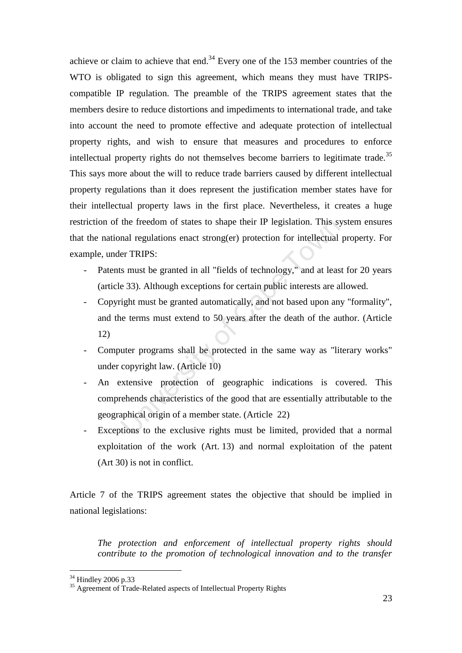achieve or claim to achieve that end. $34$  Every one of the 153 member countries of the WTO is obligated to sign this agreement, which means they must have TRIPScompatible IP regulation. The preamble of the TRIPS agreement states that the members desire to reduce distortions and impediments to international trade, and take into account the need to promote effective and adequate protection of intellectual property rights, and wish to ensure that measures and procedures to enforce intellectual property rights do not themselves become barriers to legitimate trade.<sup>35</sup> This says more about the will to reduce trade barriers caused by different intellectual property regulations than it does represent the justification member states have for their intellectual property laws in the first place. Nevertheless, it creates a huge restriction of the freedom of states to shape their IP legislation. This system ensures that the national regulations enact strong(er) protection for intellectual property. For example, under TRIPS:

- Patents must be granted in all "fields of technology," and at least for 20 years (article 33). Although exceptions for certain public interests are allowed.
- Copyright must be granted automatically, and not based upon any "formality", and the terms must extend to 50 years after the death of the author. (Article 12)
- Computer programs shall be protected in the same way as "literary works" under copyright law. (Article 10)
- An extensive protection of geographic indications is covered. This comprehends characteristics of the good that are essentially attributable to the geographical origin of a member state. (Article 22) the freedom of states to shape their IP legislation. This sy<br>nal regulations enact strong(er) protection for intellectual<br>er TRIPS:<br>s must be granted in all "fields of technology," and at leas<br>e 33). Although exceptions fo
- Exceptions to the exclusive rights must be limited, provided that a normal exploitation of the work (Art. 13) and normal exploitation of the patent (Art 30) is not in conflict.

Article 7 of the TRIPS agreement states the objective that should be implied in national legislations:

*The protection and enforcement of intellectual property rights should contribute to the promotion of technological innovation and to the transfer* 

<sup>&</sup>lt;sup>34</sup> Hindley 2006 p.33

<sup>&</sup>lt;sup>35</sup> Agreement of Trade-Related aspects of Intellectual Property Rights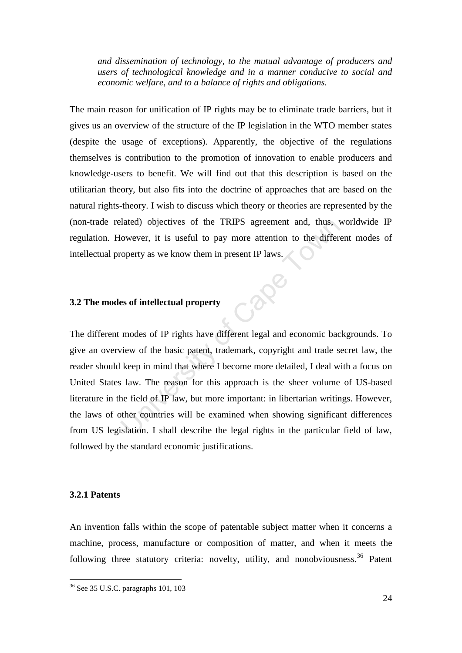*and dissemination of technology, to the mutual advantage of producers and users of technological knowledge and in a manner conducive to social and economic welfare, and to a balance of rights and obligations.* 

The main reason for unification of IP rights may be to eliminate trade barriers, but it gives us an overview of the structure of the IP legislation in the WTO member states (despite the usage of exceptions). Apparently, the objective of the regulations themselves is contribution to the promotion of innovation to enable producers and knowledge-users to benefit. We will find out that this description is based on the utilitarian theory, but also fits into the doctrine of approaches that are based on the natural rights-theory. I wish to discuss which theory or theories are represented by the (non-trade related) objectives of the TRIPS agreement and, thus, worldwide IP regulation. However, it is useful to pay more attention to the different modes of intellectual property as we know them in present IP laws.

## **3.2 The modes of intellectual property**

The different modes of IP rights have different legal and economic backgrounds. To give an overview of the basic patent, trademark, copyright and trade secret law, the reader should keep in mind that where I become more detailed, I deal with a focus on United States law. The reason for this approach is the sheer volume of US-based literature in the field of IP law, but more important: in libertarian writings. However, the laws of other countries will be examined when showing significant differences from US legislation. I shall describe the legal rights in the particular field of law, followed by the standard economic justifications. lated) objectives of the TRIPS agreement and, thus, v<br>owever, it is useful to pay more attention to the differ<br>operty as we know them in present IP laws.<br><br>**es of intellectual property**<br>modes of IP rights have different leg

#### **3.2.1 Patents**

 $\overline{a}$ 

An invention falls within the scope of patentable subject matter when it concerns a machine, process, manufacture or composition of matter, and when it meets the following three statutory criteria: novelty, utility, and nonobviousness.<sup>36</sup> Patent

<sup>36</sup> See 35 U.S.C. paragraphs 101, 103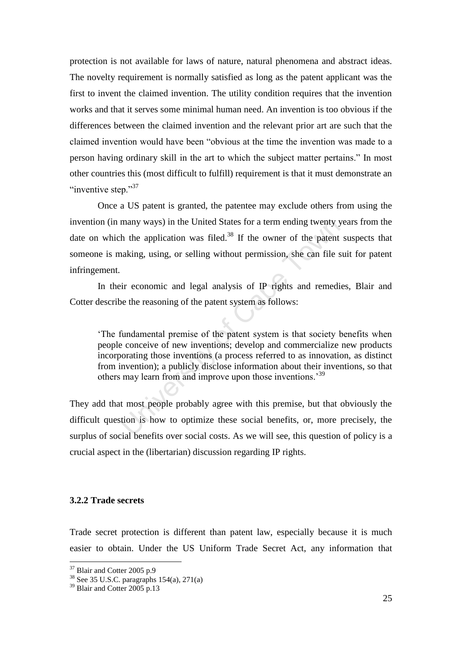protection is not available for laws of nature, natural phenomena and abstract ideas. The novelty requirement is normally satisfied as long as the patent applicant was the first to invent the claimed invention. The utility condition requires that the invention works and that it serves some minimal human need. An invention is too obvious if the differences between the claimed invention and the relevant prior art are such that the claimed invention would have been "obvious at the time the invention was made to a person having ordinary skill in the art to which the subject matter pertains." In most other countries this (most difficult to fulfill) requirement is that it must demonstrate an "inventive step."<sup>37</sup>

 Once a US patent is granted, the patentee may exclude others from using the invention (in many ways) in the United States for a term ending twenty years from the date on which the application was filed. $38$  If the owner of the patent suspects that someone is making, using, or selling without permission, she can file suit for patent infringement. many ways) in the United States for a term ending twenty y<br>h the application was filed.<sup>38</sup> If the owner of the patent<br>naking, using, or selling without permission, she can file<br>sir economic and legal analysis of IP right

In their economic and legal analysis of IP rights and remedies, Blair and Cotter describe the reasoning of the patent system as follows:

"The fundamental premise of the patent system is that society benefits when people conceive of new inventions; develop and commercialize new products incorporating those inventions (a process referred to as innovation, as distinct from invention); a publicly disclose information about their inventions, so that others may learn from and improve upon those inventions."<sup>39</sup>

They add that most people probably agree with this premise, but that obviously the difficult question is how to optimize these social benefits, or, more precisely, the surplus of social benefits over social costs. As we will see, this question of policy is a crucial aspect in the (libertarian) discussion regarding IP rights.

#### **3.2.2 Trade secrets**

Trade secret protection is different than patent law, especially because it is much easier to obtain. Under the US Uniform Trade Secret Act, any information that

<sup>&</sup>lt;sup>37</sup> Blair and Cotter 2005 p.9

 $38$  See 35 U.S.C. paragraphs 154(a), 271(a)

<sup>&</sup>lt;sup>39</sup> Blair and Cotter 2005 p.13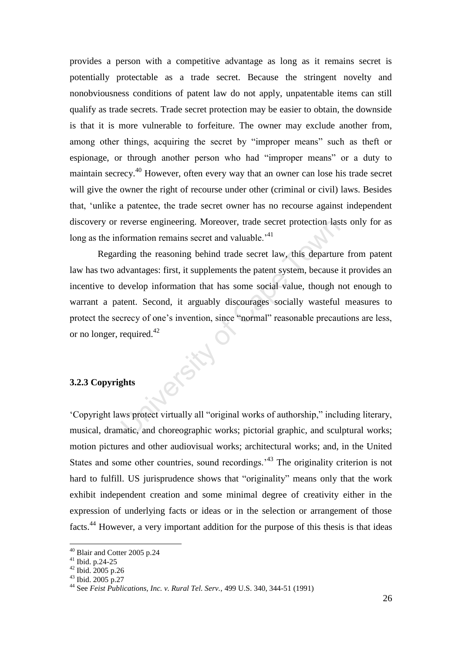provides a person with a competitive advantage as long as it remains secret is potentially protectable as a trade secret. Because the stringent novelty and nonobviousness conditions of patent law do not apply, unpatentable items can still qualify as trade secrets. Trade secret protection may be easier to obtain, the downside is that it is more vulnerable to forfeiture. The owner may exclude another from, among other things, acquiring the secret by "improper means" such as theft or espionage, or through another person who had "improper means" or a duty to maintain secrecy.<sup>40</sup> However, often every way that an owner can lose his trade secret will give the owner the right of recourse under other (criminal or civil) laws. Besides that, "unlike a patentee, the trade secret owner has no recourse against independent discovery or reverse engineering. Moreover, trade secret protection lasts only for as long as the information remains secret and valuable.<sup> $41$ </sup>

 Regarding the reasoning behind trade secret law, this departure from patent law has two advantages: first, it supplements the patent system, because it provides an incentive to develop information that has some social value, though not enough to warrant a patent. Second, it arguably discourages socially wasteful measures to protect the secrecy of one"s invention, since "normal" reasonable precautions are less, or no longer, required. $42$ reverse engineering. Moreover, trade secret protection last<br>formation remains secret and valuable.<sup>341</sup><br>ding the reasoning behind trade secret law, this departured<br>vantages: first, it supplements the patent system, because

## **3.2.3 Copyrights**

"Copyright laws protect virtually all "original works of authorship," including literary, musical, dramatic, and choreographic works; pictorial graphic, and sculptural works; motion pictures and other audiovisual works; architectural works; and, in the United States and some other countries, sound recordings.<sup>43</sup> The originality criterion is not hard to fulfill. US jurisprudence shows that "originality" means only that the work exhibit independent creation and some minimal degree of creativity either in the expression of underlying facts or ideas or in the selection or arrangement of those facts.<sup>44</sup> However, a very important addition for the purpose of this thesis is that ideas

<sup>40</sup> Blair and Cotter 2005 p.24

 $41$  Ibid. p.24-25

 $42$  Ibid. 2005 p.26

 $43$  Ibid. 2005 p.27

<sup>44</sup> See *Feist Publications, Inc. v. Rural Tel. Serv.,* 499 U.S. 340, 344-51 (1991)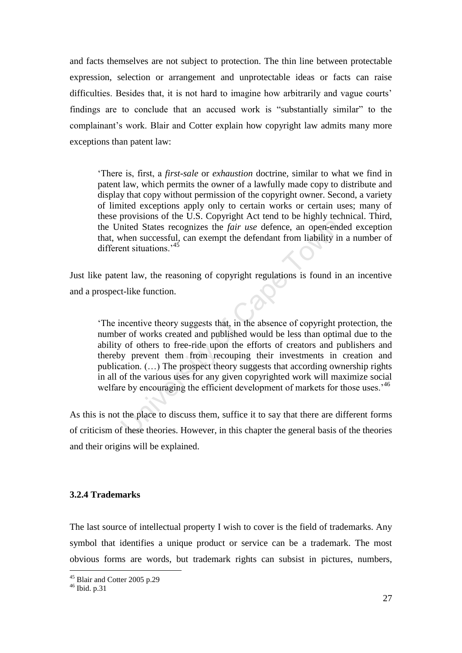and facts themselves are not subject to protection. The thin line between protectable expression, selection or arrangement and unprotectable ideas or facts can raise difficulties. Besides that, it is not hard to imagine how arbitrarily and vague courts' findings are to conclude that an accused work is "substantially similar" to the complainant"s work. Blair and Cotter explain how copyright law admits many more exceptions than patent law:

"There is, first, a *first-sale* or *exhaustion* doctrine, similar to what we find in patent law, which permits the owner of a lawfully made copy to distribute and display that copy without permission of the copyright owner. Second, a variety of limited exceptions apply only to certain works or certain uses; many of these provisions of the U.S. Copyright Act tend to be highly technical. Third, the United States recognizes the *fair use* defence, an open-ended exception that, when successful, can exempt the defendant from liability in a number of different situations<sup>345</sup>

Just like patent law, the reasoning of copyright regulations is found in an incentive and a prospect-like function.

"The incentive theory suggests that, in the absence of copyright protection, the number of works created and published would be less than optimal due to the ability of others to free-ride upon the efforts of creators and publishers and thereby prevent them from recouping their investments in creation and publication. (…) The prospect theory suggests that according ownership rights in all of the various uses for any given copyrighted work will maximize social welfare by encouraging the efficient development of markets for those uses.<sup>46</sup> inited States recognizes the *fair use* defence, an open-end<br>when successful, can exempt the defendant from liability in<br>the successful, can exempt the defendant from liability in<br>the successful, can exempt the defendant

As this is not the place to discuss them, suffice it to say that there are different forms of criticism of these theories. However, in this chapter the general basis of the theories and their origins will be explained.

#### **3.2.4 Trademarks**

The last source of intellectual property I wish to cover is the field of trademarks. Any symbol that identifies a unique product or service can be a trademark. The most obvious forms are words, but trademark rights can subsist in pictures, numbers,

<sup>45</sup> Blair and Cotter 2005 p.29

<sup>46</sup> Ibid. p.31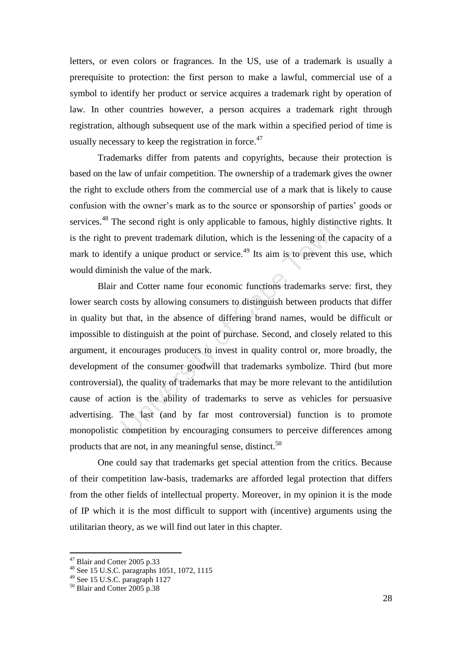letters, or even colors or fragrances. In the US, use of a trademark is usually a prerequisite to protection: the first person to make a lawful, commercial use of a symbol to identify her product or service acquires a trademark right by operation of law. In other countries however, a person acquires a trademark right through registration, although subsequent use of the mark within a specified period of time is usually necessary to keep the registration in force.<sup>47</sup>

Trademarks differ from patents and copyrights, because their protection is based on the law of unfair competition. The ownership of a trademark gives the owner the right to exclude others from the commercial use of a mark that is likely to cause confusion with the owner"s mark as to the source or sponsorship of parties" goods or services.<sup>48</sup> The second right is only applicable to famous, highly distinctive rights. It is the right to prevent trademark dilution, which is the lessening of the capacity of a mark to identify a unique product or service.<sup>49</sup> Its aim is to prevent this use, which would diminish the value of the mark.

 Blair and Cotter name four economic functions trademarks serve: first, they lower search costs by allowing consumers to distinguish between products that differ in quality but that, in the absence of differing brand names, would be difficult or impossible to distinguish at the point of purchase. Second, and closely related to this argument, it encourages producers to invest in quality control or, more broadly, the development of the consumer goodwill that trademarks symbolize. Third (but more controversial), the quality of trademarks that may be more relevant to the antidilution cause of action is the ability of trademarks to serve as vehicles for persuasive advertising. The last (and by far most controversial) function is to promote monopolistic competition by encouraging consumers to perceive differences among products that are not, in any meaningful sense, distinct.<sup>50</sup> is expected in the last (and by for the last (and by encouraging consumers to perceive different perceive different perceive.<sup>49</sup> Its aim is to prevent the value of the mark.<br>
and Cotter name four economic functions tradem

One could say that trademarks get special attention from the critics. Because of their competition law-basis, trademarks are afforded legal protection that differs from the other fields of intellectual property. Moreover, in my opinion it is the mode of IP which it is the most difficult to support with (incentive) arguments using the utilitarian theory, as we will find out later in this chapter.

<sup>&</sup>lt;sup>47</sup> Blair and Cotter 2005 p.33

<sup>48</sup> See 15 U.S.C. paragraphs 1051, 1072, 1115

<sup>49</sup> See 15 U.S.C. paragraph 1127

 $50$  Blair and Cotter 2005 p.38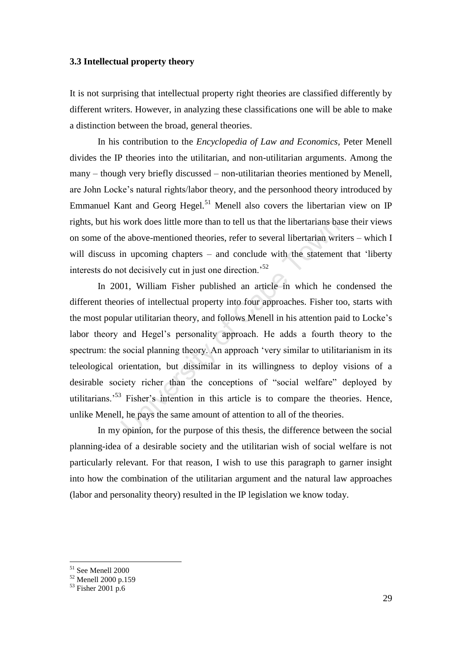#### **3.3 Intellectual property theory**

It is not surprising that intellectual property right theories are classified differently by different writers. However, in analyzing these classifications one will be able to make a distinction between the broad, general theories.

In his contribution to the *Encyclopedia of Law and Economics,* Peter Menell divides the IP theories into the utilitarian, and non-utilitarian arguments. Among the many – though very briefly discussed – non-utilitarian theories mentioned by Menell, are John Locke"s natural rights/labor theory, and the personhood theory introduced by Emmanuel Kant and Georg Hegel.<sup>51</sup> Menell also covers the libertarian view on IP rights, but his work does little more than to tell us that the libertarians base their views on some of the above-mentioned theories, refer to several libertarian writers – which I will discuss in upcoming chapters – and conclude with the statement that 'liberty interests do not decisively cut in just one direction.<sup>52</sup>

In 2001, William Fisher published an article in which he condensed the different theories of intellectual property into four approaches. Fisher too, starts with the most popular utilitarian theory, and follows Menell in his attention paid to Locke"s labor theory and Hegel"s personality approach. He adds a fourth theory to the spectrum: the social planning theory. An approach 'very similar to utilitarianism in its teleological orientation, but dissimilar in its willingness to deploy visions of a desirable society richer than the conceptions of "social welfare" deployed by utilitarians.<sup>53</sup> Fisher's intention in this article is to compare the theories. Hence, unlike Menell, he pays the same amount of attention to all of the theories. work does little more than to tell us that the libertarians ba<br>e above-mentioned theories, refer to several libertarian wri<br>in upcoming chapters – and conclude with the statemen<br>ot decisively cut in just one direction.<sup>52</sup>

 In my opinion, for the purpose of this thesis, the difference between the social planning-idea of a desirable society and the utilitarian wish of social welfare is not particularly relevant. For that reason, I wish to use this paragraph to garner insight into how the combination of the utilitarian argument and the natural law approaches (labor and personality theory) resulted in the IP legislation we know today.

<sup>51</sup> See Menell 2000

<sup>&</sup>lt;sup>52</sup> Menell 2000 p.159

<sup>&</sup>lt;sup>53</sup> Fisher 2001 p.6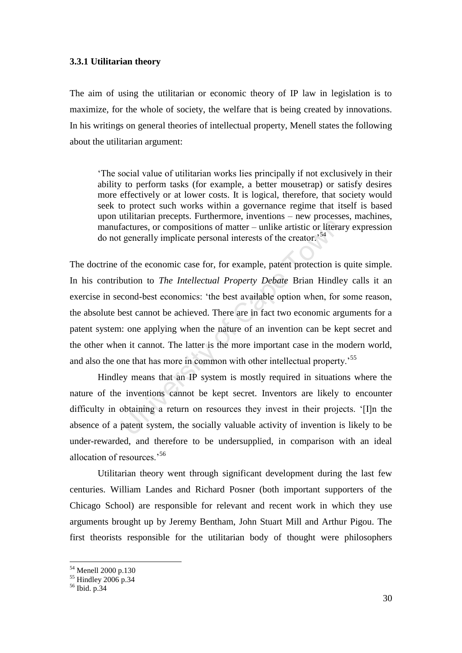#### **3.3.1 Utilitarian theory**

The aim of using the utilitarian or economic theory of IP law in legislation is to maximize, for the whole of society, the welfare that is being created by innovations. In his writings on general theories of intellectual property, Menell states the following about the utilitarian argument:

"The social value of utilitarian works lies principally if not exclusively in their ability to perform tasks (for example, a better mousetrap) or satisfy desires more effectively or at lower costs. It is logical, therefore, that society would seek to protect such works within a governance regime that itself is based upon utilitarian precepts. Furthermore, inventions – new processes, machines, manufactures, or compositions of matter – unlike artistic or literary expression do not generally implicate personal interests of the creator."<sup>54</sup>

The doctrine of the economic case for, for example, patent protection is quite simple. In his contribution to *The Intellectual Property Debate* Brian Hindley calls it an exercise in second-best economics: "the best available option when, for some reason, the absolute best cannot be achieved. There are in fact two economic arguments for a patent system: one applying when the nature of an invention can be kept secret and the other when it cannot. The latter is the more important case in the modern world, and also the one that has more in common with other intellectual property.<sup>55</sup> Fractures, or compositions of matter – unlike artistic or literation<br>Fractures, or compositions of matter – unlike artistic or literations of the economic case for, for example, patent protection is<br>oution to *The Intellec* 

 Hindley means that an IP system is mostly required in situations where the nature of the inventions cannot be kept secret. Inventors are likely to encounter difficulty in obtaining a return on resources they invest in their projects. "[I]n the absence of a patent system, the socially valuable activity of invention is likely to be under-rewarded, and therefore to be undersupplied, in comparison with an ideal allocation of resources.<sup>56</sup>

 Utilitarian theory went through significant development during the last few centuries. William Landes and Richard Posner (both important supporters of the Chicago School) are responsible for relevant and recent work in which they use arguments brought up by Jeremy Bentham, John Stuart Mill and Arthur Pigou. The first theorists responsible for the utilitarian body of thought were philosophers

<sup>&</sup>lt;sup>54</sup> Menell 2000 p.130

<sup>55</sup> Hindley 2006 p.34

<sup>56</sup> Ibid. p.34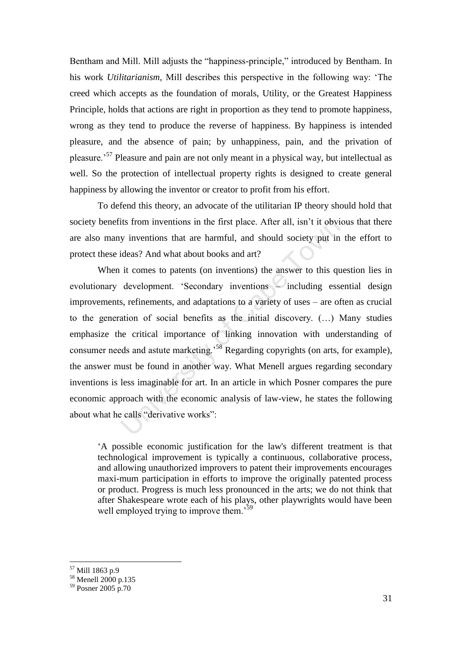Bentham and Mill. Mill adjusts the "happiness-principle," introduced by Bentham. In his work *Utilitarianism,* Mill describes this perspective in the following way: "The creed which accepts as the foundation of morals, Utility, or the Greatest Happiness Principle, holds that actions are right in proportion as they tend to promote happiness, wrong as they tend to produce the reverse of happiness. By happiness is intended pleasure, and the absence of pain; by unhappiness, pain, and the privation of pleasure."<sup>57</sup> Pleasure and pain are not only meant in a physical way, but intellectual as well. So the protection of intellectual property rights is designed to create general happiness by allowing the inventor or creator to profit from his effort.

 To defend this theory, an advocate of the utilitarian IP theory should hold that society benefits from inventions in the first place. After all, isn't it obvious that there are also many inventions that are harmful, and should society put in the effort to protect these ideas? And what about books and art?

 When it comes to patents (on inventions) the answer to this question lies in evolutionary development. "Secondary inventions – including essential design improvements, refinements, and adaptations to a variety of uses – are often as crucial to the generation of social benefits as the initial discovery. (…) Many studies emphasize the critical importance of linking innovation with understanding of consumer needs and astute marketing.<sup>58</sup> Regarding copyrights (on arts, for example), the answer must be found in another way. What Menell argues regarding secondary inventions is less imaginable for art. In an article in which Posner compares the pure economic approach with the economic analysis of law-view, he states the following about what he calls "derivative works": its from inventions in the first place. After all, isn't it obvides<br>y inventions that are harmful, and should society put in<br>ideas? And what about books and art?<br>it comes to patents (on inventions) the answer to this quev

"A possible economic justification for the law's different treatment is that technological improvement is typically a continuous, collaborative process, and allowing unauthorized improvers to patent their improvements encourages maxi-mum participation in efforts to improve the originally patented process or product. Progress is much less pronounced in the arts; we do not think that after Shakespeare wrote each of his plays, other playwrights would have been well employed trying to improve them.<sup>59</sup>

<sup>&</sup>lt;sup>57</sup> Mill 1863 p.9

<sup>&</sup>lt;sup>58</sup> Menell 2000 p.135

 $59$  Posner 2005 p.70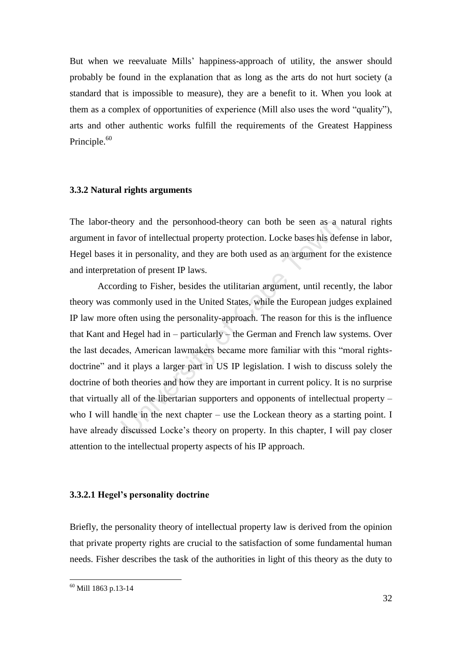But when we reevaluate Mills" happiness-approach of utility, the answer should probably be found in the explanation that as long as the arts do not hurt society (a standard that is impossible to measure), they are a benefit to it. When you look at them as a complex of opportunities of experience (Mill also uses the word "quality"), arts and other authentic works fulfill the requirements of the Greatest Happiness Principle.<sup>60</sup>

#### **3.3.2 Natural rights arguments**

The labor-theory and the personhood-theory can both be seen as a natural rights argument in favor of intellectual property protection. Locke bases his defense in labor, Hegel bases it in personality, and they are both used as an argument for the existence and interpretation of present IP laws.

According to Fisher, besides the utilitarian argument, until recently, the labor theory was commonly used in the United States, while the European judges explained IP law more often using the personality-approach. The reason for this is the influence that Kant and Hegel had in – particularly – the German and French law systems. Over the last decades, American lawmakers became more familiar with this "moral rightsdoctrine" and it plays a larger part in US IP legislation. I wish to discuss solely the doctrine of both theories and how they are important in current policy. It is no surprise that virtually all of the libertarian supporters and opponents of intellectual property – who I will handle in the next chapter – use the Lockean theory as a starting point. I have already discussed Locke's theory on property. In this chapter, I will pay closer attention to the intellectual property aspects of his IP approach. bory and the personhood-theory can both be seen as a a<br>avor of intellectual property protection. Locke bases his del<br>t in personality, and they are both used as an argument for<br>tion of present IP laws.<br>ding to Fisher, besi

#### **3.3.2.1 Hegel's personality doctrine**

Briefly, the personality theory of intellectual property law is derived from the opinion that private property rights are crucial to the satisfaction of some fundamental human needs. Fisher describes the task of the authorities in light of this theory as the duty to

<sup>60</sup> Mill 1863 p.13-14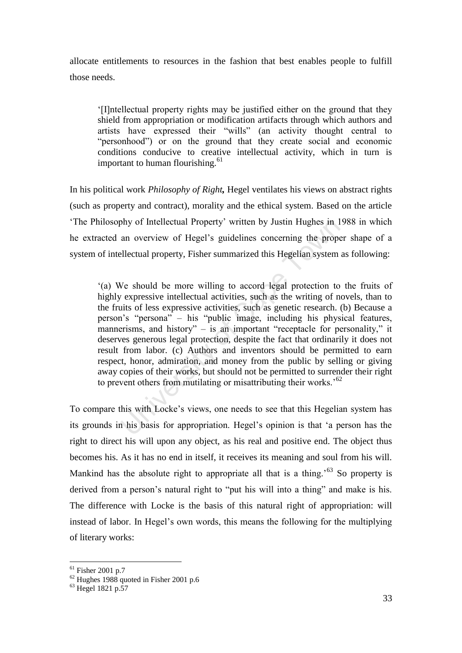allocate entitlements to resources in the fashion that best enables people to fulfill those needs.

"[I]ntellectual property rights may be justified either on the ground that they shield from appropriation or modification artifacts through which authors and artists have expressed their "wills" (an activity thought central to "personhood") or on the ground that they create social and economic conditions conducive to creative intellectual activity, which in turn is important to human flourishing. $61$ 

In his political work *Philosophy of Right,* Hegel ventilates his views on abstract rights (such as property and contract), morality and the ethical system. Based on the article "The Philosophy of Intellectual Property" written by Justin Hughes in 1988 in which he extracted an overview of Hegel"s guidelines concerning the proper shape of a system of intellectual property, Fisher summarized this Hegelian system as following:

"(a) We should be more willing to accord legal protection to the fruits of highly expressive intellectual activities, such as the writing of novels, than to the fruits of less expressive activities, such as genetic research. (b) Because a person"s "persona" – his "public image, including his physical features, mannerisms, and history" – is an important "receptacle for personality," it deserves generous legal protection, despite the fact that ordinarily it does not result from labor. (c) Authors and inventors should be permitted to earn respect, honor, admiration, and money from the public by selling or giving away copies of their works, but should not be permitted to surrender their right to prevent others from mutilating or misattributing their works.<sup>52</sup> bhy of Intellectual Property' written by Justin Hughes in 1<br>an overview of Hegel's guidelines concerning the prope<br>llectual property, Fisher summarized this Hegelian system<br>Ve should be more willing to accord legal protec

To compare this with Locke"s views, one needs to see that this Hegelian system has its grounds in his basis for appropriation. Hegel"s opinion is that "a person has the right to direct his will upon any object, as his real and positive end. The object thus becomes his. As it has no end in itself, it receives its meaning and soul from his will. Mankind has the absolute right to appropriate all that is a thing.<sup>53</sup> So property is derived from a person's natural right to "put his will into a thing" and make is his. The difference with Locke is the basis of this natural right of appropriation: will instead of labor. In Hegel"s own words, this means the following for the multiplying of literary works:

 $61$  Fisher 2001 p.7

 $62$  Hughes 1988 quoted in Fisher 2001 p.6

<sup>63</sup> Hegel 1821 p.57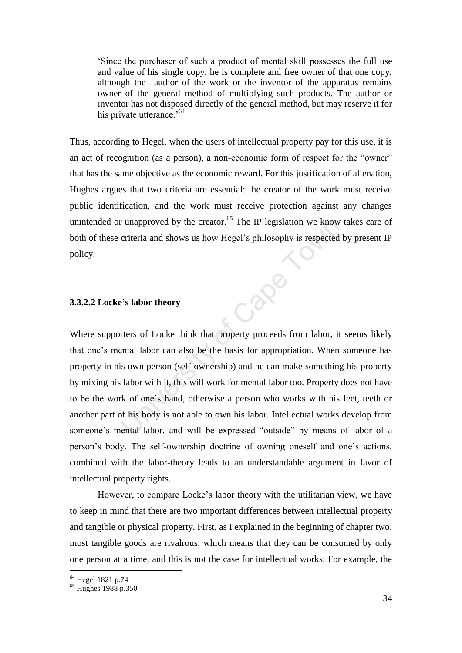"Since the purchaser of such a product of mental skill possesses the full use and value of his single copy, he is complete and free owner of that one copy, although the author of the work or the inventor of the apparatus remains owner of the general method of multiplying such products. The author or inventor has not disposed directly of the general method, but may reserve it for his private utterance.<sup>'64</sup>

Thus, according to Hegel, when the users of intellectual property pay for this use, it is an act of recognition (as a person), a non-economic form of respect for the "owner" that has the same objective as the economic reward. For this justification of alienation, Hughes argues that two criteria are essential: the creator of the work must receive public identification, and the work must receive protection against any changes unintended or unapproved by the creator.<sup>65</sup> The IP legislation we know takes care of both of these criteria and shows us how Hegel"s philosophy is respected by present IP policy.

## **3.3.2.2 Locke's labor theory**

Where supporters of Locke think that property proceeds from labor, it seems likely that one"s mental labor can also be the basis for appropriation. When someone has property in his own person (self-ownership) and he can make something his property by mixing his labor with it, this will work for mental labor too. Property does not have to be the work of one"s hand, otherwise a person who works with his feet, teeth or another part of his body is not able to own his labor. Intellectual works develop from someone's mental labor, and will be expressed "outside" by means of labor of a person"s body. The self-ownership doctrine of owning oneself and one"s actions, combined with the labor-theory leads to an understandable argument in favor of intellectual property rights. The IP legislation we know<br>criteria and shows us how Hegel's philosophy is respected<br>verticria and shows us how Hegel's philosophy is respected<br>verticria and shows us how Hegel's philosophy is respected<br>vertex of Locke thi

However, to compare Locke"s labor theory with the utilitarian view, we have to keep in mind that there are two important differences between intellectual property and tangible or physical property. First, as I explained in the beginning of chapter two, most tangible goods are rivalrous, which means that they can be consumed by only one person at a time, and this is not the case for intellectual works. For example, the

<sup>&</sup>lt;sup>64</sup> Hegel 1821 p.74

 $65$  Hughes 1988 p.350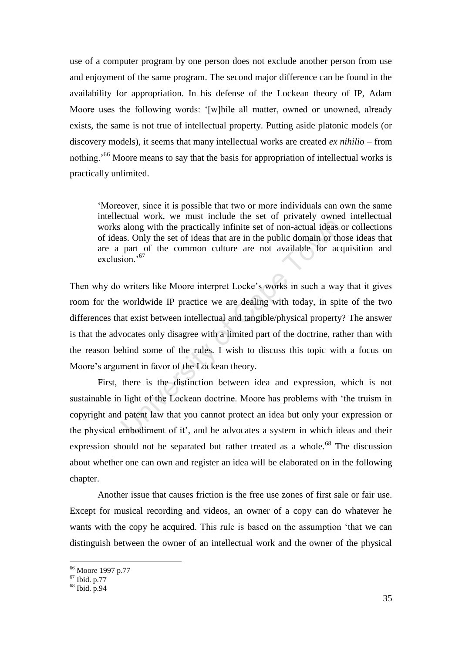use of a computer program by one person does not exclude another person from use and enjoyment of the same program. The second major difference can be found in the availability for appropriation. In his defense of the Lockean theory of IP, Adam Moore uses the following words: "[w]hile all matter, owned or unowned, already exists, the same is not true of intellectual property. Putting aside platonic models (or discovery models), it seems that many intellectual works are created *ex nihilio –* from nothing.<sup>566</sup> Moore means to say that the basis for appropriation of intellectual works is practically unlimited.

"Moreover, since it is possible that two or more individuals can own the same intellectual work, we must include the set of privately owned intellectual works along with the practically infinite set of non-actual ideas or collections of ideas. Only the set of ideas that are in the public domain or those ideas that are a part of the common culture are not available for acquisition and exclusion.<sup>57</sup>

Then why do writers like Moore interpret Locke"s works in such a way that it gives room for the worldwide IP practice we are dealing with today, in spite of the two differences that exist between intellectual and tangible/physical property? The answer is that the advocates only disagree with a limited part of the doctrine, rather than with the reason behind some of the rules. I wish to discuss this topic with a focus on Moore"s argument in favor of the Lockean theory. along with the practically infinite set of non-actual ideas<br>as. Only the set of ideas that are in the public domain or th<br>part of the common culture are not available for ac<br>ion.<sup>57</sup><br>writers like Moore interpret Locke's w

 First, there is the distinction between idea and expression, which is not sustainable in light of the Lockean doctrine. Moore has problems with "the truism in copyright and patent law that you cannot protect an idea but only your expression or the physical embodiment of it', and he advocates a system in which ideas and their expression should not be separated but rather treated as a whole.<sup>68</sup> The discussion about whether one can own and register an idea will be elaborated on in the following chapter.

Another issue that causes friction is the free use zones of first sale or fair use. Except for musical recording and videos, an owner of a copy can do whatever he wants with the copy he acquired. This rule is based on the assumption "that we can distinguish between the owner of an intellectual work and the owner of the physical

<sup>66</sup> Moore 1997 p.77

<sup>67</sup> Ibid. p.77

<sup>68</sup> Ibid. p.94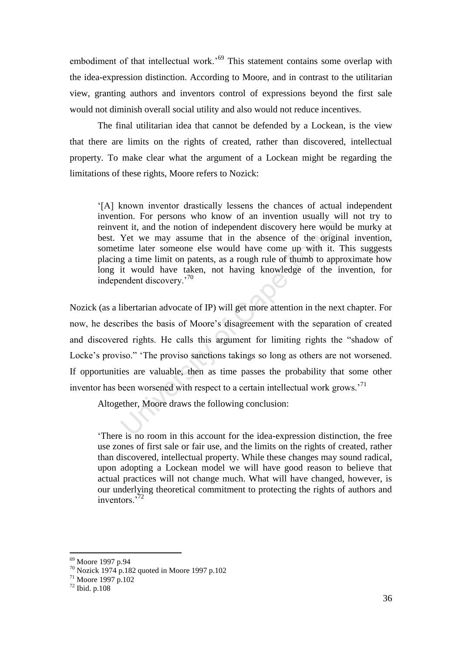embodiment of that intellectual work.<sup>59</sup> This statement contains some overlap with the idea-expression distinction. According to Moore, and in contrast to the utilitarian view, granting authors and inventors control of expressions beyond the first sale would not diminish overall social utility and also would not reduce incentives.

The final utilitarian idea that cannot be defended by a Lockean, is the view that there are limits on the rights of created, rather than discovered, intellectual property. To make clear what the argument of a Lockean might be regarding the limitations of these rights, Moore refers to Nozick:

"[A] known inventor drastically lessens the chances of actual independent invention. For persons who know of an invention usually will not try to reinvent it, and the notion of independent discovery here would be murky at best. Yet we may assume that in the absence of the original invention, sometime later someone else would have come up with it. This suggests placing a time limit on patents, as a rough rule of thumb to approximate how long it would have taken, not having knowledge of the invention, for independent discovery."<sup>70</sup>

Nozick (as a libertarian advocate of IP) will get more attention in the next chapter. For now, he describes the basis of Moore"s disagreement with the separation of created and discovered rights. He calls this argument for limiting rights the "shadow of Locke's proviso." 'The proviso sanctions takings so long as others are not worsened. If opportunities are valuable, then as time passes the probability that some other inventor has been worsened with respect to a certain intellectual work grows.<sup>71</sup> In the idea expression distinguish are the idea expression distinguish and in the approximate that in the absence of the origin that is a time limit on patents, as a rough rule of thumb to applit would have taken, not hav

Altogether, Moore draws the following conclusion:

"There is no room in this account for the idea-expression distinction, the free use zones of first sale or fair use, and the limits on the rights of created, rather than discovered, intellectual property. While these changes may sound radical, upon adopting a Lockean model we will have good reason to believe that actual practices will not change much. What will have changed, however, is our underlying theoretical commitment to protecting the rights of authors and inventors<sup>372</sup>

<sup>69</sup> Moore 1997 p.94

 $^{70}$  Nozick 1974 p.182 quoted in Moore 1997 p.102

<sup>71</sup> Moore 1997 p.102

<sup>72</sup> Ibid. p.108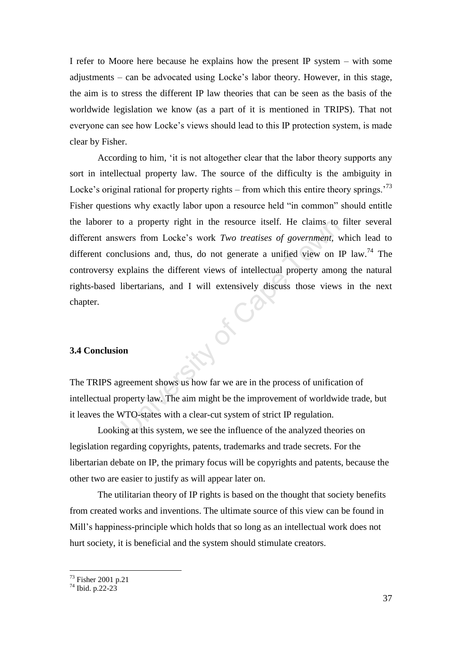I refer to Moore here because he explains how the present IP system – with some adjustments – can be advocated using Locke"s labor theory. However, in this stage, the aim is to stress the different IP law theories that can be seen as the basis of the worldwide legislation we know (as a part of it is mentioned in TRIPS). That not everyone can see how Locke"s views should lead to this IP protection system, is made clear by Fisher.

 According to him, "it is not altogether clear that the labor theory supports any sort in intellectual property law. The source of the difficulty is the ambiguity in Locke's original rational for property rights – from which this entire theory springs.<sup>73</sup> Fisher questions why exactly labor upon a resource held "in common" should entitle the laborer to a property right in the resource itself. He claims to filter several different answers from Locke"s work *Two treatises of government,* which lead to different conclusions and, thus, do not generate a unified view on IP law.<sup>74</sup> The controversy explains the different views of intellectual property among the natural rights-based libertarians, and I will extensively discuss those views in the next chapter. o a property right in the resource itself. He claims to<br>wers from Locke's work *Two treatises of government*, v<br>clusions and, thus, do not generate a unified view on l<br>xplains the different views of intellectual property a

### **3.4 Conclusion**

The TRIPS agreement shows us how far we are in the process of unification of intellectual property law. The aim might be the improvement of worldwide trade, but it leaves the WTO-states with a clear-cut system of strict IP regulation.

 Looking at this system, we see the influence of the analyzed theories on legislation regarding copyrights, patents, trademarks and trade secrets. For the libertarian debate on IP, the primary focus will be copyrights and patents, because the other two are easier to justify as will appear later on.

 The utilitarian theory of IP rights is based on the thought that society benefits from created works and inventions. The ultimate source of this view can be found in Mill"s happiness-principle which holds that so long as an intellectual work does not hurt society, it is beneficial and the system should stimulate creators.

<sup>&</sup>lt;sup>73</sup> Fisher 2001 p.21

<sup>74</sup> Ibid. p.22-23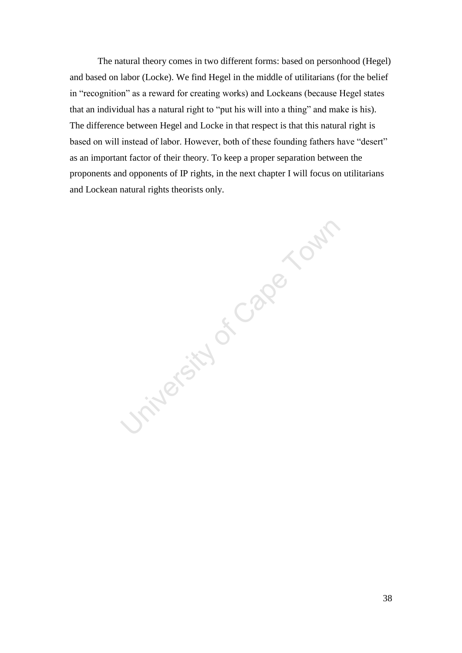The natural theory comes in two different forms: based on personhood (Hegel) and based on labor (Locke). We find Hegel in the middle of utilitarians (for the belief in "recognition" as a reward for creating works) and Lockeans (because Hegel states that an individual has a natural right to "put his will into a thing" and make is his). The difference between Hegel and Locke in that respect is that this natural right is based on will instead of labor. However, both of these founding fathers have "desert" as an important factor of their theory. To keep a proper separation between the proponents and opponents of IP rights, in the next chapter I will focus on utilitarians and Lockean natural rights theorists only.

University of Cape Town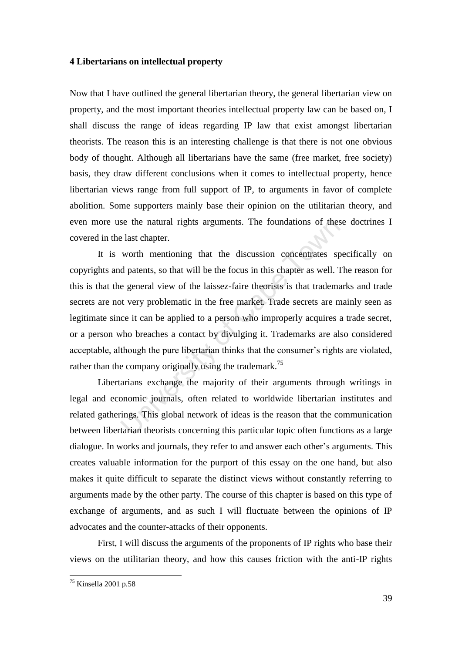## **4 Libertarians on intellectual property**

Now that I have outlined the general libertarian theory, the general libertarian view on property, and the most important theories intellectual property law can be based on, I shall discuss the range of ideas regarding IP law that exist amongst libertarian theorists. The reason this is an interesting challenge is that there is not one obvious body of thought. Although all libertarians have the same (free market, free society) basis, they draw different conclusions when it comes to intellectual property, hence libertarian views range from full support of IP, to arguments in favor of complete abolition. Some supporters mainly base their opinion on the utilitarian theory, and even more use the natural rights arguments. The foundations of these doctrines I covered in the last chapter.

It is worth mentioning that the discussion concentrates specifically on copyrights and patents, so that will be the focus in this chapter as well. The reason for this is that the general view of the laissez-faire theorists is that trademarks and trade secrets are not very problematic in the free market. Trade secrets are mainly seen as legitimate since it can be applied to a person who improperly acquires a trade secret, or a person who breaches a contact by divulging it. Trademarks are also considered acceptable, although the pure libertarian thinks that the consumer's rights are violated, rather than the company originally using the trademark.<sup>75</sup> se the natural rights arguments. The foundations of these last chapter.<br>
worth mentioning that the discussion concentrates sp<br>
d patents, so that will be the focus in this chapter as well. T<br>
e general view of the laissez-

Libertarians exchange the majority of their arguments through writings in legal and economic journals, often related to worldwide libertarian institutes and related gatherings. This global network of ideas is the reason that the communication between libertarian theorists concerning this particular topic often functions as a large dialogue. In works and journals, they refer to and answer each other's arguments. This creates valuable information for the purport of this essay on the one hand, but also makes it quite difficult to separate the distinct views without constantly referring to arguments made by the other party. The course of this chapter is based on this type of exchange of arguments, and as such I will fluctuate between the opinions of IP advocates and the counter-attacks of their opponents.

First, I will discuss the arguments of the proponents of IP rights who base their views on the utilitarian theory, and how this causes friction with the anti-IP rights

<sup>75</sup> Kinsella 2001 p.58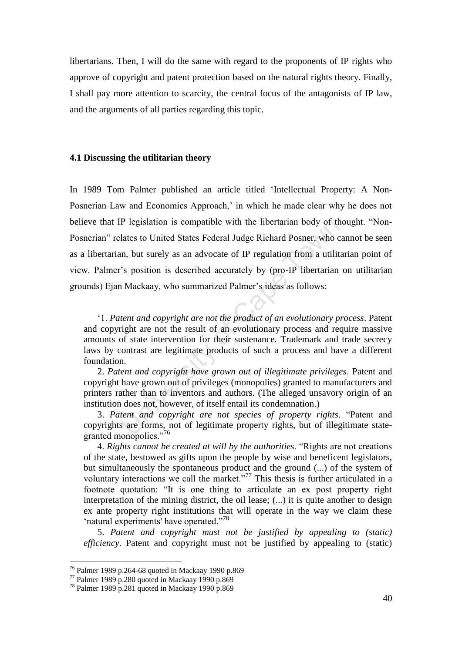libertarians. Then, I will do the same with regard to the proponents of IP rights who approve of copyright and patent protection based on the natural rights theory. Finally, I shall pay more attention to scarcity, the central focus of the antagonists of IP law, and the arguments of all parties regarding this topic.

## **4.1 Discussing the utilitarian theory**

In 1989 Tom Palmer published an article titled "Intellectual Property: A Non-Posnerian Law and Economics Approach,' in which he made clear why he does not believe that IP legislation is compatible with the libertarian body of thought. "Non-Posnerian" relates to United States Federal Judge Richard Posner, who cannot be seen as a libertarian, but surely as an advocate of IP regulation from a utilitarian point of view. Palmer"s position is described accurately by (pro-IP libertarian on utilitarian grounds) Ejan Mackaay, who summarized Palmer"s ideas as follows: P legislation is compatible with the libertarian body of the libertarian body of the liberts to United States Federal Judge Richard Posner, who com, but surely as an advocate of IP regulation from a utilit's position is de

"1. *Patent and copyright are not the product of an evolutionary process*. Patent and copyright are not the result of an evolutionary process and require massive amounts of state intervention for their sustenance. Trademark and trade secrecy laws by contrast are legitimate products of such a process and have a different foundation.

2. *Patent and copyright have grown out of illegitimate privileges*. Patent and copyright have grown out of privileges (monopolies) granted to manufacturers and printers rather than to inventors and authors. (The alleged unsavory origin of an institution does not, however, of itself entail its condemnation.)

3. *Patent and copyright are not species of property rights*. "Patent and copyrights are forms, not of legitimate property rights, but of illegitimate stategranted monopolies."<sup>76</sup>

4. *Rights cannot be created at will by the authorities*. "Rights are not creations of the state, bestowed as gifts upon the people by wise and beneficent legislators, but simultaneously the spontaneous product and the ground (...) of the system of voluntary interactions we call the market."<sup>77</sup> This thesis is further articulated in a footnote quotation: "It is one thing to articulate an ex post property right interpretation of the mining district, the oil lease; (...) it is quite another to design ex ante property right institutions that will operate in the way we claim these 'natural experiments' have operated."<sup>78</sup>

5. *Patent and copyright must not be justified by appealing to (static) efficiency*. Patent and copyright must not be justified by appealing to (static)

 $76$  Palmer 1989 p.264-68 quoted in Mackaay 1990 p.869

<sup>77</sup> Palmer 1989 p.280 quoted in Mackaay 1990 p.869

<sup>78</sup> Palmer 1989 p.281 quoted in Mackaay 1990 p.869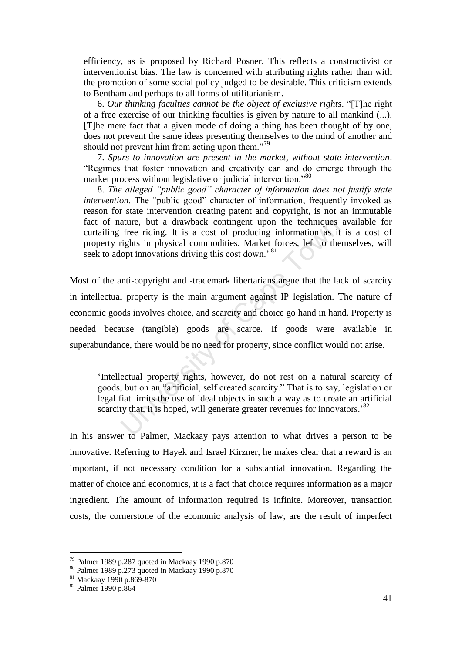efficiency, as is proposed by Richard Posner. This reflects a constructivist or interventionist bias. The law is concerned with attributing rights rather than with the promotion of some social policy judged to be desirable. This criticism extends to Bentham and perhaps to all forms of utilitarianism.

6. *Our thinking faculties cannot be the object of exclusive rights*. "[T]he right of a free exercise of our thinking faculties is given by nature to all mankind (...). [T]he mere fact that a given mode of doing a thing has been thought of by one, does not prevent the same ideas presenting themselves to the mind of another and should not prevent him from acting upon them."<sup>79</sup>

7. *Spurs to innovation are present in the market, without state intervention*. "Regimes that foster innovation and creativity can and do emerge through the market process without legislative or judicial intervention."<sup>80</sup>

8. *The alleged "public good" character of information does not justify state intervention*. The "public good" character of information, frequently invoked as reason for state intervention creating patent and copyright, is not an immutable fact of nature, but a drawback contingent upon the techniques available for curtailing free riding. It is a cost of producing information as it is a cost of property rights in physical commodities. Market forces, left to themselves, will seek to adopt innovations driving this cost down.'<sup>81</sup>

Most of the anti-copyright and -trademark libertarians argue that the lack of scarcity in intellectual property is the main argument against IP legislation. The nature of economic goods involves choice, and scarcity and choice go hand in hand. Property is needed because (tangible) goods are scarce. If goods were available in superabundance, there would be no need for property, since conflict would not arise. ature, but a drawback contingent upon the techniques<br>free riding. It is a cost of producing information as it<br>rights in physical commodities. Market forces, left to the<br>opt innovations driving this cost down.<sup>81</sup><br>anti-copy

"Intellectual property rights, however, do not rest on a natural scarcity of goods, but on an "artificial, self created scarcity." That is to say, legislation or legal fiat limits the use of ideal objects in such a way as to create an artificial scarcity that, it is hoped, will generate greater revenues for innovators.<sup>82</sup>

In his answer to Palmer, Mackaay pays attention to what drives a person to be innovative. Referring to Hayek and Israel Kirzner, he makes clear that a reward is an important, if not necessary condition for a substantial innovation. Regarding the matter of choice and economics, it is a fact that choice requires information as a major ingredient. The amount of information required is infinite. Moreover, transaction costs, the cornerstone of the economic analysis of law, are the result of imperfect

<sup>79</sup> Palmer 1989 p.287 quoted in Mackaay 1990 p.870

<sup>80</sup> Palmer 1989 p.273 quoted in Mackaay 1990 p.870

<sup>81</sup> Mackaay 1990 p.869-870

<sup>82</sup> Palmer 1990 p.864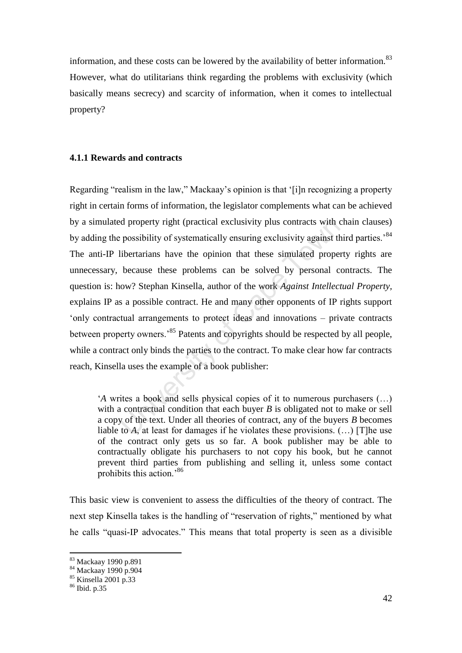information, and these costs can be lowered by the availability of better information. $83$ However, what do utilitarians think regarding the problems with exclusivity (which basically means secrecy) and scarcity of information, when it comes to intellectual property?

# **4.1.1 Rewards and contracts**

Regarding "realism in the law," Mackaay's opinion is that '[i]n recognizing a property right in certain forms of information, the legislator complements what can be achieved by a simulated property right (practical exclusivity plus contracts with chain clauses) by adding the possibility of systematically ensuring exclusivity against third parties.<sup>84</sup> The anti-IP libertarians have the opinion that these simulated property rights are unnecessary, because these problems can be solved by personal contracts. The question is: how? Stephan Kinsella, author of the work *Against Intellectual Property,*  explains IP as a possible contract. He and many other opponents of IP rights support "only contractual arrangements to protect ideas and innovations – private contracts between property owners.<sup>85</sup> Patents and copyrights should be respected by all people, while a contract only binds the parties to the contract. To make clear how far contracts reach, Kinsella uses the example of a book publisher: d property right (practical exclusivity plus contracts with e<br>possibility of systematically ensuring exclusivity against the<br>ibertarians have the opinion that these simulated prope<br>because these problems can be solved by

"*A* writes a book and sells physical copies of it to numerous purchasers (…) with a contractual condition that each buyer *B* is obligated not to make or sell a copy of the text. Under all theories of contract, any of the buyers *B* becomes liable to *A*, at least for damages if he violates these provisions. (…) [T]he use of the contract only gets us so far. A book publisher may be able to contractually obligate his purchasers to not copy his book, but he cannot prevent third parties from publishing and selling it, unless some contact prohibits this action."<sup>86</sup>

This basic view is convenient to assess the difficulties of the theory of contract. The next step Kinsella takes is the handling of "reservation of rights," mentioned by what he calls "quasi-IP advocates." This means that total property is seen as a divisible

<sup>83</sup> Mackaay 1990 p.891

<sup>84</sup> Mackaay 1990 p.904

<sup>85</sup> Kinsella 2001 p.33

<sup>86</sup> Ibid. p.35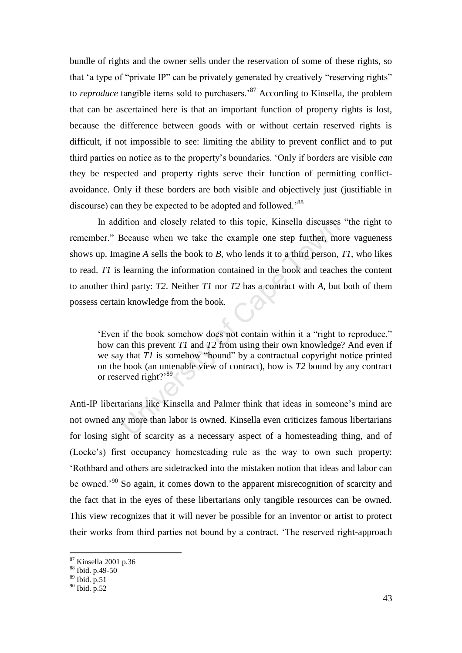bundle of rights and the owner sells under the reservation of some of these rights, so that "a type of "private IP" can be privately generated by creatively "reserving rights" to *reproduce* tangible items sold to purchasers.<sup>87</sup> According to Kinsella, the problem that can be ascertained here is that an important function of property rights is lost, because the difference between goods with or without certain reserved rights is difficult, if not impossible to see: limiting the ability to prevent conflict and to put third parties on notice as to the property"s boundaries. "Only if borders are visible *can*  they be respected and property rights serve their function of permitting conflictavoidance. Only if these borders are both visible and objectively just (justifiable in discourse) can they be expected to be adopted and followed.<sup>88</sup>

In addition and closely related to this topic, Kinsella discusses "the right to remember." Because when we take the example one step further, more vagueness shows up. Imagine *A* sells the book to *B*, who lends it to a third person, *T1*, who likes to read. *T1* is learning the information contained in the book and teaches the content to another third party: *T2*. Neither *T1* nor *T2* has a contract with *A*, but both of them possess certain knowledge from the book. fition and closely related to this topic, Kinsella discusses<br>Because when we take the example one step further, mo<br>agine A sells the book to B, who lends it to a third person,<br>learning the information contained in the boo

"Even if the book somehow does not contain within it a "right to reproduce," how can this prevent *T1* and *T2* from using their own knowledge? And even if we say that *T1* is somehow "bound" by a contractual copyright notice printed on the book (an untenable view of contract), how is *T2* bound by any contract or reserved right?'<sup>89</sup>

Anti-IP libertarians like Kinsella and Palmer think that ideas in someone"s mind are not owned any more than labor is owned. Kinsella even criticizes famous libertarians for losing sight of scarcity as a necessary aspect of a homesteading thing, and of (Locke"s) first occupancy homesteading rule as the way to own such property: "Rothbard and others are sidetracked into the mistaken notion that ideas and labor can be owned.<sup>90</sup> So again, it comes down to the apparent misrecognition of scarcity and the fact that in the eyes of these libertarians only tangible resources can be owned. This view recognizes that it will never be possible for an inventor or artist to protect their works from third parties not bound by a contract. "The reserved right-approach

<sup>87</sup> Kinsella 2001 p.36

<sup>88</sup> Ibid. p.49-50

<sup>89</sup> Ibid. p.51

<sup>90</sup> Ibid. p.52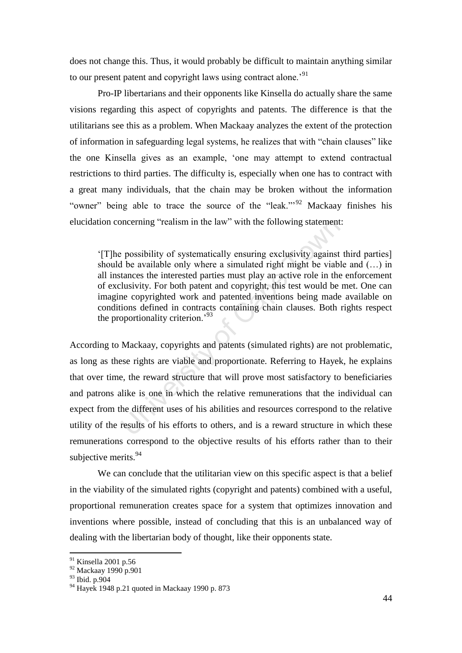does not change this. Thus, it would probably be difficult to maintain anything similar to our present patent and copyright laws using contract alone.<sup>91</sup>

 Pro-IP libertarians and their opponents like Kinsella do actually share the same visions regarding this aspect of copyrights and patents. The difference is that the utilitarians see this as a problem. When Mackaay analyzes the extent of the protection of information in safeguarding legal systems, he realizes that with "chain clauses" like the one Kinsella gives as an example, "one may attempt to extend contractual restrictions to third parties. The difficulty is, especially when one has to contract with a great many individuals, that the chain may be broken without the information "owner" being able to trace the source of the "leak."<sup>92</sup> Mackaay finishes his elucidation concerning "realism in the law" with the following statement:

"[T]he possibility of systematically ensuring exclusivity against third parties] should be available only where a simulated right might be viable and (…) in all instances the interested parties must play an active role in the enforcement of exclusivity. For both patent and copyright, this test would be met. One can imagine copyrighted work and patented inventions being made available on conditions defined in contracts containing chain clauses. Both rights respect the proportionality criterion.<sup>93</sup>

According to Mackaay, copyrights and patents (simulated rights) are not problematic, as long as these rights are viable and proportionate. Referring to Hayek, he explains that over time, the reward structure that will prove most satisfactory to beneficiaries and patrons alike is one in which the relative remunerations that the individual can expect from the different uses of his abilities and resources correspond to the relative utility of the results of his efforts to others, and is a reward structure in which these remunerations correspond to the objective results of his efforts rather than to their subjective merits.<sup>94</sup> incerning "realism in the law" with the following statement<br>
the possibility of systematically ensuring exclusivity against<br>
the available only where a simulated right might be viab<br>
tances the interested parties must play

We can conclude that the utilitarian view on this specific aspect is that a belief in the viability of the simulated rights (copyright and patents) combined with a useful, proportional remuneration creates space for a system that optimizes innovation and inventions where possible, instead of concluding that this is an unbalanced way of dealing with the libertarian body of thought, like their opponents state.

<sup>91</sup> Kinsella 2001 p.56

<sup>92</sup> Mackaay 1990 p.901

 $93$  Ibid. p. 904

<sup>94</sup> Hayek 1948 p.21 quoted in Mackaay 1990 p. 873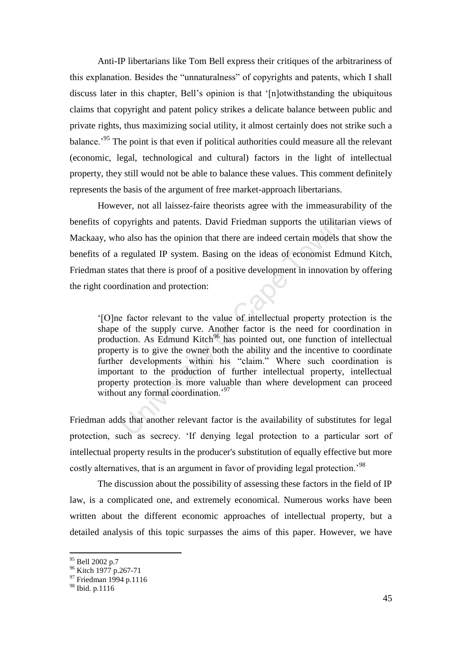Anti-IP libertarians like Tom Bell express their critiques of the arbitrariness of this explanation. Besides the "unnaturalness" of copyrights and patents, which I shall discuss later in this chapter, Bell"s opinion is that "[n]otwithstanding the ubiquitous claims that copyright and patent policy strikes a delicate balance between public and private rights, thus maximizing social utility, it almost certainly does not strike such a balance.<sup>95</sup> The point is that even if political authorities could measure all the relevant (economic, legal, technological and cultural) factors in the light of intellectual property, they still would not be able to balance these values. This comment definitely represents the basis of the argument of free market-approach libertarians.

However, not all laissez-faire theorists agree with the immeasurability of the benefits of copyrights and patents. David Friedman supports the utilitarian views of Mackaay, who also has the opinion that there are indeed certain models that show the benefits of a regulated IP system. Basing on the ideas of economist Edmund Kitch, Friedman states that there is proof of a positive development in innovation by offering the right coordination and protection:

"[O]ne factor relevant to the value of intellectual property protection is the shape of the supply curve. Another factor is the need for coordination in production. As Edmund Kitch<sup>96</sup> has pointed out, one function of intellectual property is to give the owner both the ability and the incentive to coordinate further developments within his "claim." Where such coordination is important to the production of further intellectual property, intellectual property protection is more valuable than where development can proceed without any formal coordination."<sup>97</sup> pyrights and patents. David Friedman supports the utilita<br>o also has the opinion that there are indeed certain models<br>regulated IP system. Basing on the ideas of economist E<br>es that there is proof of a positive development

Friedman adds that another relevant factor is the availability of substitutes for legal protection, such as secrecy. "If denying legal protection to a particular sort of intellectual property results in the producer's substitution of equally effective but more costly alternatives, that is an argument in favor of providing legal protection.<sup>98</sup>

 The discussion about the possibility of assessing these factors in the field of IP law, is a complicated one, and extremely economical. Numerous works have been written about the different economic approaches of intellectual property, but a detailed analysis of this topic surpasses the aims of this paper. However, we have

<sup>95</sup> Bell 2002 p.7

<sup>&</sup>lt;sup>96</sup> Kitch 1977 p.267-71

<sup>&</sup>lt;sup>97</sup> Friedman 1994 p.1116

<sup>98</sup> Ibid. p.1116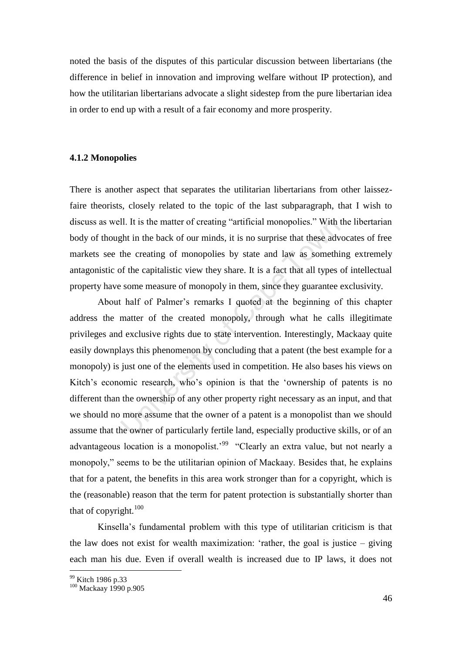noted the basis of the disputes of this particular discussion between libertarians (the difference in belief in innovation and improving welfare without IP protection), and how the utilitarian libertarians advocate a slight sidestep from the pure libertarian idea in order to end up with a result of a fair economy and more prosperity.

### **4.1.2 Monopolies**

There is another aspect that separates the utilitarian libertarians from other laissezfaire theorists, closely related to the topic of the last subparagraph, that I wish to discuss as well. It is the matter of creating "artificial monopolies." With the libertarian body of thought in the back of our minds, it is no surprise that these advocates of free markets see the creating of monopolies by state and law as something extremely antagonistic of the capitalistic view they share. It is a fact that all types of intellectual property have some measure of monopoly in them, since they guarantee exclusivity.

About half of Palmer"s remarks I quoted at the beginning of this chapter address the matter of the created monopoly, through what he calls illegitimate privileges and exclusive rights due to state intervention. Interestingly, Mackaay quite easily downplays this phenomenon by concluding that a patent (the best example for a monopoly) is just one of the elements used in competition. He also bases his views on Kitch's economic research, who's opinion is that the 'ownership of patents is no different than the ownership of any other property right necessary as an input, and that we should no more assume that the owner of a patent is a monopolist than we should assume that the owner of particularly fertile land, especially productive skills, or of an advantageous location is a monopolist.<sup>299</sup> "Clearly an extra value, but not nearly a monopoly," seems to be the utilitarian opinion of Mackaay. Besides that, he explains that for a patent, the benefits in this area work stronger than for a copyright, which is the (reasonable) reason that the term for patent protection is substantially shorter than that of copyright. $100$ II. It is the matter of creating "artificial monopolies." With the thin the back of our minds, it is no surprise that these adverthe creating of monopolies by state and law as somethin of the capitalistic view they share.

Kinsella"s fundamental problem with this type of utilitarian criticism is that the law does not exist for wealth maximization: "rather, the goal is justice – giving each man his due. Even if overall wealth is increased due to IP laws, it does not

<sup>&</sup>lt;sup>99</sup> Kitch 1986 p.33

<sup>&</sup>lt;sup>100</sup> Mackaay 1990 p.905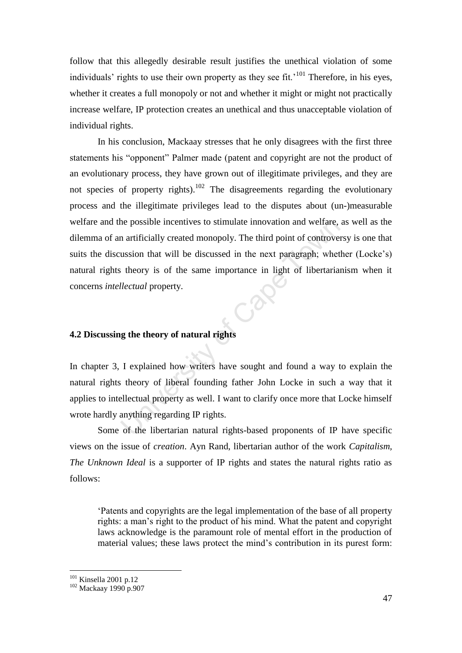follow that this allegedly desirable result justifies the unethical violation of some individuals' rights to use their own property as they see fit.<sup> $101$ </sup> Therefore, in his eyes, whether it creates a full monopoly or not and whether it might or might not practically increase welfare, IP protection creates an unethical and thus unacceptable violation of individual rights.

 In his conclusion, Mackaay stresses that he only disagrees with the first three statements his "opponent" Palmer made (patent and copyright are not the product of an evolutionary process, they have grown out of illegitimate privileges, and they are not species of property rights).<sup>102</sup> The disagreements regarding the evolutionary process and the illegitimate privileges lead to the disputes about (un-)measurable welfare and the possible incentives to stimulate innovation and welfare, as well as the dilemma of an artificially created monopoly. The third point of controversy is one that suits the discussion that will be discussed in the next paragraph; whether (Locke's) natural rights theory is of the same importance in light of libertarianism when it concerns *intellectual* property. The possible incentives to stimulate innovation and welfare,<br>
a artificially created monopoly. The third point of controve<br>
ussion that will be discussed in the next paragraph; whet<br>
theory is of the same importance in lig

# **4.2 Discussing the theory of natural rights**

In chapter 3, I explained how writers have sought and found a way to explain the natural rights theory of liberal founding father John Locke in such a way that it applies to intellectual property as well. I want to clarify once more that Locke himself wrote hardly anything regarding IP rights.

Some of the libertarian natural rights-based proponents of IP have specific views on the issue of *creation*. Ayn Rand, libertarian author of the work *Capitalism, The Unknown Ideal* is a supporter of IP rights and states the natural rights ratio as follows:

"Patents and copyrights are the legal implementation of the base of all property rights: a man"s right to the product of his mind. What the patent and copyright laws acknowledge is the paramount role of mental effort in the production of material values; these laws protect the mind"s contribution in its purest form:

<sup>&</sup>lt;sup>101</sup> Kinsella 2001 p.12

<sup>102</sup> Mackaay 1990 p.907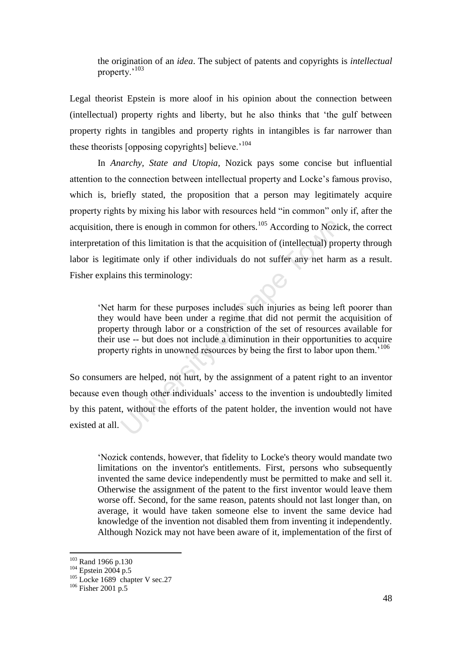the origination of an *idea*. The subject of patents and copyrights is *intellectual* property.'<sup>103</sup>

Legal theorist Epstein is more aloof in his opinion about the connection between (intellectual) property rights and liberty, but he also thinks that "the gulf between property rights in tangibles and property rights in intangibles is far narrower than these theorists [opposing copyrights] believe.<sup> $104$ </sup>

 In *Anarchy, State and Utopia*, Nozick pays some concise but influential attention to the connection between intellectual property and Locke"s famous proviso, which is, briefly stated, the proposition that a person may legitimately acquire property rights by mixing his labor with resources held "in common" only if, after the acquisition, there is enough in common for others.<sup>105</sup> According to Nozick, the correct interpretation of this limitation is that the acquisition of (intellectual) property through labor is legitimate only if other individuals do not suffer any net harm as a result. Fisher explains this terminology: nere is enough in common for others.<sup>105</sup> According to Nozion of this limitation is that the acquisition of (intellectual) promate only if other individuals do not suffer any net harm as this terminology:<br>narm for these pu

"Net harm for these purposes includes such injuries as being left poorer than they would have been under a regime that did not permit the acquisition of property through labor or a constriction of the set of resources available for their use -- but does not include a diminution in their opportunities to acquire property rights in unowned resources by being the first to labor upon them.<sup>106</sup>

So consumers are helped, not hurt, by the assignment of a patent right to an inventor because even though other individuals" access to the invention is undoubtedly limited by this patent, without the efforts of the patent holder, the invention would not have existed at all.

"Nozick contends, however, that fidelity to Locke's theory would mandate two limitations on the inventor's entitlements. First, persons who subsequently invented the same device independently must be permitted to make and sell it. Otherwise the assignment of the patent to the first inventor would leave them worse off. Second, for the same reason, patents should not last longer than, on average, it would have taken someone else to invent the same device had knowledge of the invention not disabled them from inventing it independently. Although Nozick may not have been aware of it, implementation of the first of

<sup>&</sup>lt;sup>103</sup> Rand 1966 p.130

<sup>&</sup>lt;sup>104</sup> Epstein 2004 p.5

 $105$  Locke 1689 chapter V sec. 27

<sup>106</sup> Fisher 2001 p.5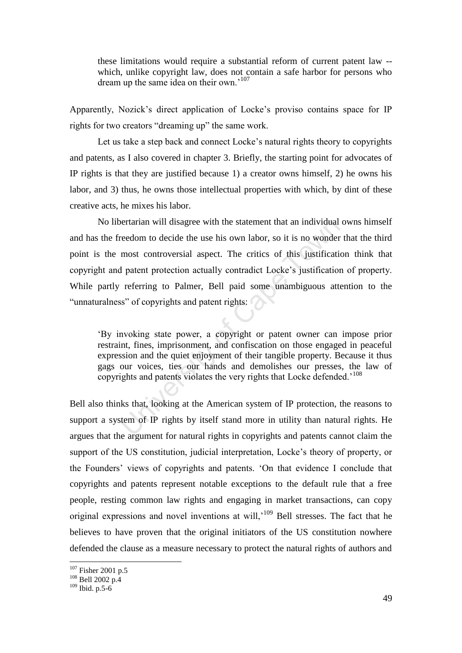these limitations would require a substantial reform of current patent law - which, unlike copyright law, does not contain a safe harbor for persons who dream up the same idea on their own.<sup>'107</sup>

Apparently, Nozick"s direct application of Locke"s proviso contains space for IP rights for two creators "dreaming up" the same work.

Let us take a step back and connect Locke's natural rights theory to copyrights and patents, as I also covered in chapter 3. Briefly, the starting point for advocates of IP rights is that they are justified because 1) a creator owns himself, 2) he owns his labor, and 3) thus, he owns those intellectual properties with which, by dint of these creative acts, he mixes his labor.

No libertarian will disagree with the statement that an individual owns himself and has the freedom to decide the use his own labor, so it is no wonder that the third point is the most controversial aspect. The critics of this justification think that copyright and patent protection actually contradict Locke"s justification of property. While partly referring to Palmer, Bell paid some unambiguous attention to the "unnaturalness" of copyrights and patent rights: ertarian will disagree with the statement that an individual<br>reedom to decide the use his own labor, so it is no wonder<br>most controversial aspect. The critics of this justification<br>referring to Palmer, Bell paid some unamb

"By invoking state power, a copyright or patent owner can impose prior restraint, fines, imprisonment, and confiscation on those engaged in peaceful expression and the quiet enjoyment of their tangible property. Because it thus gags our voices, ties our hands and demolishes our presses, the law of copyrights and patents violates the very rights that Locke defended.<sup>108</sup>

Bell also thinks that, looking at the American system of IP protection, the reasons to support a system of IP rights by itself stand more in utility than natural rights. He argues that the argument for natural rights in copyrights and patents cannot claim the support of the US constitution, judicial interpretation, Locke's theory of property, or the Founders" views of copyrights and patents. "On that evidence I conclude that copyrights and patents represent notable exceptions to the default rule that a free people, resting common law rights and engaging in market transactions, can copy original expressions and novel inventions at will,<sup>109</sup> Bell stresses. The fact that he believes to have proven that the original initiators of the US constitution nowhere defended the clause as a measure necessary to protect the natural rights of authors and

 $107$  Fisher 2001 p.5

<sup>108</sup> Bell 2002 p.4

 $109$  Ibid. p.5-6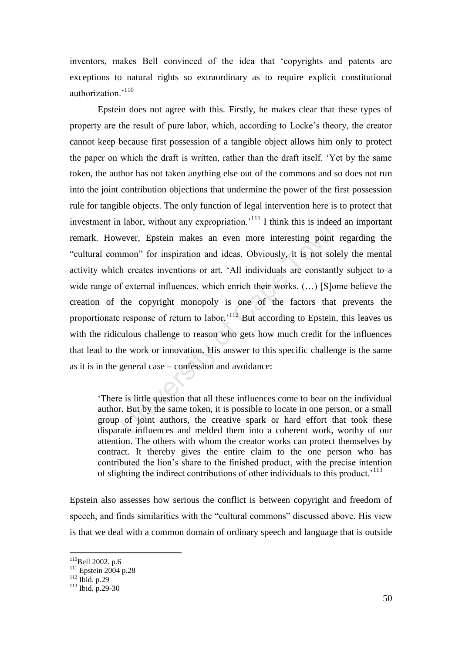inventors, makes Bell convinced of the idea that "copyrights and patents are exceptions to natural rights so extraordinary as to require explicit constitutional authorization.<sup>110</sup>

 Epstein does not agree with this. Firstly, he makes clear that these types of property are the result of pure labor, which, according to Locke"s theory, the creator cannot keep because first possession of a tangible object allows him only to protect the paper on which the draft is written, rather than the draft itself. "Yet by the same token, the author has not taken anything else out of the commons and so does not run into the joint contribution objections that undermine the power of the first possession rule for tangible objects. The only function of legal intervention here is to protect that investment in labor, without any expropriation.<sup> $111$ </sup> I think this is indeed an important remark. However, Epstein makes an even more interesting point regarding the "cultural common" for inspiration and ideas. Obviously, it is not solely the mental activity which creates inventions or art. "All individuals are constantly subject to a wide range of external influences, which enrich their works. (…) [S]ome believe the creation of the copyright monopoly is one of the factors that prevents the proportionate response of return to labor.<sup> $112$ </sup> But according to Epstein, this leaves us with the ridiculous challenge to reason who gets how much credit for the influences that lead to the work or innovation. His answer to this specific challenge is the same as it is in the general case – confession and avoidance: labor, without any expropriation."" I think this is indeed<br>vever, Epstein makes an even more interesting point i<br>mon" for inspiration and ideas. Obviously, it is not sole<br>h creates inventions or art. 'All individuals are

"There is little question that all these influences come to bear on the individual author. But by the same token, it is possible to locate in one person, or a small group of joint authors, the creative spark or hard effort that took these disparate influences and melded them into a coherent work, worthy of our attention. The others with whom the creator works can protect themselves by contract. It thereby gives the entire claim to the one person who has contributed the lion"s share to the finished product, with the precise intention of slighting the indirect contributions of other individuals to this product.<sup>113</sup>

Epstein also assesses how serious the conflict is between copyright and freedom of speech, and finds similarities with the "cultural commons" discussed above. His view is that we deal with a common domain of ordinary speech and language that is outside

 $110$ Bell 2002. p.6

 $111$  Epstein 2004 p.28

 $112$  Ibid. p.29

<sup>113</sup> Ibid. p.29-30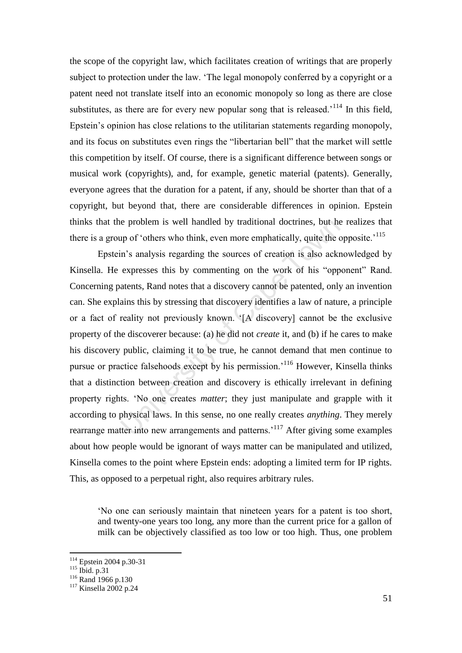the scope of the copyright law, which facilitates creation of writings that are properly subject to protection under the law. "The legal monopoly conferred by a copyright or a patent need not translate itself into an economic monopoly so long as there are close substitutes, as there are for every new popular song that is released.<sup> $114$ </sup> In this field, Epstein"s opinion has close relations to the utilitarian statements regarding monopoly, and its focus on substitutes even rings the "libertarian bell" that the market will settle this competition by itself. Of course, there is a significant difference between songs or musical work (copyrights), and, for example, genetic material (patents). Generally, everyone agrees that the duration for a patent, if any, should be shorter than that of a copyright, but beyond that, there are considerable differences in opinion. Epstein thinks that the problem is well handled by traditional doctrines, but he realizes that there is a group of 'others who think, even more emphatically, quite the opposite.<sup>115</sup>

Epstein"s analysis regarding the sources of creation is also acknowledged by Kinsella. He expresses this by commenting on the work of his "opponent" Rand. Concerning patents, Rand notes that a discovery cannot be patented, only an invention can. She explains this by stressing that discovery identifies a law of nature, a principle or a fact of reality not previously known. "[A discovery] cannot be the exclusive property of the discoverer because: (a) he did not *create* it, and (b) if he cares to make his discovery public, claiming it to be true, he cannot demand that men continue to pursue or practice falsehoods except by his permission.<sup>116</sup> However, Kinsella thinks that a distinction between creation and discovery is ethically irrelevant in defining property rights. "No one creates *matter*; they just manipulate and grapple with it according to physical laws. In this sense, no one really creates *anything*. They merely rearrange matter into new arrangements and patterns.<sup>117</sup> After giving some examples about how people would be ignorant of ways matter can be manipulated and utilized, Kinsella comes to the point where Epstein ends: adopting a limited term for IP rights. This, as opposed to a perpetual right, also requires arbitrary rules. e problem is well handled by traditional doctrines, but he<br>up of 'others who think, even more emphatically, quite the  $\alpha$ <br>n's analysis regarding the sources of creation is also ackr<br>expresses this by commenting on the wo

"No one can seriously maintain that nineteen years for a patent is too short, and twenty-one years too long, any more than the current price for a gallon of milk can be objectively classified as too low or too high. Thus, one problem

<sup>&</sup>lt;sup>114</sup> Epstein 2004 p.30-31

<sup>115</sup> Ibid. p.31

 $116$  Rand 1966 p.130

<sup>&</sup>lt;sup>117</sup> Kinsella 2002 p.24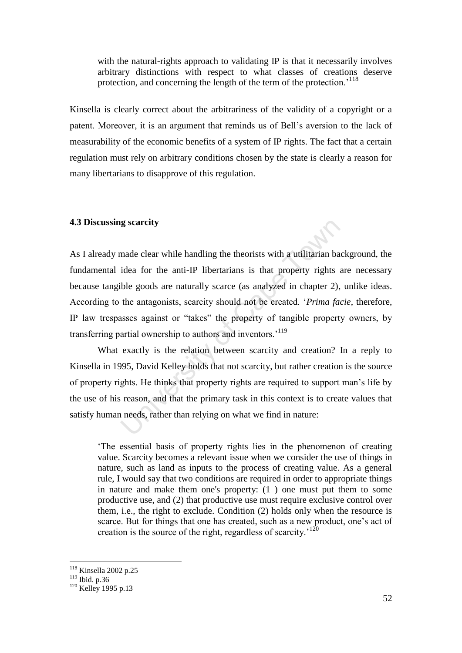with the natural-rights approach to validating IP is that it necessarily involves arbitrary distinctions with respect to what classes of creations deserve protection, and concerning the length of the term of the protection.<sup>118</sup>

Kinsella is clearly correct about the arbitrariness of the validity of a copyright or a patent. Moreover, it is an argument that reminds us of Bell"s aversion to the lack of measurability of the economic benefits of a system of IP rights. The fact that a certain regulation must rely on arbitrary conditions chosen by the state is clearly a reason for many libertarians to disapprove of this regulation.

# **4.3 Discussing scarcity**

As I already made clear while handling the theorists with a utilitarian background, the fundamental idea for the anti-IP libertarians is that property rights are necessary because tangible goods are naturally scarce (as analyzed in chapter 2), unlike ideas. According to the antagonists, scarcity should not be created. "*Prima facie*, therefore, IP law trespasses against or "takes" the property of tangible property owners, by transferring partial ownership to authors and inventors.<sup>119</sup> g scarcity<br>made clear while handling the theorists with a utilitarian ba<br>idea for the anti-IP libertarians is that property rights<br>ble goods are naturally scarce (as analyzed in chapter 2),<br>the antagonists, scarcity should

 What exactly is the relation between scarcity and creation? In a reply to Kinsella in 1995, David Kelley holds that not scarcity, but rather creation is the source of property rights. He thinks that property rights are required to support man"s life by the use of his reason, and that the primary task in this context is to create values that satisfy human needs, rather than relying on what we find in nature:

"The essential basis of property rights lies in the phenomenon of creating value. Scarcity becomes a relevant issue when we consider the use of things in nature, such as land as inputs to the process of creating value. As a general rule, I would say that two conditions are required in order to appropriate things in nature and make them one's property: (1 ) one must put them to some productive use, and (2) that productive use must require exclusive control over them, i.e., the right to exclude. Condition (2) holds only when the resource is scarce. But for things that one has created, such as a new product, one"s act of creation is the source of the right, regardless of scarcity.<sup>120</sup>

<sup>&</sup>lt;sup>118</sup> Kinsella 2002 p.25

<sup>119</sup> Ibid. p.36

<sup>&</sup>lt;sup>120</sup> Kelley 1995 p.13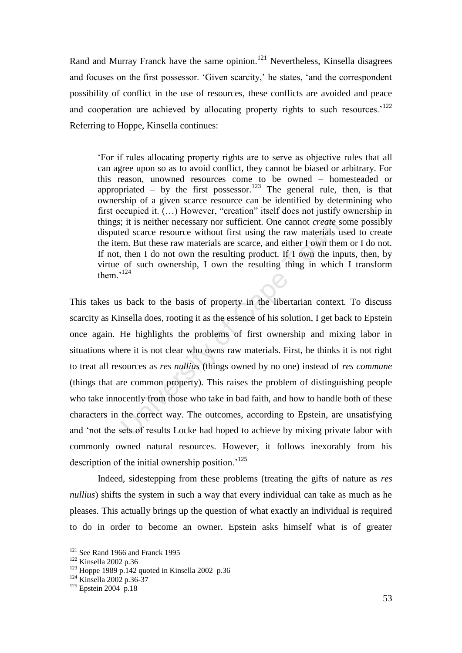Rand and Murray Franck have the same opinion.<sup>121</sup> Nevertheless, Kinsella disagrees and focuses on the first possessor. 'Given scarcity,' he states, 'and the correspondent possibility of conflict in the use of resources, these conflicts are avoided and peace and cooperation are achieved by allocating property rights to such resources.<sup> $122$ </sup> Referring to Hoppe, Kinsella continues:

"For if rules allocating property rights are to serve as objective rules that all can agree upon so as to avoid conflict, they cannot be biased or arbitrary. For this reason, unowned resources come to be owned – homesteaded or appropriated – by the first possessor.<sup>123</sup> The general rule, then, is that ownership of a given scarce resource can be identified by determining who first occupied it. (…) However, "creation" itself does not justify ownership in things; it is neither necessary nor sufficient. One cannot *create* some possibly disputed scarce resource without first using the raw materials used to create the item. But these raw materials are scarce, and either I own them or I do not. If not, then I do not own the resulting product. If I own the inputs, then, by virtue of such ownership, I own the resulting thing in which I transform them<sup>,124</sup>

This takes us back to the basis of property in the libertarian context. To discuss scarcity as Kinsella does, rooting it as the essence of his solution, I get back to Epstein once again. He highlights the problems of first ownership and mixing labor in situations where it is not clear who owns raw materials. First, he thinks it is not right to treat all resources as *res nullius* (things owned by no one) instead of *res commune*  (things that are common property). This raises the problem of distinguishing people who take innocently from those who take in bad faith, and how to handle both of these characters in the correct way. The outcomes, according to Epstein, are unsatisfying and "not the sets of results Locke had hoped to achieve by mixing private labor with commonly owned natural resources. However, it follows inexorably from his description of the initial ownership position.<sup> $125$ </sup> ; it is neither necessary nor sufficient. One cannot *create* is<br>ed scarce resource without first using the raw materials i<br>m. But these raw materials are scarce, and either I own the<br>then I do not own the resulting produ

 Indeed, sidestepping from these problems (treating the gifts of nature as *res nullius*) shifts the system in such a way that every individual can take as much as he pleases. This actually brings up the question of what exactly an individual is required to do in order to become an owner. Epstein asks himself what is of greater

<sup>&</sup>lt;sup>121</sup> See Rand 1966 and Franck 1995

<sup>122</sup> Kinsella 2002 p.36

 $123$  Hoppe 1989 p.142 quoted in Kinsella 2002 p.36

<sup>&</sup>lt;sup>124</sup> Kinsella 2002 p.36-37

<sup>&</sup>lt;sup>125</sup> Epstein 2004 p.18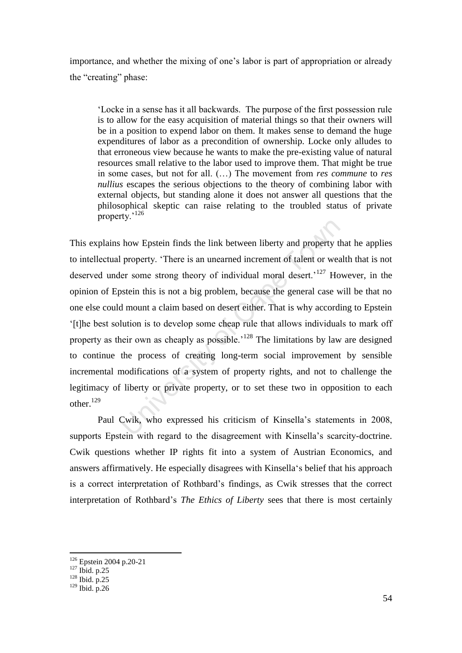importance, and whether the mixing of one's labor is part of appropriation or already the "creating" phase:

"Locke in a sense has it all backwards. The purpose of the first possession rule is to allow for the easy acquisition of material things so that their owners will be in a position to expend labor on them. It makes sense to demand the huge expenditures of labor as a precondition of ownership. Locke only alludes to that erroneous view because he wants to make the pre-existing value of natural resources small relative to the labor used to improve them. That might be true in some cases, but not for all. (…) The movement from *res commune* to *res nullius* escapes the serious objections to the theory of combining labor with external objects, but standing alone it does not answer all questions that the philosophical skeptic can raise relating to the troubled status of private property. $126$ 

This explains how Epstein finds the link between liberty and property that he applies to intellectual property. "There is an unearned increment of talent or wealth that is not deserved under some strong theory of individual moral desert.<sup> $127$ </sup> However, in the opinion of Epstein this is not a big problem, because the general case will be that no one else could mount a claim based on desert either. That is why according to Epstein "[t]he best solution is to develop some cheap rule that allows individuals to mark off property as their own as cheaply as possible.<sup>128</sup> The limitations by law are designed to continue the process of creating long-term social improvement by sensible incremental modifications of a system of property rights, and not to challenge the legitimacy of liberty or private property, or to set these two in opposition to each other.<sup>129</sup> how Epstein finds the link between liberty and property the<br>property. There is an unearned increment of talent or wear<br>er some strong theory of individual moral desert.<sup>127</sup> Ho<br>stein this is not a big problem, because the

 Paul Cwik, who expressed his criticism of Kinsella"s statements in 2008, supports Epstein with regard to the disagreement with Kinsella"s scarcity-doctrine. Cwik questions whether IP rights fit into a system of Austrian Economics, and answers affirmatively. He especially disagrees with Kinsella"s belief that his approach is a correct interpretation of Rothbard"s findings, as Cwik stresses that the correct interpretation of Rothbard"s *The Ethics of Liberty* sees that there is most certainly

<sup>126</sup> Epstein 2004 p.20-21

 $127 \text{ }\frac{1}{25}$  Ibid. p.25

 $128$  Ibid. p.25

<sup>129</sup> Ibid. p.26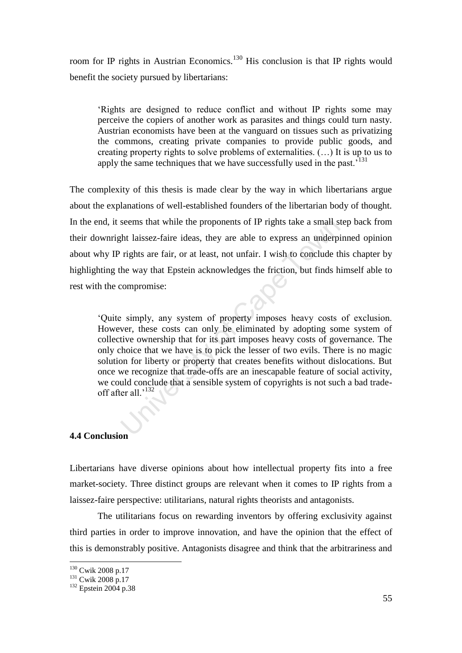room for IP rights in Austrian Economics.<sup>130</sup> His conclusion is that IP rights would benefit the society pursued by libertarians:

"Rights are designed to reduce conflict and without IP rights some may perceive the copiers of another work as parasites and things could turn nasty. Austrian economists have been at the vanguard on tissues such as privatizing the commons, creating private companies to provide public goods, and creating property rights to solve problems of externalities. (…) It is up to us to apply the same techniques that we have successfully used in the past.<sup> $131$ </sup>

The complexity of this thesis is made clear by the way in which libertarians argue about the explanations of well-established founders of the libertarian body of thought. In the end, it seems that while the proponents of IP rights take a small step back from their downright laissez-faire ideas, they are able to express an underpinned opinion about why IP rights are fair, or at least, not unfair. I wish to conclude this chapter by highlighting the way that Epstein acknowledges the friction, but finds himself able to rest with the compromise:

"Quite simply, any system of property imposes heavy costs of exclusion. However, these costs can only be eliminated by adopting some system of collective ownership that for its part imposes heavy costs of governance. The only choice that we have is to pick the lesser of two evils. There is no magic solution for liberty or property that creates benefits without dislocations. But once we recognize that trade-offs are an inescapable feature of social activity, we could conclude that a sensible system of copyrights is not such a bad tradeoff after all.'<sup>132</sup> seems that while the proponents of IP rights take a small s<br>the laissez-faire ideas, they are able to express an underpi<br>rights are fair, or at least, not unfair. I wish to conclude th<br>he way that Epstein acknowledges the

### **4.4 Conclusion**

Libertarians have diverse opinions about how intellectual property fits into a free market-society. Three distinct groups are relevant when it comes to IP rights from a laissez-faire perspective: utilitarians, natural rights theorists and antagonists.

 The utilitarians focus on rewarding inventors by offering exclusivity against third parties in order to improve innovation, and have the opinion that the effect of this is demonstrably positive. Antagonists disagree and think that the arbitrariness and

 $130$  Cwik 2008 p.17

 $^{131}$  Cwik 2008 p.17

 $132$  Epstein 2004 p.38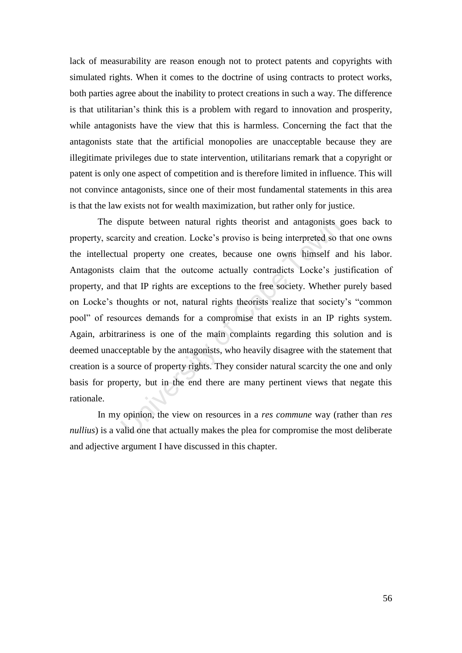lack of measurability are reason enough not to protect patents and copyrights with simulated rights. When it comes to the doctrine of using contracts to protect works, both parties agree about the inability to protect creations in such a way. The difference is that utilitarian"s think this is a problem with regard to innovation and prosperity, while antagonists have the view that this is harmless. Concerning the fact that the antagonists state that the artificial monopolies are unacceptable because they are illegitimate privileges due to state intervention, utilitarians remark that a copyright or patent is only one aspect of competition and is therefore limited in influence. This will not convince antagonists, since one of their most fundamental statements in this area is that the law exists not for wealth maximization, but rather only for justice.

 The dispute between natural rights theorist and antagonists goes back to property, scarcity and creation. Locke"s proviso is being interpreted so that one owns the intellectual property one creates, because one owns himself and his labor. Antagonists claim that the outcome actually contradicts Locke"s justification of property, and that IP rights are exceptions to the free society. Whether purely based on Locke"s thoughts or not, natural rights theorists realize that society"s "common pool" of resources demands for a compromise that exists in an IP rights system. Again, arbitrariness is one of the main complaints regarding this solution and is deemed unacceptable by the antagonists, who heavily disagree with the statement that creation is a source of property rights. They consider natural scarcity the one and only basis for property, but in the end there are many pertinent views that negate this rationale. lispute between natural rights theorist and antagonists<br>city and creation. Locke's proviso is being interpreted so tal property one creates, because one owns himself at<br>claim that the outcome actually contradicts Locke's j

 In my opinion, the view on resources in a *res commune* way (rather than *res nullius*) is a valid one that actually makes the plea for compromise the most deliberate and adjective argument I have discussed in this chapter.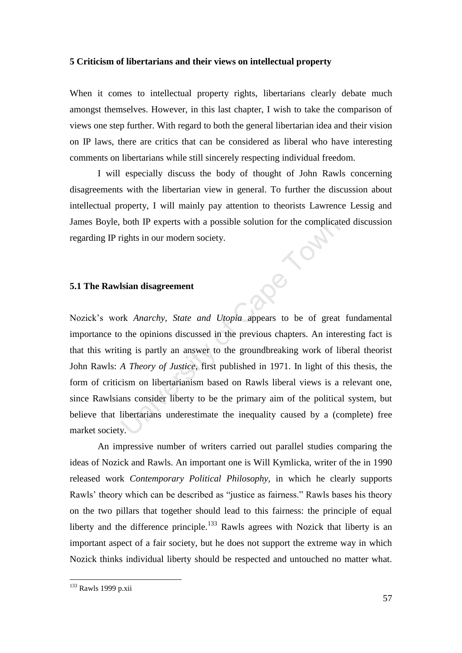### **5 Criticism of libertarians and their views on intellectual property**

When it comes to intellectual property rights, libertarians clearly debate much amongst themselves. However, in this last chapter, I wish to take the comparison of views one step further. With regard to both the general libertarian idea and their vision on IP laws, there are critics that can be considered as liberal who have interesting comments on libertarians while still sincerely respecting individual freedom.

I will especially discuss the body of thought of John Rawls concerning disagreements with the libertarian view in general. To further the discussion about intellectual property, I will mainly pay attention to theorists Lawrence Lessig and James Boyle, both IP experts with a possible solution for the complicated discussion regarding IP rights in our modern society.

# **5.1 The Rawlsian disagreement**

Nozick"s work *Anarchy, State and Utopia* appears to be of great fundamental importance to the opinions discussed in the previous chapters. An interesting fact is that this writing is partly an answer to the groundbreaking work of liberal theorist John Rawls: *A Theory of Justice*, first published in 1971. In light of this thesis, the form of criticism on libertarianism based on Rawls liberal views is a relevant one, since Rawlsians consider liberty to be the primary aim of the political system, but believe that libertarians underestimate the inequality caused by a (complete) free market society. both IP experts with a possible solution for the complicat<br>ights in our modern society.<br>Islam disagreement<br>The Town of Cape Towns of The Operational Sian disagreement<br>of the opinions discussed in the previous chapters. An

An impressive number of writers carried out parallel studies comparing the ideas of Nozick and Rawls. An important one is Will Kymlicka, writer of the in 1990 released work *Contemporary Political Philosophy,* in which he clearly supports Rawls' theory which can be described as "justice as fairness." Rawls bases his theory on the two pillars that together should lead to this fairness: the principle of equal liberty and the difference principle.<sup>133</sup> Rawls agrees with Nozick that liberty is an important aspect of a fair society, but he does not support the extreme way in which Nozick thinks individual liberty should be respected and untouched no matter what.

<sup>&</sup>lt;sup>133</sup> Rawls 1999 p.xii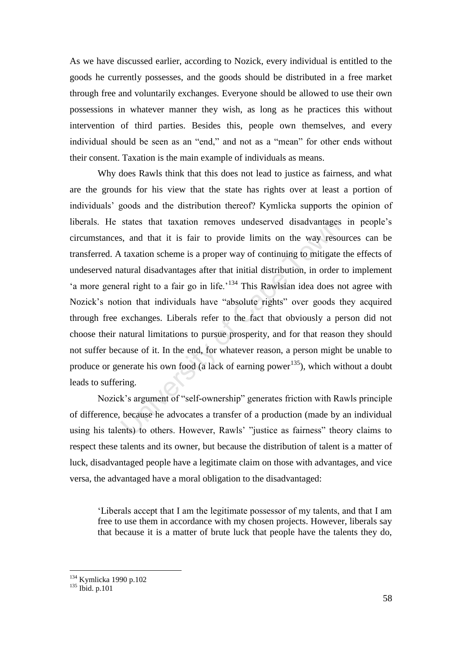As we have discussed earlier, according to Nozick, every individual is entitled to the goods he currently possesses, and the goods should be distributed in a free market through free and voluntarily exchanges. Everyone should be allowed to use their own possessions in whatever manner they wish, as long as he practices this without intervention of third parties. Besides this, people own themselves, and every individual should be seen as an "end," and not as a "mean" for other ends without their consent. Taxation is the main example of individuals as means.

Why does Rawls think that this does not lead to justice as fairness, and what are the grounds for his view that the state has rights over at least a portion of individuals" goods and the distribution thereof? Kymlicka supports the opinion of liberals. He states that taxation removes undeserved disadvantages in people"s circumstances, and that it is fair to provide limits on the way resources can be transferred. A taxation scheme is a proper way of continuing to mitigate the effects of undeserved natural disadvantages after that initial distribution, in order to implement  $a$  more general right to a fair go in life.<sup> $134$ </sup> This Rawlsian idea does not agree with Nozick"s notion that individuals have "absolute rights" over goods they acquired through free exchanges. Liberals refer to the fact that obviously a person did not choose their natural limitations to pursue prosperity, and for that reason they should not suffer because of it. In the end, for whatever reason, a person might be unable to produce or generate his own food (a lack of earning power<sup>135</sup>), which without a doubt leads to suffering. states that taxation removes undeserved disadvantages<br>s, and that it is fair to provide limits on the way reso<br>taxation scheme is a proper way of continuing to mitigate<br>atural disadvantages after that initial distribution,

Nozick"s argument of "self-ownership" generates friction with Rawls principle of difference, because he advocates a transfer of a production (made by an individual using his talents) to others. However, Rawls" "justice as fairness" theory claims to respect these talents and its owner, but because the distribution of talent is a matter of luck, disadvantaged people have a legitimate claim on those with advantages, and vice versa, the advantaged have a moral obligation to the disadvantaged:

"Liberals accept that I am the legitimate possessor of my talents, and that I am free to use them in accordance with my chosen projects. However, liberals say that because it is a matter of brute luck that people have the talents they do,

<sup>134</sup> Kymlicka 1990 p.102  $135$  Ibid. p.101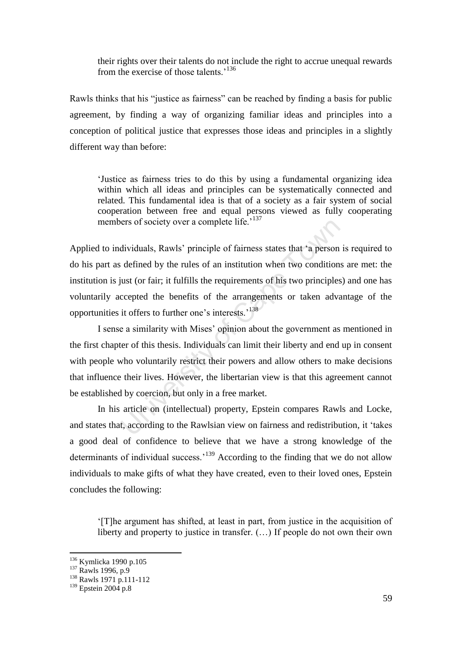their rights over their talents do not include the right to accrue unequal rewards from the exercise of those talents.<sup>136</sup>

Rawls thinks that his "justice as fairness" can be reached by finding a basis for public agreement, by finding a way of organizing familiar ideas and principles into a conception of political justice that expresses those ideas and principles in a slightly different way than before:

"Justice as fairness tries to do this by using a fundamental organizing idea within which all ideas and principles can be systematically connected and related. This fundamental idea is that of a society as a fair system of social cooperation between free and equal persons viewed as fully cooperating members of society over a complete life.<sup>'137</sup>

Applied to individuals, Rawls" principle of fairness states that "a person is required to do his part as defined by the rules of an institution when two conditions are met: the institution is just (or fair; it fulfills the requirements of his two principles) and one has voluntarily accepted the benefits of the arrangements or taken advantage of the opportunities it offers to further one's interests.'<sup>138</sup>

I sense a similarity with Mises" opinion about the government as mentioned in the first chapter of this thesis. Individuals can limit their liberty and end up in consent with people who voluntarily restrict their powers and allow others to make decisions that influence their lives. However, the libertarian view is that this agreement cannot be established by coercion, but only in a free market. dividuals, Rawls' principle lite.<sup>7157</sup><br>dividuals, Rawls' principle of fairness states that 'a person<br>defined by the rules of an institution when two condition<br>ust (or fair; it fulfills the requirements of his two principl

 In his article on (intellectual) property, Epstein compares Rawls and Locke, and states that, according to the Rawlsian view on fairness and redistribution, it "takes a good deal of confidence to believe that we have a strong knowledge of the determinants of individual success.<sup> $139$ </sup> According to the finding that we do not allow individuals to make gifts of what they have created, even to their loved ones, Epstein concludes the following:

"[T]he argument has shifted, at least in part, from justice in the acquisition of liberty and property to justice in transfer. (…) If people do not own their own

<sup>136</sup> Kymlicka 1990 p.105

 $137$  Rawls 1996, p.9

<sup>&</sup>lt;sup>138</sup> Rawls 1971 p.111-112

<sup>&</sup>lt;sup>139</sup> Epstein 2004 p.8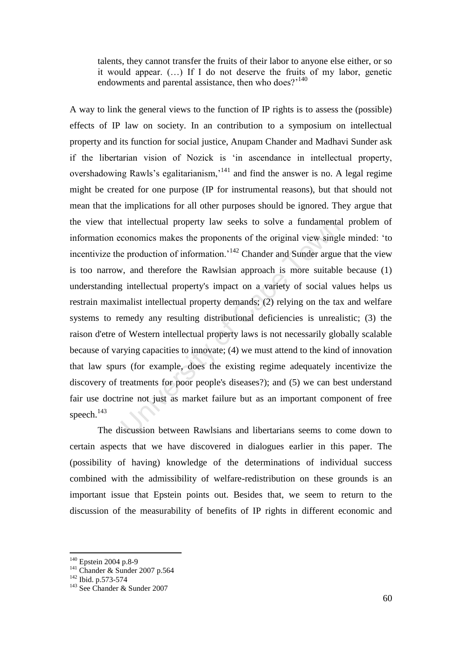talents, they cannot transfer the fruits of their labor to anyone else either, or so it would appear. (…) If I do not deserve the fruits of my labor, genetic endowments and parental assistance, then who does? $140$ 

A way to link the general views to the function of IP rights is to assess the (possible) effects of IP law on society. In an contribution to a symposium on intellectual property and its function for social justice, Anupam Chander and Madhavi Sunder ask if the libertarian vision of Nozick is "in ascendance in intellectual property, overshadowing Rawls's egalitarianism,  $141$  and find the answer is no. A legal regime might be created for one purpose (IP for instrumental reasons), but that should not mean that the implications for all other purposes should be ignored. They argue that the view that intellectual property law seeks to solve a fundamental problem of information economics makes the proponents of the original view single minded: "to incentivize the production of information.<sup> $142$ </sup> Chander and Sunder argue that the view is too narrow, and therefore the Rawlsian approach is more suitable because (1) understanding intellectual property's impact on a variety of social values helps us restrain maximalist intellectual property demands; (2) relying on the tax and welfare systems to remedy any resulting distributional deficiencies is unrealistic; (3) the raison d'etre of Western intellectual property laws is not necessarily globally scalable because of varying capacities to innovate; (4) we must attend to the kind of innovation that law spurs (for example, does the existing regime adequately incentivize the discovery of treatments for poor people's diseases?); and (5) we can best understand fair use doctrine not just as market failure but as an important component of free speech.<sup>143</sup> is intellectual property law seeks to solve a fundamenta<br>conomics makes the proponents of the original view single<br>e production of information.<sup>142</sup> Chander and Sunder argue<br>y, and therefore the Rawlsian approach is more s

 The discussion between Rawlsians and libertarians seems to come down to certain aspects that we have discovered in dialogues earlier in this paper. The (possibility of having) knowledge of the determinations of individual success combined with the admissibility of welfare-redistribution on these grounds is an important issue that Epstein points out. Besides that, we seem to return to the discussion of the measurability of benefits of IP rights in different economic and

<sup>&</sup>lt;sup>140</sup> Epstein 2004 p.8-9

 $141$  Chander & Sunder 2007 p.564

<sup>&</sup>lt;sup>142</sup> Ibid. p.573-574

<sup>&</sup>lt;sup>143</sup> See Chander & Sunder 2007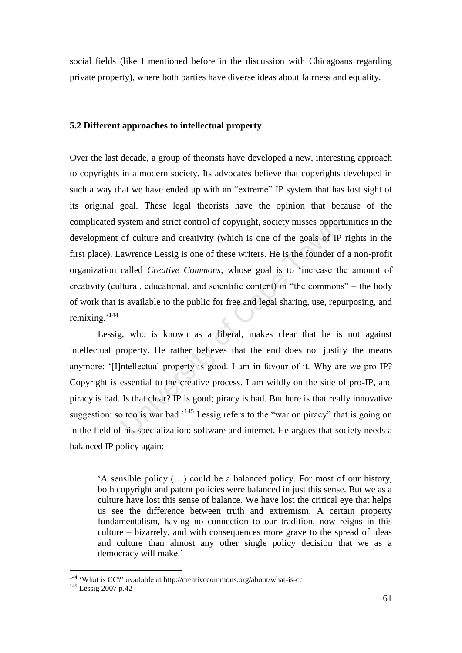social fields (like I mentioned before in the discussion with Chicagoans regarding private property), where both parties have diverse ideas about fairness and equality.

# **5.2 Different approaches to intellectual property**

Over the last decade, a group of theorists have developed a new, interesting approach to copyrights in a modern society. Its advocates believe that copyrights developed in such a way that we have ended up with an "extreme" IP system that has lost sight of its original goal. These legal theorists have the opinion that because of the complicated system and strict control of copyright, society misses opportunities in the development of culture and creativity (which is one of the goals of IP rights in the first place). Lawrence Lessig is one of these writers. He is the founder of a non-profit organization called *Creative Commons*, whose goal is to "increase the amount of creativity (cultural, educational, and scientific content) in "the commons" – the body of work that is available to the public for free and legal sharing, use, repurposing, and remixing. $144$ 

Lessig, who is known as a liberal, makes clear that he is not against intellectual property. He rather believes that the end does not justify the means anymore: "[I]ntellectual property is good. I am in favour of it. Why are we pro-IP? Copyright is essential to the creative process. I am wildly on the side of pro-IP, and piracy is bad. Is that clear? IP is good; piracy is bad. But here is that really innovative suggestion: so too is war bad.<sup> $145$ </sup> Lessig refers to the "war on piracy" that is going on in the field of his specialization: software and internet. He argues that society needs a balanced IP policy again: by stem and strict control of copyright, society misses oppor<br>of culture and creativity (which is one of the goals of IP<br>awrence Lessig is one of these writers. He is the founder o<br>called *Creative Commons*, whose goal is

"A sensible policy (…) could be a balanced policy. For most of our history, both copyright and patent policies were balanced in just this sense. But we as a culture have lost this sense of balance. We have lost the critical eye that helps us see the difference between truth and extremism. A certain property fundamentalism, having no connection to our tradition, now reigns in this culture – bizarrely, and with consequences more grave to the spread of ideas and culture than almost any other single policy decision that we as a democracy will make.'

<sup>&</sup>lt;sup>144</sup> 'What is CC?' available at http://creativecommons.org/about/what-is-cc <sup>145</sup> Lessig 2007 p.42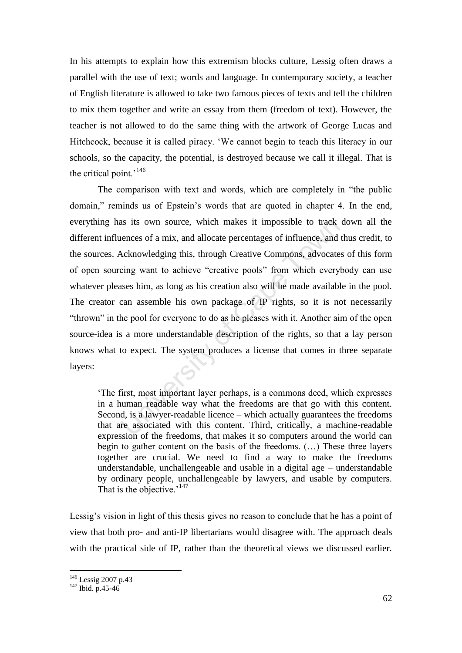In his attempts to explain how this extremism blocks culture, Lessig often draws a parallel with the use of text; words and language. In contemporary society, a teacher of English literature is allowed to take two famous pieces of texts and tell the children to mix them together and write an essay from them (freedom of text). However, the teacher is not allowed to do the same thing with the artwork of George Lucas and Hitchcock, because it is called piracy. 'We cannot begin to teach this literacy in our schools, so the capacity, the potential, is destroyed because we call it illegal. That is the critical point.'<sup>146</sup>

The comparison with text and words, which are completely in "the public domain," reminds us of Epstein"s words that are quoted in chapter 4. In the end, everything has its own source, which makes it impossible to track down all the different influences of a mix, and allocate percentages of influence, and thus credit, to the sources. Acknowledging this, through Creative Commons, advocates of this form of open sourcing want to achieve "creative pools" from which everybody can use whatever pleases him, as long as his creation also will be made available in the pool. The creator can assemble his own package of IP rights, so it is not necessarily "thrown" in the pool for everyone to do as he pleases with it. Another aim of the open source-idea is a more understandable description of the rights, so that a lay person knows what to expect. The system produces a license that comes in three separate layers: as its own source, which makes it impossible to track<br>
ences of a mix, and allocate percentages of influence, and<br>
Acknowledging this, through Creative Commons, advocate<br>
cing want to achieve "creative pools" from which ev

"The first, most important layer perhaps, is a commons deed, which expresses in a human readable way what the freedoms are that go with this content. Second, is a lawyer-readable licence – which actually guarantees the freedoms that are associated with this content. Third, critically, a machine-readable expression of the freedoms, that makes it so computers around the world can begin to gather content on the basis of the freedoms. (…) These three layers together are crucial. We need to find a way to make the freedoms understandable, unchallengeable and usable in a digital age – understandable by ordinary people, unchallengeable by lawyers, and usable by computers. That is the objective. $147$ 

Lessig's vision in light of this thesis gives no reason to conclude that he has a point of view that both pro- and anti-IP libertarians would disagree with. The approach deals with the practical side of IP, rather than the theoretical views we discussed earlier.

<sup>&</sup>lt;sup>146</sup> Lessig 2007 p.43

 $147$  Ibid. p.45-46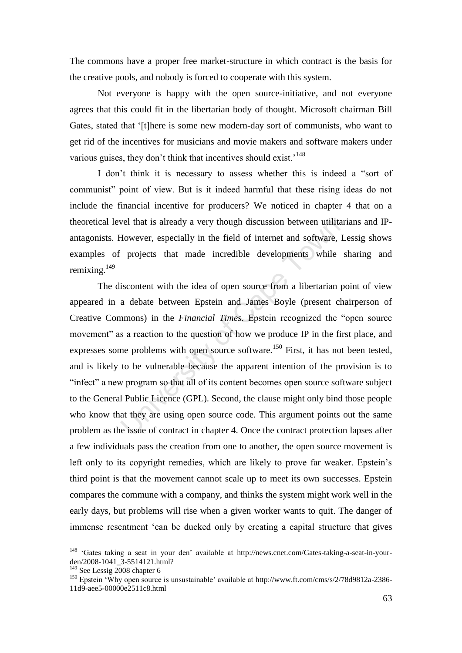The commons have a proper free market-structure in which contract is the basis for the creative pools, and nobody is forced to cooperate with this system.

 Not everyone is happy with the open source-initiative, and not everyone agrees that this could fit in the libertarian body of thought. Microsoft chairman Bill Gates, stated that "[t]here is some new modern-day sort of communists, who want to get rid of the incentives for musicians and movie makers and software makers under various guises, they don't think that incentives should exist.<sup>148</sup>

I don"t think it is necessary to assess whether this is indeed a "sort of communist" point of view. But is it indeed harmful that these rising ideas do not include the financial incentive for producers? We noticed in chapter 4 that on a theoretical level that is already a very though discussion between utilitarians and IPantagonists. However, especially in the field of internet and software, Lessig shows examples of projects that made incredible developments while sharing and remixing. $149$ 

 The discontent with the idea of open source from a libertarian point of view appeared in a debate between Epstein and James Boyle (present chairperson of Creative Commons) in the *Financial Times*. Epstein recognized the "open source movement" as a reaction to the question of how we produce IP in the first place, and expresses some problems with open source software.<sup>150</sup> First, it has not been tested, and is likely to be vulnerable because the apparent intention of the provision is to "infect" a new program so that all of its content becomes open source software subject to the General Public Licence (GPL). Second, the clause might only bind those people who know that they are using open source code. This argument points out the same problem as the issue of contract in chapter 4. Once the contract protection lapses after a few individuals pass the creation from one to another, the open source movement is left only to its copyright remedies, which are likely to prove far weaker. Epstein"s third point is that the movement cannot scale up to meet its own successes. Epstein compares the commune with a company, and thinks the system might work well in the early days, but problems will rise when a given worker wants to quit. The danger of immense resentment "can be ducked only by creating a capital structure that gives wel that is already a very though discussion between utilita<br>However, especially in the field of internet and software,<br>projects that made incredible developments while<br>iscontent with the idea of open source from a liberta

<sup>&</sup>lt;sup>148</sup> 'Gates taking a seat in your den' available at http://news.cnet.com/Gates-taking-a-seat-in-yourden/2008-1041\_3-5514121.html?

<sup>&</sup>lt;sup>149</sup> See Lessig 2008 chapter 6

<sup>&</sup>lt;sup>150</sup> Epstein 'Why open source is unsustainable' available at http://www.ft.com/cms/s/2/78d9812a-2386-11d9-aee5-00000e2511c8.html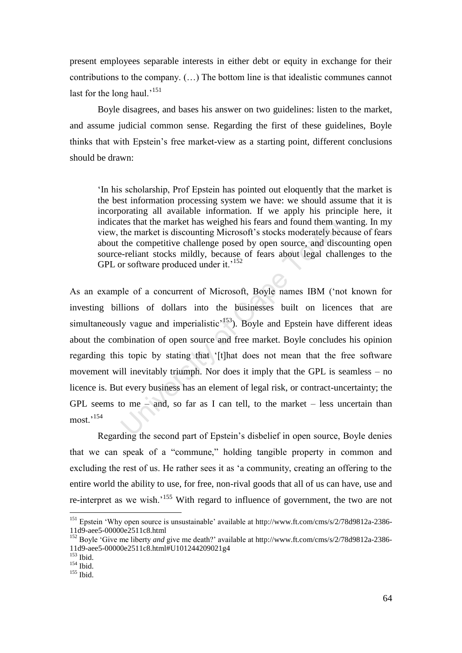present employees separable interests in either debt or equity in exchange for their contributions to the company. (…) The bottom line is that idealistic communes cannot last for the long haul.<sup>'151</sup>

Boyle disagrees, and bases his answer on two guidelines: listen to the market, and assume judicial common sense. Regarding the first of these guidelines, Boyle thinks that with Epstein"s free market-view as a starting point, different conclusions should be drawn:

"In his scholarship, Prof Epstein has pointed out eloquently that the market is the best information processing system we have: we should assume that it is incorporating all available information. If we apply his principle here, it indicates that the market has weighed his fears and found them wanting. In my view, the market is discounting Microsoft"s stocks moderately because of fears about the competitive challenge posed by open source, and discounting open source-reliant stocks mildly, because of fears about legal challenges to the GPL or software produced under it.<sup> $152$ </sup>

As an example of a concurrent of Microsoft, Boyle names IBM ("not known for investing billions of dollars into the businesses built on licences that are simultaneously vague and imperialistic<sup> $153$ </sup>). Boyle and Epstein have different ideas about the combination of open source and free market. Boyle concludes his opinion regarding this topic by stating that "[t]hat does not mean that the free software movement will inevitably triumph. Nor does it imply that the GPL is seamless – no licence is. But every business has an element of legal risk, or contract-uncertainty; the GPL seems to me – and, so far as I can tell, to the market – less uncertain than  $most$ <sup>,154</sup> tes that the market has weighed his tears and found them w<br>the market is discounting Microsoft's stocks moderately be<br>the competitive challenge posed by open source, and disc-<br>reliant stocks mildly, because of fears about

Regarding the second part of Epstein"s disbelief in open source, Boyle denies that we can speak of a "commune," holding tangible property in common and excluding the rest of us. He rather sees it as "a community, creating an offering to the entire world the ability to use, for free, non-rival goods that all of us can have, use and re-interpret as we wish.<sup>155</sup> With regard to influence of government, the two are not

<sup>151</sup> Epstein "Why open source is unsustainable" available at http://www.ft.com/cms/s/2/78d9812a-2386- 11d9-aee5-00000e2511c8.html

<sup>152</sup> Boyle "Give me liberty *and* give me death?" available at http://www.ft.com/cms/s/2/78d9812a-2386- 11d9-aee5-00000e2511c8.html#U101244209021g4

<sup>153</sup> Ibid.  $154$  Ibid.

 $155$  Ibid.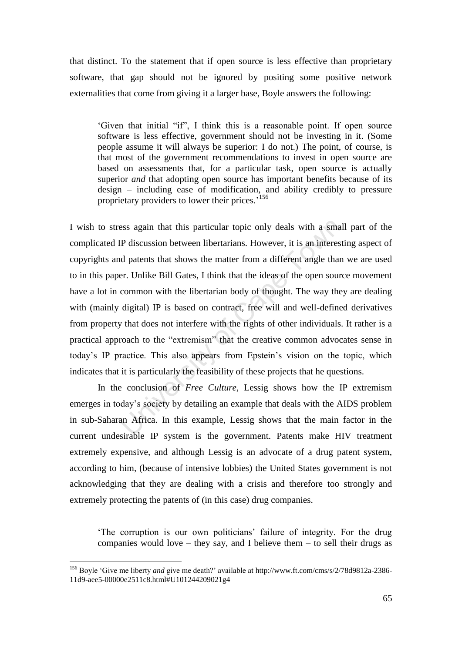that distinct. To the statement that if open source is less effective than proprietary software, that gap should not be ignored by positing some positive network externalities that come from giving it a larger base, Boyle answers the following:

"Given that initial "if", I think this is a reasonable point. If open source software is less effective, government should not be investing in it. (Some people assume it will always be superior: I do not.) The point, of course, is that most of the government recommendations to invest in open source are based on assessments that, for a particular task, open source is actually superior *and* that adopting open source has important benefits because of its design – including ease of modification, and ability credibly to pressure proprietary providers to lower their prices.<sup>156</sup>

I wish to stress again that this particular topic only deals with a small part of the complicated IP discussion between libertarians. However, it is an interesting aspect of copyrights and patents that shows the matter from a different angle than we are used to in this paper. Unlike Bill Gates, I think that the ideas of the open source movement have a lot in common with the libertarian body of thought. The way they are dealing with (mainly digital) IP is based on contract, free will and well-defined derivatives from property that does not interfere with the rights of other individuals. It rather is a practical approach to the "extremism" that the creative common advocates sense in today"s IP practice. This also appears from Epstein"s vision on the topic, which indicates that it is particularly the feasibility of these projects that he questions. is a say an that this particular topic only deals with a smaple discussion between libertarians. However, it is an interest depatents that shows the matter from a different angle than there. Unlike Bill Gates, I think that

 In the conclusion of *Free Culture*, Lessig shows how the IP extremism emerges in today"s society by detailing an example that deals with the AIDS problem in sub-Saharan Africa. In this example, Lessig shows that the main factor in the current undesirable IP system is the government. Patents make HIV treatment extremely expensive, and although Lessig is an advocate of a drug patent system, according to him, (because of intensive lobbies) the United States government is not acknowledging that they are dealing with a crisis and therefore too strongly and extremely protecting the patents of (in this case) drug companies.

"The corruption is our own politicians" failure of integrity. For the drug companies would love – they say, and I believe them – to sell their drugs as

<sup>156</sup> Boyle "Give me liberty *and* give me death?" available at http://www.ft.com/cms/s/2/78d9812a-2386- 11d9-aee5-00000e2511c8.html#U101244209021g4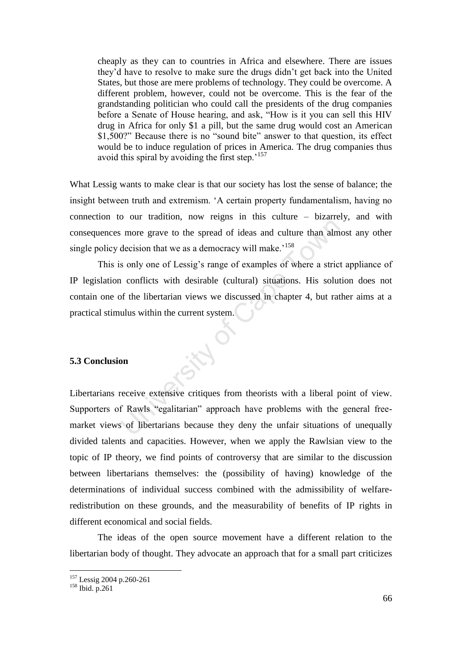cheaply as they can to countries in Africa and elsewhere. There are issues they"d have to resolve to make sure the drugs didn"t get back into the United States, but those are mere problems of technology. They could be overcome. A different problem, however, could not be overcome. This is the fear of the grandstanding politician who could call the presidents of the drug companies before a Senate of House hearing, and ask, "How is it you can sell this HIV drug in Africa for only \$1 a pill, but the same drug would cost an American \$1,500?" Because there is no "sound bite" answer to that question, its effect would be to induce regulation of prices in America. The drug companies thus avoid this spiral by avoiding the first step.<sup> $157$ </sup>

What Lessig wants to make clear is that our society has lost the sense of balance; the insight between truth and extremism. "A certain property fundamentalism, having no connection to our tradition, now reigns in this culture – bizarrely, and with consequences more grave to the spread of ideas and culture than almost any other single policy decision that we as a democracy will make.<sup>158</sup>

This is only one of Lessig"s range of examples of where a strict appliance of IP legislation conflicts with desirable (cultural) situations. His solution does not contain one of the libertarian views we discussed in chapter 4, but rather aims at a practical stimulus within the current system. The Contentry of Contentry of Contentry of Contentry of Contentry of Contentry of Contentry of Contentry of Contentry of Contentry of Contentry of Contentry of Contentry of Contentry of the libertarian views we discussed i

# **5.3 Conclusion**

Libertarians receive extensive critiques from theorists with a liberal point of view. Supporters of Rawls "egalitarian" approach have problems with the general freemarket views of libertarians because they deny the unfair situations of unequally divided talents and capacities. However, when we apply the Rawlsian view to the topic of IP theory, we find points of controversy that are similar to the discussion between libertarians themselves: the (possibility of having) knowledge of the determinations of individual success combined with the admissibility of welfareredistribution on these grounds, and the measurability of benefits of IP rights in different economical and social fields.

 The ideas of the open source movement have a different relation to the libertarian body of thought. They advocate an approach that for a small part criticizes

<sup>157</sup> Lessig 2004 p.260-261

<sup>158</sup> Ibid. p.261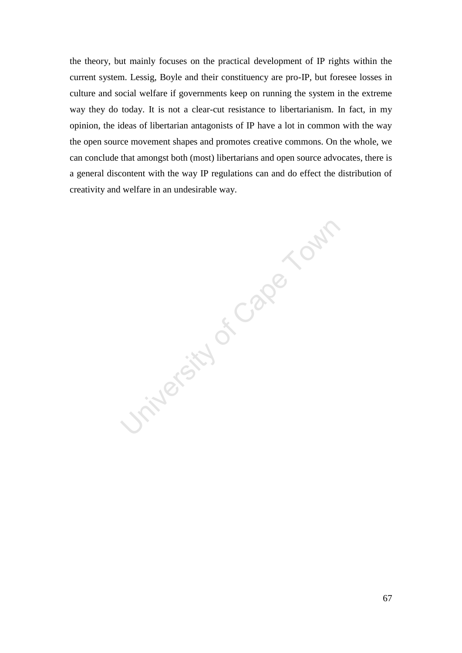the theory, but mainly focuses on the practical development of IP rights within the current system. Lessig, Boyle and their constituency are pro-IP, but foresee losses in culture and social welfare if governments keep on running the system in the extreme way they do today. It is not a clear-cut resistance to libertarianism. In fact, in my opinion, the ideas of libertarian antagonists of IP have a lot in common with the way the open source movement shapes and promotes creative commons. On the whole, we can conclude that amongst both (most) libertarians and open source advocates, there is a general discontent with the way IP regulations can and do effect the distribution of creativity and welfare in an undesirable way.

University of Cape Town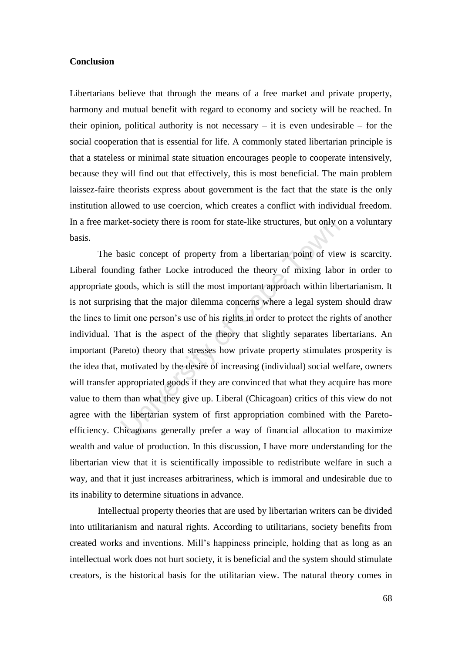# **Conclusion**

Libertarians believe that through the means of a free market and private property, harmony and mutual benefit with regard to economy and society will be reached. In their opinion, political authority is not necessary  $-$  it is even undesirable  $-$  for the social cooperation that is essential for life. A commonly stated libertarian principle is that a stateless or minimal state situation encourages people to cooperate intensively, because they will find out that effectively, this is most beneficial. The main problem laissez-faire theorists express about government is the fact that the state is the only institution allowed to use coercion, which creates a conflict with individual freedom. In a free market-society there is room for state-like structures, but only on a voluntary basis.

 The basic concept of property from a libertarian point of view is scarcity. Liberal founding father Locke introduced the theory of mixing labor in order to appropriate goods, which is still the most important approach within libertarianism. It is not surprising that the major dilemma concerns where a legal system should draw the lines to limit one person"s use of his rights in order to protect the rights of another individual. That is the aspect of the theory that slightly separates libertarians. An important (Pareto) theory that stresses how private property stimulates prosperity is the idea that, motivated by the desire of increasing (individual) social welfare, owners will transfer appropriated goods if they are convinced that what they acquire has more value to them than what they give up. Liberal (Chicagoan) critics of this view do not agree with the libertarian system of first appropriation combined with the Paretoefficiency. Chicagoans generally prefer a way of financial allocation to maximize wealth and value of production. In this discussion, I have more understanding for the libertarian view that it is scientifically impossible to redistribute welfare in such a way, and that it just increases arbitrariness, which is immoral and undesirable due to its inability to determine situations in advance. Ret-society there is room for state-like structures, but only consider the structures and a libertarian point of vieling father Locke introduced the theory of mixing laboods, which is still the most important approach with

 Intellectual property theories that are used by libertarian writers can be divided into utilitarianism and natural rights. According to utilitarians, society benefits from created works and inventions. Mill"s happiness principle, holding that as long as an intellectual work does not hurt society, it is beneficial and the system should stimulate creators, is the historical basis for the utilitarian view. The natural theory comes in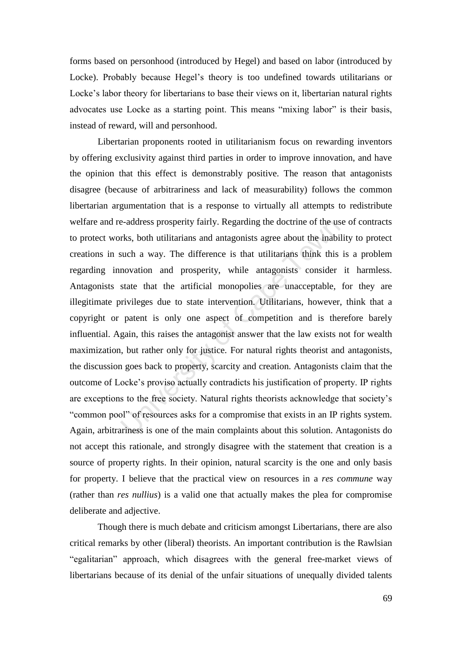forms based on personhood (introduced by Hegel) and based on labor (introduced by Locke). Probably because Hegel's theory is too undefined towards utilitarians or Locke"s labor theory for libertarians to base their views on it, libertarian natural rights advocates use Locke as a starting point. This means "mixing labor" is their basis, instead of reward, will and personhood.

 Libertarian proponents rooted in utilitarianism focus on rewarding inventors by offering exclusivity against third parties in order to improve innovation, and have the opinion that this effect is demonstrably positive. The reason that antagonists disagree (because of arbitrariness and lack of measurability) follows the common libertarian argumentation that is a response to virtually all attempts to redistribute welfare and re-address prosperity fairly. Regarding the doctrine of the use of contracts to protect works, both utilitarians and antagonists agree about the inability to protect creations in such a way. The difference is that utilitarians think this is a problem regarding innovation and prosperity, while antagonists consider it harmless. Antagonists state that the artificial monopolies are unacceptable, for they are illegitimate privileges due to state intervention. Utilitarians, however, think that a copyright or patent is only one aspect of competition and is therefore barely influential. Again, this raises the antagonist answer that the law exists not for wealth maximization, but rather only for justice. For natural rights theorist and antagonists, the discussion goes back to property, scarcity and creation. Antagonists claim that the outcome of Locke"s proviso actually contradicts his justification of property. IP rights are exceptions to the free society. Natural rights theorists acknowledge that society"s "common pool" of resources asks for a compromise that exists in an IP rights system. Again, arbitrariness is one of the main complaints about this solution. Antagonists do not accept this rationale, and strongly disagree with the statement that creation is a source of property rights. In their opinion, natural scarcity is the one and only basis for property. I believe that the practical view on resources in a *res commune* way (rather than *res nullius*) is a valid one that actually makes the plea for compromise deliberate and adjective. e-address prosperity fairly. Regarding the doctrine of the us<br>rks, both utilitarians and antagonists agree about the inabi<br>such a way. The difference is that utilitarians think this<br>novation and prosperity, while antagonis

 Though there is much debate and criticism amongst Libertarians, there are also critical remarks by other (liberal) theorists. An important contribution is the Rawlsian "egalitarian" approach, which disagrees with the general free-market views of libertarians because of its denial of the unfair situations of unequally divided talents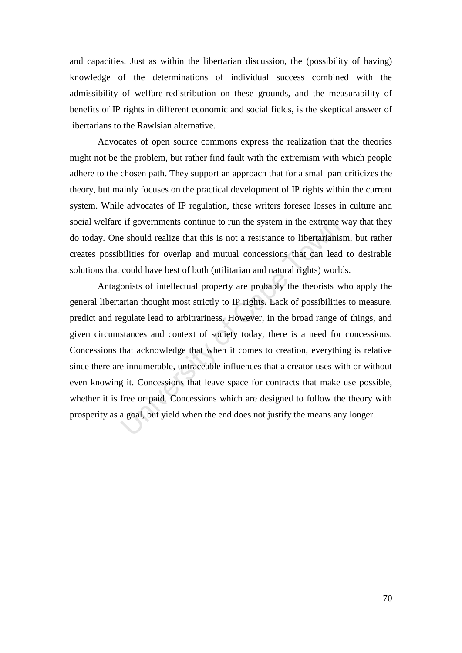and capacities. Just as within the libertarian discussion, the (possibility of having) knowledge of the determinations of individual success combined with the admissibility of welfare-redistribution on these grounds, and the measurability of benefits of IP rights in different economic and social fields, is the skeptical answer of libertarians to the Rawlsian alternative.

Advocates of open source commons express the realization that the theories might not be the problem, but rather find fault with the extremism with which people adhere to the chosen path. They support an approach that for a small part criticizes the theory, but mainly focuses on the practical development of IP rights within the current system. While advocates of IP regulation, these writers foresee losses in culture and social welfare if governments continue to run the system in the extreme way that they do today. One should realize that this is not a resistance to libertarianism, but rather creates possibilities for overlap and mutual concessions that can lead to desirable solutions that could have best of both (utilitarian and natural rights) worlds.

 Antagonists of intellectual property are probably the theorists who apply the general libertarian thought most strictly to IP rights. Lack of possibilities to measure, predict and regulate lead to arbitrariness. However, in the broad range of things, and given circumstances and context of society today, there is a need for concessions. Concessions that acknowledge that when it comes to creation, everything is relative since there are innumerable, untraceable influences that a creator uses with or without even knowing it. Concessions that leave space for contracts that make use possible, whether it is free or paid. Concessions which are designed to follow the theory with prosperity as a goal, but yield when the end does not justify the means any longer. is if governments continue to run the system in the extreme<br>e should realize that this is not a resistance to libertarianis<br>bilities for overlap and mutual concessions that can lead<br>could have best of both (utilitarian and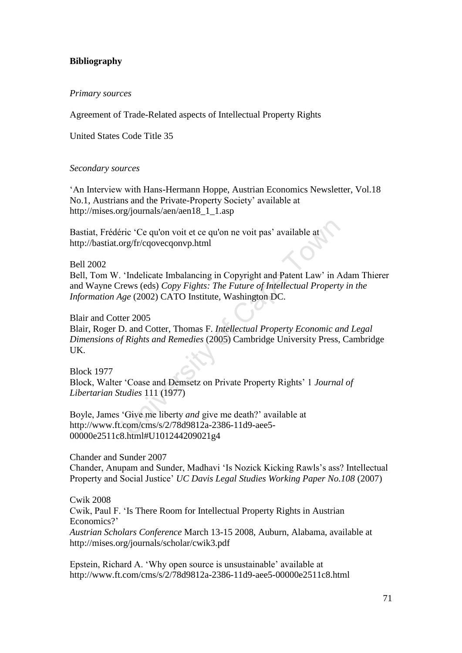## **Bibliography**

*Primary sources* 

Agreement of Trade-Related aspects of Intellectual Property Rights

United States Code Title 35

## *Secondary sources*

"An Interview with Hans-Hermann Hoppe, Austrian Economics Newsletter, Vol.18 No.1, Austrians and the Private-Property Society" available at [http://mises.org/journals/aen/aen18\\_1\\_1.asp](http://mises.org/journals/aen/aen18_1_1.asp)

Bastiat, Frédéric 'Ce qu'on voit et ce qu'on ne voit pas' available at <http://bastiat.org/fr/cqovecqonvp.html>

## Bell 2002

Bell, Tom W. "Indelicate Imbalancing in Copyright and Patent Law" in Adam Thierer and Wayne Crews (eds) *Copy Fights: The Future of Intellectual Property in the Information Age* (2002) CATO Institute, Washington DC. Frice 'Ce qu'on voit et ce qu'on ne voit pas' available at<br>
"Indelicate Imbalancing in Copyright and Patent Law' in *P*<br>
rews (eds) *Copy Fights: The Future of Intellectual Propert*<br> *ge* (2002) CATO Institute, Washington

## Blair and Cotter 2005

Blair, Roger D. and Cotter, Thomas F. *Intellectual Property Economic and Legal Dimensions of Rights and Remedies* (2005) Cambridge University Press, Cambridge UK.

Block 1977 Block, Walter "Coase and Demsetz on Private Property Rights" 1 *Journal of Libertarian Studies* 111 (1977)

Boyle, James "Give me liberty *and* give me death?" available at http://www.ft.com/cms/s/2/78d9812a-2386-11d9-aee5- 00000e2511c8.html#U101244209021g4

Chander and Sunder 2007 Chander, Anupam and Sunder, Madhavi "Is Nozick Kicking Rawls"s ass? Intellectual Property and Social Justice" *UC Davis Legal Studies Working Paper No.108* (2007)

Cwik 2008 Cwik, Paul F. "Is There Room for Intellectual Property Rights in Austrian Economics?' *Austrian Scholars Conference* March 13-15 2008, Auburn, Alabama, available at <http://mises.org/journals/scholar/cwik3.pdf>

Epstein, Richard A. "Why open source is unsustainable" available at http://www.ft.com/cms/s/2/78d9812a-2386-11d9-aee5-00000e2511c8.html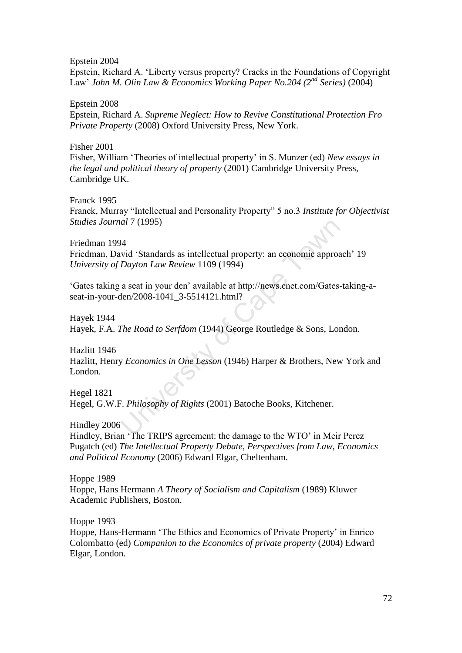Epstein 2004

Epstein, Richard A. "Liberty versus property? Cracks in the Foundations of Copyright Law" *John M. Olin Law & Economics Working Paper No.204 (2nd Series)* (2004)

Epstein 2008

Epstein, Richard A. *Supreme Neglect: How to Revive Constitutional Protection Fro Private Property* (2008) Oxford University Press, New York.

Fisher 2001

Fisher, William "Theories of intellectual property" in S. Munzer (ed) *New essays in the legal and political theory of property* (2001) Cambridge University Press, Cambridge UK.

Franck 1995

Franck, Murray "Intellectual and Personality Property" 5 no.3 *Institute for Objectivist Studies Journal* 7 (1995)

Friedman 1994

Friedman, David "Standards as intellectual property: an economic approach" 19 *University of Dayton Law Review* 1109 (1994)

"Gates taking a seat in your den" available at http://news.cnet.com/Gates-taking-aseat-in-your-den/2008-1041\_3-5514121.html?

Hayek 1944 Hayek, F.A. *The Road to Serfdom* (1944) George Routledge & Sons, London.

Hazlitt 1946 Hazlitt, Henry *Economics in One Lesson* (1946) Harper & Brothers, New York and London. al 7 (1995)<br>
44<br>
yid 'Standards as intellectual property: an economic approaches<br>
Dayton Law Review 1109 (1994)<br>
18 seat in your den' available at http://news.cnet.com/Gates<br>
18 seat 2008-1041\_3-5514121.html?<br>
The Road to

Hegel 1821 Hegel, G.W.F. *Philosophy of Rights* (2001) Batoche Books, Kitchener.

Hindley 2006

Hindley, Brian "The TRIPS agreement: the damage to the WTO" in Meir Perez Pugatch (ed) *The Intellectual Property Debate, Perspectives from Law, Economics and Political Economy* (2006) Edward Elgar, Cheltenham.

Hoppe 1989 Hoppe, Hans Hermann *A Theory of Socialism and Capitalism* (1989) Kluwer Academic Publishers, Boston.

Hoppe 1993 Hoppe, Hans-Hermann "The Ethics and Economics of Private Property" in Enrico Colombatto (ed) *Companion to the Economics of private property* (2004) Edward Elgar, London.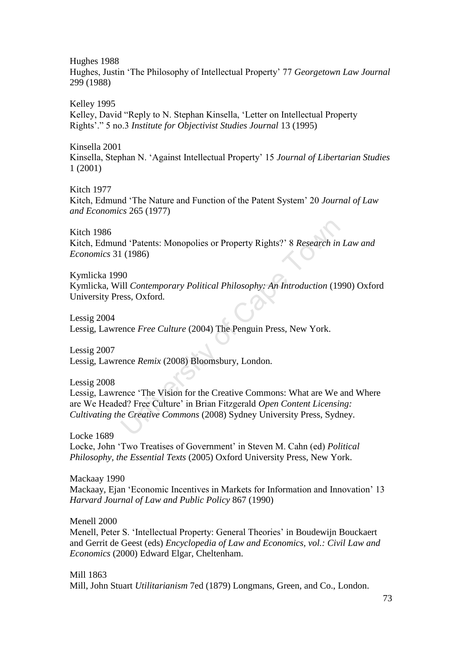Hughes 1988

Hughes, Justin "The Philosophy of Intellectual Property" 77 *Georgetown Law Journal* 299 (1988)

Kelley 1995

Kelley, David "Reply to N. Stephan Kinsella, "Letter on Intellectual Property Rights"." 5 no.3 *Institute for Objectivist Studies Journal* 13 (1995)

Kinsella 2001 Kinsella, Stephan N. "Against Intellectual Property" 15 *Journal of Libertarian Studies* 1 (2001)

Kitch 1977 Kitch, Edmund "The Nature and Function of the Patent System" 20 *Journal of Law and Economics* 265 (1977)

Kitch 1986 Kitch, Edmund "Patents: Monopolies or Property Rights?" 8 *Research in Law and Economics* 31 (1986)

Kymlicka 1990 Kymlicka, Will *Contemporary Political Philosophy: An Introduction* (1990) Oxford University Press, Oxford.

Lessig 2004 Lessig, Lawrence *Free Culture* (2004) The Penguin Press, New York.

Lessig 2007 Lessig, Lawrence *Remix* (2008) Bloomsbury, London.

Lessig 2008

Lessig, Lawrence "The Vision for the Creative Commons: What are We and Where are We Headed? Free Culture" in Brian Fitzgerald *Open Content Licensing: Cultivating the Creative Commons* (2008) Sydney University Press, Sydney. University of Cape Town

Locke 1689 Locke, John 'Two Treatises of Government' in Steven M. Cahn (ed) *Political Philosophy, the Essential Texts* (2005) Oxford University Press, New York.

Mackaay 1990 Mackaay, Ejan "Economic Incentives in Markets for Information and Innovation" 13 *Harvard Journal of Law and Public Policy* 867 (1990)

Menell 2000

Menell, Peter S. "Intellectual Property: General Theories" in Boudewijn Bouckaert and Gerrit de Geest (eds) *Encyclopedia of Law and Economics, vol.: Civil Law and Economics* (2000) Edward Elgar, Cheltenham.

Mill 1863

Mill, John Stuart *Utilitarianism* 7ed (1879) Longmans, Green, and Co., London.